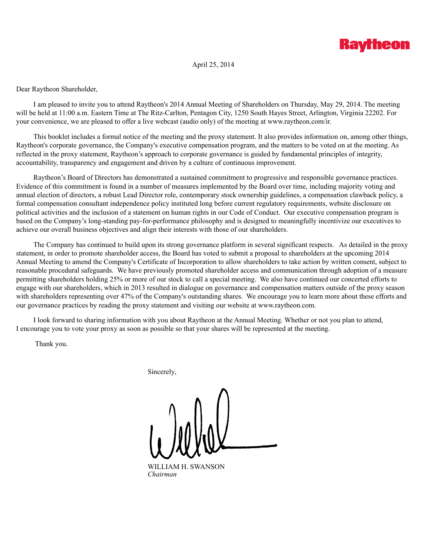

April 25, 2014

Dear Raytheon Shareholder,

I am pleased to invite you to attend Raytheon's 2014 Annual Meeting of Shareholders on Thursday, May 29, 2014. The meeting will be held at 11:00 a.m. Eastern Time at The Ritz-Carlton, Pentagon City, 1250 South Hayes Street, Arlington, Virginia 22202. For your convenience, we are pleased to offer a live webcast (audio only) of the meeting at www.raytheon.com/ir.

This booklet includes a formal notice of the meeting and the proxy statement. It also provides information on, among other things, Raytheon's corporate governance, the Company's executive compensation program, and the matters to be voted on at the meeting. As reflected in the proxy statement, Raytheon's approach to corporate governance is guided by fundamental principles of integrity, accountability, transparency and engagement and driven by a culture of continuous improvement.

Raytheon's Board of Directors has demonstrated a sustained commitment to progressive and responsible governance practices. Evidence of this commitment is found in a number of measures implemented by the Board over time, including majority voting and annual election of directors, a robust Lead Director role, contemporary stock ownership guidelines, a compensation clawback policy, a formal compensation consultant independence policy instituted long before current regulatory requirements, website disclosure on political activities and the inclusion of a statement on human rights in our Code of Conduct. Our executive compensation program is based on the Company's long-standing pay-for-performance philosophy and is designed to meaningfully incentivize our executives to achieve our overall business objectives and align their interests with those of our shareholders.

The Company has continued to build upon its strong governance platform in several significant respects. As detailed in the proxy statement, in order to promote shareholder access, the Board has voted to submit a proposal to shareholders at the upcoming 2014 Annual Meeting to amend the Company's Certificate of Incorporation to allow shareholders to take action by written consent, subject to reasonable procedural safeguards. We have previously promoted shareholder access and communication through adoption of a measure permitting shareholders holding 25% or more of our stock to call a special meeting. We also have continued our concerted efforts to engage with our shareholders, which in 2013 resulted in dialogue on governance and compensation matters outside of the proxy season with shareholders representing over 47% of the Company's outstanding shares. We encourage you to learn more about these efforts and our governance practices by reading the proxy statement and visiting our website at www.raytheon.com.

I look forward to sharing information with you about Raytheon at the Annual Meeting. Whether or not you plan to attend, I encourage you to vote your proxy as soon as possible so that your shares will be represented at the meeting.

Thank you.

Sincerely,

WILLIAM H. SWANSON *Chairman*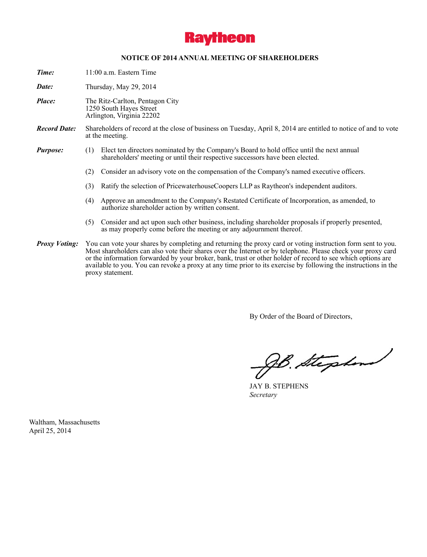

### **NOTICE OF 2014 ANNUAL MEETING OF SHAREHOLDERS**

*Time:* 11:00 a.m. Eastern Time

*Date:* Thursday, May 29, 2014

- *Place:* The Ritz-Carlton, Pentagon City 1250 South Hayes Street Arlington, Virginia 22202
- *Record Date:* Shareholders of record at the close of business on Tuesday, April 8, 2014 are entitled to notice of and to vote at the meeting.
- *Purpose:* (1) Elect ten directors nominated by the Company's Board to hold office until the next annual shareholders' meeting or until their respective successors have been elected.
	- (2) Consider an advisory vote on the compensation of the Company's named executive officers.
	- (3) Ratify the selection of PricewaterhouseCoopers LLP as Raytheon's independent auditors.
	- (4) Approve an amendment to the Company's Restated Certificate of Incorporation, as amended, to authorize shareholder action by written consent.
	- (5) Consider and act upon such other business, including shareholder proposals if properly presented, as may properly come before the meeting or any adjournment thereof.
- *Proxy Voting:* You can vote your shares by completing and returning the proxy card or voting instruction form sent to you. Most shareholders can also vote their shares over the Internet or by telephone. Please check your proxy card or the information forwarded by your broker, bank, trust or other holder of record to see which options are available to you. You can revoke a proxy at any time prior to its exercise by following the instructions in the proxy statement.

By Order of the Board of Directors,

gB. Stephend

JAY B. STEPHENS *Secretary*

Waltham, Massachusetts April 25, 2014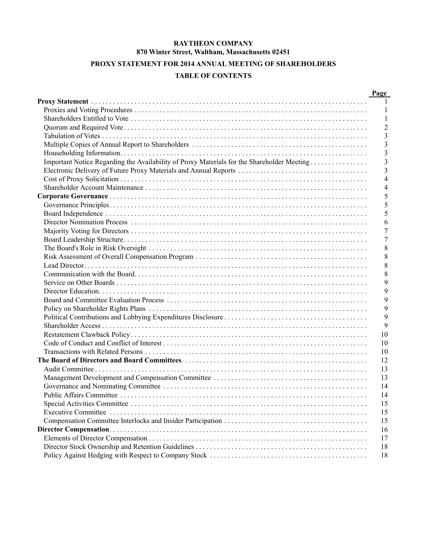# **RAYTHEON COMPANY 870 Winter Street, Waltham, Massachusetts 02451**

# **PROXY STATEMENT FOR 2014 ANNUAL MEETING OF SHAREHOLDERS**

# **TABLE OF CONTENTS**

|                                                                                            | Page           |
|--------------------------------------------------------------------------------------------|----------------|
|                                                                                            | $\mathbf{1}$   |
|                                                                                            | $\mathbf{1}$   |
|                                                                                            | -1             |
|                                                                                            | $\overline{2}$ |
|                                                                                            | 3              |
|                                                                                            | 3              |
|                                                                                            | 3              |
| Important Notice Regarding the Availability of Proxy Materials for the Shareholder Meeting | 3              |
|                                                                                            | 3              |
|                                                                                            | $\overline{4}$ |
|                                                                                            | $\overline{4}$ |
|                                                                                            | 5              |
|                                                                                            | 5              |
|                                                                                            | 5              |
|                                                                                            | 6              |
|                                                                                            | 7              |
|                                                                                            | 7              |
|                                                                                            | 8              |
|                                                                                            | 8              |
|                                                                                            | 8              |
|                                                                                            | 8              |
|                                                                                            | 9              |
|                                                                                            | 9              |
|                                                                                            | 9              |
|                                                                                            | 9              |
|                                                                                            | 9              |
|                                                                                            | 9              |
|                                                                                            | 10             |
|                                                                                            | 10             |
|                                                                                            | 10             |
|                                                                                            | 12             |
|                                                                                            | 13             |
|                                                                                            | 13             |
|                                                                                            | 14             |
|                                                                                            | 14             |
|                                                                                            | 15             |
|                                                                                            | 15             |
|                                                                                            |                |
|                                                                                            | 15             |
|                                                                                            | 16             |
|                                                                                            | 17<br>18       |
|                                                                                            |                |
|                                                                                            | 18             |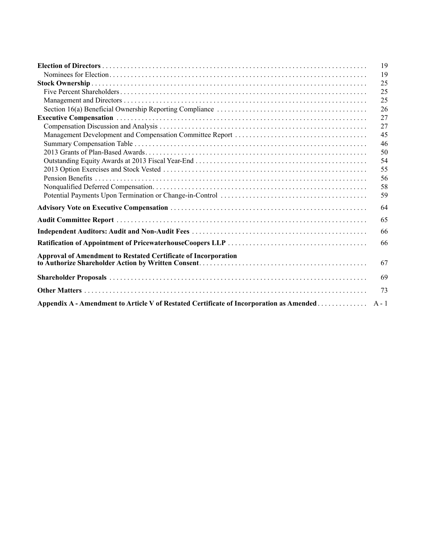|                                                                                         | 19      |
|-----------------------------------------------------------------------------------------|---------|
|                                                                                         | 19      |
|                                                                                         | 25      |
|                                                                                         | 25      |
|                                                                                         | 25      |
|                                                                                         | 26      |
|                                                                                         | 27      |
|                                                                                         | 27      |
|                                                                                         | 45      |
|                                                                                         | 46      |
|                                                                                         | 50      |
|                                                                                         | 54      |
|                                                                                         | 55      |
|                                                                                         | 56      |
|                                                                                         | 58      |
|                                                                                         | 59      |
|                                                                                         | 64      |
|                                                                                         | 65      |
|                                                                                         | 66      |
|                                                                                         | 66      |
| <b>Approval of Amendment to Restated Certificate of Incorporation</b>                   | 67      |
|                                                                                         | 69      |
|                                                                                         | 73      |
| Appendix A - Amendment to Article V of Restated Certificate of Incorporation as Amended | $A - 1$ |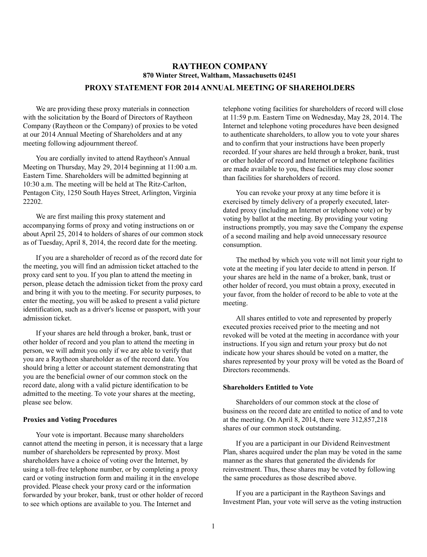# **RAYTHEON COMPANY 870 Winter Street, Waltham, Massachusetts 02451**

# **PROXY STATEMENT FOR 2014 ANNUAL MEETING OF SHAREHOLDERS**

We are providing these proxy materials in connection with the solicitation by the Board of Directors of Raytheon Company (Raytheon or the Company) of proxies to be voted at our 2014 Annual Meeting of Shareholders and at any meeting following adjournment thereof.

You are cordially invited to attend Raytheon's Annual Meeting on Thursday, May 29, 2014 beginning at 11:00 a.m. Eastern Time. Shareholders will be admitted beginning at 10:30 a.m. The meeting will be held at The Ritz-Carlton, Pentagon City, 1250 South Hayes Street, Arlington, Virginia 22202.

We are first mailing this proxy statement and accompanying forms of proxy and voting instructions on or about April 25, 2014 to holders of shares of our common stock as of Tuesday, April 8, 2014, the record date for the meeting.

If you are a shareholder of record as of the record date for the meeting, you will find an admission ticket attached to the proxy card sent to you. If you plan to attend the meeting in person, please detach the admission ticket from the proxy card and bring it with you to the meeting. For security purposes, to enter the meeting, you will be asked to present a valid picture identification, such as a driver's license or passport, with your admission ticket.

If your shares are held through a broker, bank, trust or other holder of record and you plan to attend the meeting in person, we will admit you only if we are able to verify that you are a Raytheon shareholder as of the record date. You should bring a letter or account statement demonstrating that you are the beneficial owner of our common stock on the record date, along with a valid picture identification to be admitted to the meeting. To vote your shares at the meeting, please see below.

#### **Proxies and Voting Procedures**

Your vote is important. Because many shareholders cannot attend the meeting in person, it is necessary that a large number of shareholders be represented by proxy. Most shareholders have a choice of voting over the Internet, by using a toll-free telephone number, or by completing a proxy card or voting instruction form and mailing it in the envelope provided. Please check your proxy card or the information forwarded by your broker, bank, trust or other holder of record to see which options are available to you. The Internet and

telephone voting facilities for shareholders of record will close at 11:59 p.m. Eastern Time on Wednesday, May 28, 2014. The Internet and telephone voting procedures have been designed to authenticate shareholders, to allow you to vote your shares and to confirm that your instructions have been properly recorded. If your shares are held through a broker, bank, trust or other holder of record and Internet or telephone facilities are made available to you, these facilities may close sooner than facilities for shareholders of record.

You can revoke your proxy at any time before it is exercised by timely delivery of a properly executed, laterdated proxy (including an Internet or telephone vote) or by voting by ballot at the meeting. By providing your voting instructions promptly, you may save the Company the expense of a second mailing and help avoid unnecessary resource consumption.

The method by which you vote will not limit your right to vote at the meeting if you later decide to attend in person. If your shares are held in the name of a broker, bank, trust or other holder of record, you must obtain a proxy, executed in your favor, from the holder of record to be able to vote at the meeting.

All shares entitled to vote and represented by properly executed proxies received prior to the meeting and not revoked will be voted at the meeting in accordance with your instructions. If you sign and return your proxy but do not indicate how your shares should be voted on a matter, the shares represented by your proxy will be voted as the Board of Directors recommends.

### **Shareholders Entitled to Vote**

Shareholders of our common stock at the close of business on the record date are entitled to notice of and to vote at the meeting. On April 8, 2014, there were 312,857,218 shares of our common stock outstanding.

If you are a participant in our Dividend Reinvestment Plan, shares acquired under the plan may be voted in the same manner as the shares that generated the dividends for reinvestment. Thus, these shares may be voted by following the same procedures as those described above.

If you are a participant in the Raytheon Savings and Investment Plan, your vote will serve as the voting instruction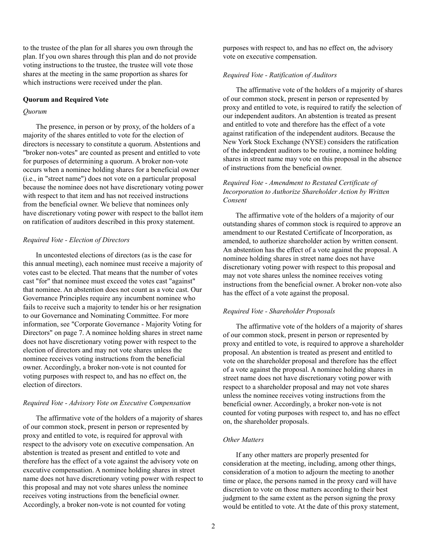to the trustee of the plan for all shares you own through the plan. If you own shares through this plan and do not provide voting instructions to the trustee, the trustee will vote those shares at the meeting in the same proportion as shares for which instructions were received under the plan.

### **Quorum and Required Vote**

#### *Quorum*

The presence, in person or by proxy, of the holders of a majority of the shares entitled to vote for the election of directors is necessary to constitute a quorum. Abstentions and "broker non-votes" are counted as present and entitled to vote for purposes of determining a quorum. A broker non-vote occurs when a nominee holding shares for a beneficial owner (i.e., in "street name") does not vote on a particular proposal because the nominee does not have discretionary voting power with respect to that item and has not received instructions from the beneficial owner. We believe that nominees only have discretionary voting power with respect to the ballot item on ratification of auditors described in this proxy statement.

#### *Required Vote - Election of Directors*

In uncontested elections of directors (as is the case for this annual meeting), each nominee must receive a majority of votes cast to be elected. That means that the number of votes cast "for" that nominee must exceed the votes cast "against" that nominee. An abstention does not count as a vote cast. Our Governance Principles require any incumbent nominee who fails to receive such a majority to tender his or her resignation to our Governance and Nominating Committee. For more information, see "Corporate Governance - Majority Voting for Directors" on page 7. A nominee holding shares in street name does not have discretionary voting power with respect to the election of directors and may not vote shares unless the nominee receives voting instructions from the beneficial owner. Accordingly, a broker non-vote is not counted for voting purposes with respect to, and has no effect on, the election of directors.

#### *Required Vote - Advisory Vote on Executive Compensation*

The affirmative vote of the holders of a majority of shares of our common stock, present in person or represented by proxy and entitled to vote, is required for approval with respect to the advisory vote on executive compensation. An abstention is treated as present and entitled to vote and therefore has the effect of a vote against the advisory vote on executive compensation. A nominee holding shares in street name does not have discretionary voting power with respect to this proposal and may not vote shares unless the nominee receives voting instructions from the beneficial owner. Accordingly, a broker non-vote is not counted for voting

purposes with respect to, and has no effect on, the advisory vote on executive compensation.

#### *Required Vote - Ratification of Auditors*

The affirmative vote of the holders of a majority of shares of our common stock, present in person or represented by proxy and entitled to vote, is required to ratify the selection of our independent auditors. An abstention is treated as present and entitled to vote and therefore has the effect of a vote against ratification of the independent auditors. Because the New York Stock Exchange (NYSE) considers the ratification of the independent auditors to be routine, a nominee holding shares in street name may vote on this proposal in the absence of instructions from the beneficial owner.

# *Required Vote - Amendment to Restated Certificate of Incorporation to Authorize Shareholder Action by Written Consent*

The affirmative vote of the holders of a majority of our outstanding shares of common stock is required to approve an amendment to our Restated Certificate of Incorporation, as amended, to authorize shareholder action by written consent. An abstention has the effect of a vote against the proposal. A nominee holding shares in street name does not have discretionary voting power with respect to this proposal and may not vote shares unless the nominee receives voting instructions from the beneficial owner. A broker non-vote also has the effect of a vote against the proposal.

### *Required Vote - Shareholder Proposals*

The affirmative vote of the holders of a majority of shares of our common stock, present in person or represented by proxy and entitled to vote, is required to approve a shareholder proposal. An abstention is treated as present and entitled to vote on the shareholder proposal and therefore has the effect of a vote against the proposal. A nominee holding shares in street name does not have discretionary voting power with respect to a shareholder proposal and may not vote shares unless the nominee receives voting instructions from the beneficial owner. Accordingly, a broker non-vote is not counted for voting purposes with respect to, and has no effect on, the shareholder proposals.

### *Other Matters*

If any other matters are properly presented for consideration at the meeting, including, among other things, consideration of a motion to adjourn the meeting to another time or place, the persons named in the proxy card will have discretion to vote on those matters according to their best judgment to the same extent as the person signing the proxy would be entitled to vote. At the date of this proxy statement,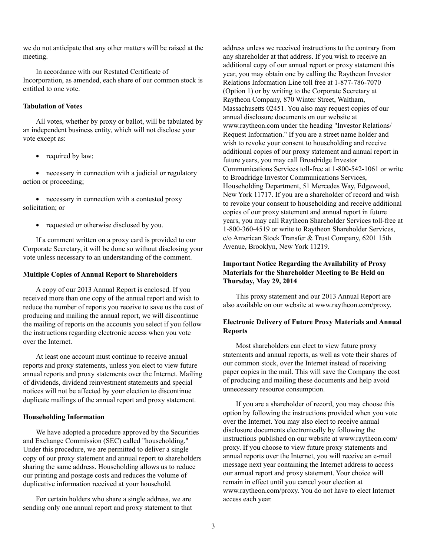we do not anticipate that any other matters will be raised at the meeting.

In accordance with our Restated Certificate of Incorporation, as amended, each share of our common stock is entitled to one vote.

### **Tabulation of Votes**

All votes, whether by proxy or ballot, will be tabulated by an independent business entity, which will not disclose your vote except as:

• required by law;

necessary in connection with a judicial or regulatory action or proceeding;

necessary in connection with a contested proxy solicitation; or

• requested or otherwise disclosed by you.

If a comment written on a proxy card is provided to our Corporate Secretary, it will be done so without disclosing your vote unless necessary to an understanding of the comment.

#### **Multiple Copies of Annual Report to Shareholders**

A copy of our 2013 Annual Report is enclosed. If you received more than one copy of the annual report and wish to reduce the number of reports you receive to save us the cost of producing and mailing the annual report, we will discontinue the mailing of reports on the accounts you select if you follow the instructions regarding electronic access when you vote over the Internet.

At least one account must continue to receive annual reports and proxy statements, unless you elect to view future annual reports and proxy statements over the Internet. Mailing of dividends, dividend reinvestment statements and special notices will not be affected by your election to discontinue duplicate mailings of the annual report and proxy statement.

#### **Householding Information**

We have adopted a procedure approved by the Securities and Exchange Commission (SEC) called "householding." Under this procedure, we are permitted to deliver a single copy of our proxy statement and annual report to shareholders sharing the same address. Householding allows us to reduce our printing and postage costs and reduces the volume of duplicative information received at your household.

For certain holders who share a single address, we are sending only one annual report and proxy statement to that address unless we received instructions to the contrary from any shareholder at that address. If you wish to receive an additional copy of our annual report or proxy statement this year, you may obtain one by calling the Raytheon Investor Relations Information Line toll free at 1-877-786-7070 (Option 1) or by writing to the Corporate Secretary at Raytheon Company, 870 Winter Street, Waltham, Massachusetts 02451. You also may request copies of our annual disclosure documents on our website at www.raytheon.com under the heading "Investor Relations/ Request Information." If you are a street name holder and wish to revoke your consent to householding and receive additional copies of our proxy statement and annual report in future years, you may call Broadridge Investor Communications Services toll-free at 1-800-542-1061 or write to Broadridge Investor Communications Services, Householding Department, 51 Mercedes Way, Edgewood, New York 11717. If you are a shareholder of record and wish to revoke your consent to householding and receive additional copies of our proxy statement and annual report in future years, you may call Raytheon Shareholder Services toll-free at 1-800-360-4519 or write to Raytheon Shareholder Services, c/o American Stock Transfer & Trust Company, 6201 15th Avenue, Brooklyn, New York 11219.

# **Important Notice Regarding the Availability of Proxy Materials for the Shareholder Meeting to Be Held on Thursday, May 29, 2014**

This proxy statement and our 2013 Annual Report are also available on our website at www.raytheon.com/proxy.

# **Electronic Delivery of Future Proxy Materials and Annual Reports**

Most shareholders can elect to view future proxy statements and annual reports, as well as vote their shares of our common stock, over the Internet instead of receiving paper copies in the mail. This will save the Company the cost of producing and mailing these documents and help avoid unnecessary resource consumption.

If you are a shareholder of record, you may choose this option by following the instructions provided when you vote over the Internet. You may also elect to receive annual disclosure documents electronically by following the instructions published on our website at www.raytheon.com/ proxy. If you choose to view future proxy statements and annual reports over the Internet, you will receive an e-mail message next year containing the Internet address to access our annual report and proxy statement. Your choice will remain in effect until you cancel your election at www.raytheon.com/proxy. You do not have to elect Internet access each year.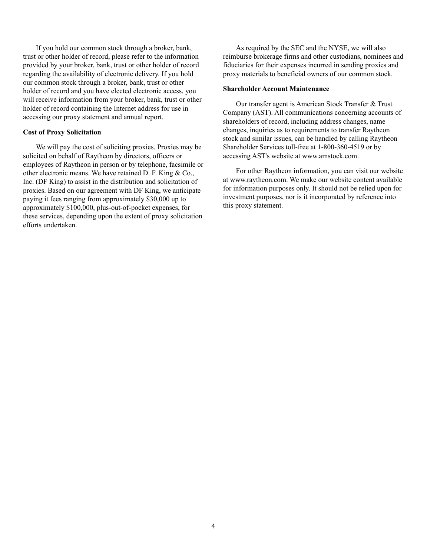If you hold our common stock through a broker, bank, trust or other holder of record, please refer to the information provided by your broker, bank, trust or other holder of record regarding the availability of electronic delivery. If you hold our common stock through a broker, bank, trust or other holder of record and you have elected electronic access, you will receive information from your broker, bank, trust or other holder of record containing the Internet address for use in accessing our proxy statement and annual report.

#### **Cost of Proxy Solicitation**

We will pay the cost of soliciting proxies. Proxies may be solicited on behalf of Raytheon by directors, officers or employees of Raytheon in person or by telephone, facsimile or other electronic means. We have retained D. F. King & Co., Inc. (DF King) to assist in the distribution and solicitation of proxies. Based on our agreement with DF King, we anticipate paying it fees ranging from approximately \$30,000 up to approximately \$100,000, plus-out-of-pocket expenses, for these services, depending upon the extent of proxy solicitation efforts undertaken.

As required by the SEC and the NYSE, we will also reimburse brokerage firms and other custodians, nominees and fiduciaries for their expenses incurred in sending proxies and proxy materials to beneficial owners of our common stock.

#### **Shareholder Account Maintenance**

Our transfer agent is American Stock Transfer & Trust Company (AST). All communications concerning accounts of shareholders of record, including address changes, name changes, inquiries as to requirements to transfer Raytheon stock and similar issues, can be handled by calling Raytheon Shareholder Services toll-free at 1-800-360-4519 or by accessing AST's website at www.amstock.com.

For other Raytheon information, you can visit our website at www.raytheon.com. We make our website content available for information purposes only. It should not be relied upon for investment purposes, nor is it incorporated by reference into this proxy statement.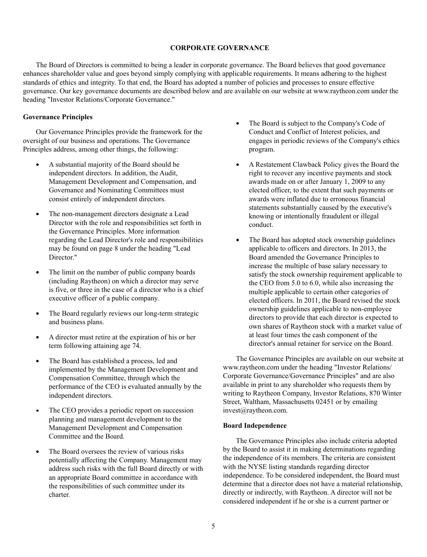### **CORPORATE GOVERNANCE**

The Board of Directors is committed to being a leader in corporate governance. The Board believes that good governance enhances shareholder value and goes beyond simply complying with applicable requirements. It means adhering to the highest standards of ethics and integrity. To that end, the Board has adopted a number of policies and processes to ensure effective governance. Our key governance documents are described below and are available on our website at www.raytheon.com under the heading "Investor Relations/Corporate Governance."

## **Governance Principles**

Our Governance Principles provide the framework for the oversight of our business and operations. The Governance Principles address, among other things, the following:

- $\bullet$ A substantial majority of the Board should be independent directors. In addition, the Audit, Management Development and Compensation, and Governance and Nominating Committees must consist entirely of independent directors.
- The non-management directors designate a Lead Director with the role and responsibilities set forth in the Governance Principles. More information regarding the Lead Director's role and responsibilities may be found on page 8 under the heading "Lead Director<sup>"</sup>
- The limit on the number of public company boards  $\bullet$ (including Raytheon) on which a director may serve is five, or three in the case of a director who is a chief executive officer of a public company.
- $\bullet$ The Board regularly reviews our long-term strategic and business plans.
- A director must retire at the expiration of his or her term following attaining age 74.
- $\bullet$ The Board has established a process, led and implemented by the Management Development and Compensation Committee, through which the performance of the CEO is evaluated annually by the independent directors.
- The CEO provides a periodic report on succession planning and management development to the Management Development and Compensation Committee and the Board.
- The Board oversees the review of various risks potentially affecting the Company. Management may address such risks with the full Board directly or with an appropriate Board committee in accordance with the responsibilities of such committee under its charter.
- $\bullet$ The Board is subject to the Company's Code of Conduct and Conflict of Interest policies, and engages in periodic reviews of the Company's ethics program.
- A Restatement Clawback Policy gives the Board the  $\bullet$ right to recover any incentive payments and stock awards made on or after January 1, 2009 to any elected officer, to the extent that such payments or awards were inflated due to erroneous financial statements substantially caused by the executive's knowing or intentionally fraudulent or illegal conduct.
- The Board has adopted stock ownership guidelines  $\bullet$ applicable to officers and directors. In 2013, the Board amended the Governance Principles to increase the multiple of base salary necessary to satisfy the stock ownership requirement applicable to the CEO from 5.0 to 6.0, while also increasing the multiple applicable to certain other categories of elected officers. In 2011, the Board revised the stock ownership guidelines applicable to non-employee directors to provide that each director is expected to own shares of Raytheon stock with a market value of at least four times the cash component of the director's annual retainer for service on the Board.

The Governance Principles are available on our website at www.raytheon.com under the heading "Investor Relations/ Corporate Governance/Governance Principles" and are also available in print to any shareholder who requests them by writing to Raytheon Company, Investor Relations, 870 Winter Street, Waltham, Massachusetts 02451 or by emailing invest@raytheon.com.

### **Board Independence**

The Governance Principles also include criteria adopted by the Board to assist it in making determinations regarding the independence of its members. The criteria are consistent with the NYSE listing standards regarding director independence. To be considered independent, the Board must determine that a director does not have a material relationship, directly or indirectly, with Raytheon. A director will not be considered independent if he or she is a current partner or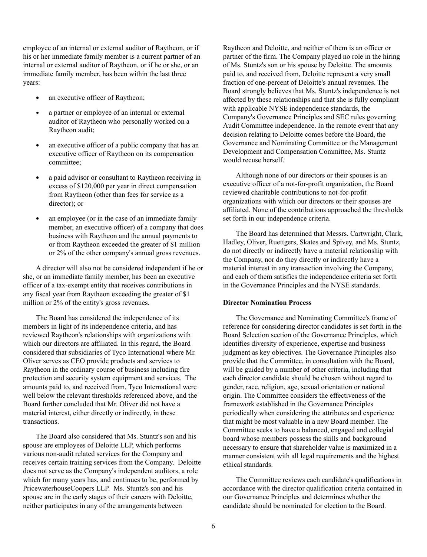employee of an internal or external auditor of Raytheon, or if his or her immediate family member is a current partner of an internal or external auditor of Raytheon, or if he or she, or an immediate family member, has been within the last three years:

- an executive officer of Raytheon;  $\bullet$
- $\bullet$ a partner or employee of an internal or external auditor of Raytheon who personally worked on a Raytheon audit;
- an executive officer of a public company that has an executive officer of Raytheon on its compensation committee;
- a paid advisor or consultant to Raytheon receiving in excess of \$120,000 per year in direct compensation from Raytheon (other than fees for service as a director); or
- an employee (or in the case of an immediate family member, an executive officer) of a company that does business with Raytheon and the annual payments to or from Raytheon exceeded the greater of \$1 million or 2% of the other company's annual gross revenues.

A director will also not be considered independent if he or she, or an immediate family member, has been an executive officer of a tax-exempt entity that receives contributions in any fiscal year from Raytheon exceeding the greater of \$1 million or 2% of the entity's gross revenues.

The Board has considered the independence of its members in light of its independence criteria, and has reviewed Raytheon's relationships with organizations with which our directors are affiliated. In this regard, the Board considered that subsidiaries of Tyco International where Mr. Oliver serves as CEO provide products and services to Raytheon in the ordinary course of business including fire protection and security system equipment and services. The amounts paid to, and received from, Tyco International were well below the relevant thresholds referenced above, and the Board further concluded that Mr. Oliver did not have a material interest, either directly or indirectly, in these transactions.

The Board also considered that Ms. Stuntz's son and his spouse are employees of Deloitte LLP, which performs various non-audit related services for the Company and receives certain training services from the Company. Deloitte does not serve as the Company's independent auditors, a role which for many years has, and continues to be, performed by PricewaterhouseCoopers LLP. Ms. Stuntz's son and his spouse are in the early stages of their careers with Deloitte, neither participates in any of the arrangements between

Raytheon and Deloitte, and neither of them is an officer or partner of the firm. The Company played no role in the hiring of Ms. Stuntz's son or his spouse by Deloitte. The amounts paid to, and received from, Deloitte represent a very small fraction of one-percent of Deloitte's annual revenues. The Board strongly believes that Ms. Stuntz's independence is not affected by these relationships and that she is fully compliant with applicable NYSE independence standards, the Company's Governance Principles and SEC rules governing Audit Committee independence. In the remote event that any decision relating to Deloitte comes before the Board, the Governance and Nominating Committee or the Management Development and Compensation Committee, Ms. Stuntz would recuse herself.

Although none of our directors or their spouses is an executive officer of a not-for-profit organization, the Board reviewed charitable contributions to not-for-profit organizations with which our directors or their spouses are affiliated. None of the contributions approached the thresholds set forth in our independence criteria.

The Board has determined that Messrs. Cartwright, Clark, Hadley, Oliver, Ruettgers, Skates and Spivey, and Ms. Stuntz, do not directly or indirectly have a material relationship with the Company, nor do they directly or indirectly have a material interest in any transaction involving the Company, and each of them satisfies the independence criteria set forth in the Governance Principles and the NYSE standards.

#### **Director Nomination Process**

The Governance and Nominating Committee's frame of reference for considering director candidates is set forth in the Board Selection section of the Governance Principles, which identifies diversity of experience, expertise and business judgment as key objectives. The Governance Principles also provide that the Committee, in consultation with the Board, will be guided by a number of other criteria, including that each director candidate should be chosen without regard to gender, race, religion, age, sexual orientation or national origin. The Committee considers the effectiveness of the framework established in the Governance Principles periodically when considering the attributes and experience that might be most valuable in a new Board member. The Committee seeks to have a balanced, engaged and collegial board whose members possess the skills and background necessary to ensure that shareholder value is maximized in a manner consistent with all legal requirements and the highest ethical standards.

The Committee reviews each candidate's qualifications in accordance with the director qualification criteria contained in our Governance Principles and determines whether the candidate should be nominated for election to the Board.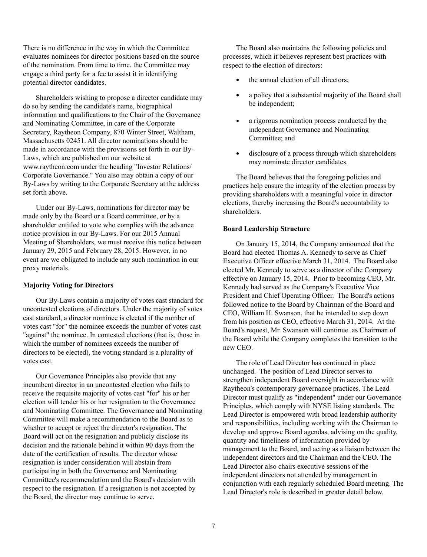There is no difference in the way in which the Committee evaluates nominees for director positions based on the source of the nomination. From time to time, the Committee may engage a third party for a fee to assist it in identifying potential director candidates.

Shareholders wishing to propose a director candidate may do so by sending the candidate's name, biographical information and qualifications to the Chair of the Governance and Nominating Committee, in care of the Corporate Secretary, Raytheon Company, 870 Winter Street, Waltham, Massachusetts 02451. All director nominations should be made in accordance with the provisions set forth in our By-Laws, which are published on our website at www.raytheon.com under the heading "Investor Relations/ Corporate Governance." You also may obtain a copy of our By-Laws by writing to the Corporate Secretary at the address set forth above.

Under our By-Laws, nominations for director may be made only by the Board or a Board committee, or by a shareholder entitled to vote who complies with the advance notice provision in our By-Laws. For our 2015 Annual Meeting of Shareholders, we must receive this notice between January 29, 2015 and February 28, 2015. However, in no event are we obligated to include any such nomination in our proxy materials.

# **Majority Voting for Directors**

Our By-Laws contain a majority of votes cast standard for uncontested elections of directors. Under the majority of votes cast standard, a director nominee is elected if the number of votes cast "for" the nominee exceeds the number of votes cast "against" the nominee. In contested elections (that is, those in which the number of nominees exceeds the number of directors to be elected), the voting standard is a plurality of votes cast.

Our Governance Principles also provide that any incumbent director in an uncontested election who fails to receive the requisite majority of votes cast "for" his or her election will tender his or her resignation to the Governance and Nominating Committee. The Governance and Nominating Committee will make a recommendation to the Board as to whether to accept or reject the director's resignation. The Board will act on the resignation and publicly disclose its decision and the rationale behind it within 90 days from the date of the certification of results. The director whose resignation is under consideration will abstain from participating in both the Governance and Nominating Committee's recommendation and the Board's decision with respect to the resignation. If a resignation is not accepted by the Board, the director may continue to serve.

processes, which it believes represent best practices with respect to the election of directors: The Board also maintains the following policies and

- the annual election of all directors;
- $\bullet$ a policy that a substantial majority of the Board shall be independent;
- $\bullet$ a rigorous nomination process conducted by the independent Governance and Nominating Committee; and
- disclosure of a process through which shareholders  $\bullet$ may nominate director candidates.

The Board believes that the foregoing policies and practices help ensure the integrity of the election process by providing shareholders with a meaningful voice in director elections, thereby increasing the Board's accountability to shareholders.

# **Board Leadership Structure**

On January 15, 2014, the Company announced that the Board had elected Thomas A. Kennedy to serve as Chief Executive Officer effective March 31, 2014. The Board also elected Mr. Kennedy to serve as a director of the Company effective on January 15, 2014. Prior to becoming CEO, Mr. Kennedy had served as the Company's Executive Vice President and Chief Operating Officer. The Board's actions followed notice to the Board by Chairman of the Board and CEO, William H. Swanson, that he intended to step down from his position as CEO, effective March 31, 2014. At the Board's request, Mr. Swanson will continue as Chairman of the Board while the Company completes the transition to the new CEO.

The role of Lead Director has continued in place unchanged. The position of Lead Director serves to strengthen independent Board oversight in accordance with Raytheon's contemporary governance practices. The Lead Director must qualify as "independent" under our Governance Principles, which comply with NYSE listing standards. The Lead Director is empowered with broad leadership authority and responsibilities, including working with the Chairman to develop and approve Board agendas, advising on the quality, quantity and timeliness of information provided by management to the Board, and acting as a liaison between the independent directors and the Chairman and the CEO. The Lead Director also chairs executive sessions of the independent directors not attended by management in conjunction with each regularly scheduled Board meeting. The Lead Director's role is described in greater detail below.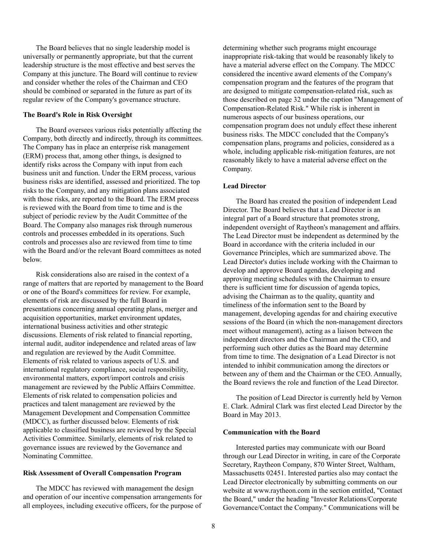The Board believes that no single leadership model is universally or permanently appropriate, but that the current leadership structure is the most effective and best serves the Company at this juncture. The Board will continue to review and consider whether the roles of the Chairman and CEO should be combined or separated in the future as part of its regular review of the Company's governance structure.

#### **The Board's Role in Risk Oversight**

The Board oversees various risks potentially affecting the Company, both directly and indirectly, through its committees. The Company has in place an enterprise risk management (ERM) process that, among other things, is designed to identify risks across the Company with input from each business unit and function. Under the ERM process, various business risks are identified, assessed and prioritized. The top risks to the Company, and any mitigation plans associated with those risks, are reported to the Board. The ERM process is reviewed with the Board from time to time and is the subject of periodic review by the Audit Committee of the Board. The Company also manages risk through numerous controls and processes embedded in its operations. Such controls and processes also are reviewed from time to time with the Board and/or the relevant Board committees as noted below.

Risk considerations also are raised in the context of a range of matters that are reported by management to the Board or one of the Board's committees for review. For example, elements of risk are discussed by the full Board in presentations concerning annual operating plans, merger and acquisition opportunities, market environment updates, international business activities and other strategic discussions. Elements of risk related to financial reporting, internal audit, auditor independence and related areas of law and regulation are reviewed by the Audit Committee. Elements of risk related to various aspects of U.S. and international regulatory compliance, social responsibility, environmental matters, export/import controls and crisis management are reviewed by the Public Affairs Committee. Elements of risk related to compensation policies and practices and talent management are reviewed by the Management Development and Compensation Committee (MDCC), as further discussed below. Elements of risk applicable to classified business are reviewed by the Special Activities Committee. Similarly, elements of risk related to governance issues are reviewed by the Governance and Nominating Committee.

# **Risk Assessment of Overall Compensation Program**

The MDCC has reviewed with management the design and operation of our incentive compensation arrangements for all employees, including executive officers, for the purpose of determining whether such programs might encourage inappropriate risk-taking that would be reasonably likely to have a material adverse effect on the Company. The MDCC considered the incentive award elements of the Company's compensation program and the features of the program that are designed to mitigate compensation-related risk, such as those described on page 32 under the caption "Management of Compensation-Related Risk." While risk is inherent in numerous aspects of our business operations, our compensation program does not unduly effect these inherent business risks. The MDCC concluded that the Company's compensation plans, programs and policies, considered as a whole, including applicable risk-mitigation features, are not reasonably likely to have a material adverse effect on the Company.

## **Lead Director**

The Board has created the position of independent Lead Director. The Board believes that a Lead Director is an integral part of a Board structure that promotes strong, independent oversight of Raytheon's management and affairs. The Lead Director must be independent as determined by the Board in accordance with the criteria included in our Governance Principles, which are summarized above. The Lead Director's duties include working with the Chairman to develop and approve Board agendas, developing and approving meeting schedules with the Chairman to ensure there is sufficient time for discussion of agenda topics, advising the Chairman as to the quality, quantity and timeliness of the information sent to the Board by management, developing agendas for and chairing executive sessions of the Board (in which the non-management directors meet without management), acting as a liaison between the independent directors and the Chairman and the CEO, and performing such other duties as the Board may determine from time to time. The designation of a Lead Director is not intended to inhibit communication among the directors or between any of them and the Chairman or the CEO. Annually, the Board reviews the role and function of the Lead Director.

The position of Lead Director is currently held by Vernon E. Clark. Admiral Clark was first elected Lead Director by the Board in May 2013.

### **Communication with the Board**

Interested parties may communicate with our Board through our Lead Director in writing, in care of the Corporate Secretary, Raytheon Company, 870 Winter Street, Waltham, Massachusetts 02451. Interested parties also may contact the Lead Director electronically by submitting comments on our website at www.raytheon.com in the section entitled, "Contact the Board," under the heading "Investor Relations/Corporate Governance/Contact the Company." Communications will be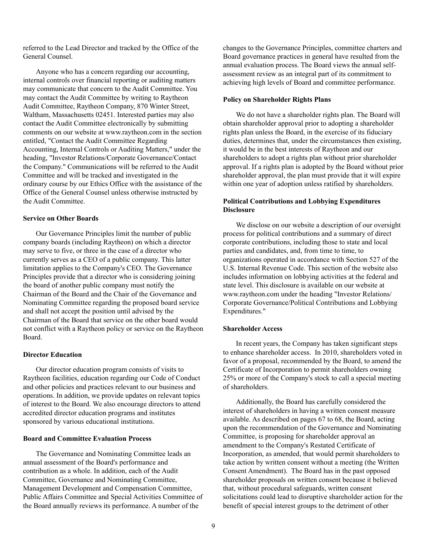referred to the Lead Director and tracked by the Office of the General Counsel.

Anyone who has a concern regarding our accounting, internal controls over financial reporting or auditing matters may communicate that concern to the Audit Committee. You may contact the Audit Committee by writing to Raytheon Audit Committee, Raytheon Company, 870 Winter Street, Waltham, Massachusetts 02451. Interested parties may also contact the Audit Committee electronically by submitting comments on our website at www.raytheon.com in the section entitled, "Contact the Audit Committee Regarding Accounting, Internal Controls or Auditing Matters," under the heading, "Investor Relations/Corporate Governance/Contact the Company." Communications will be referred to the Audit Committee and will be tracked and investigated in the ordinary course by our Ethics Office with the assistance of the Office of the General Counsel unless otherwise instructed by the Audit Committee.

### **Service on Other Boards**

Our Governance Principles limit the number of public company boards (including Raytheon) on which a director may serve to five, or three in the case of a director who currently serves as a CEO of a public company. This latter limitation applies to the Company's CEO. The Governance Principles provide that a director who is considering joining the board of another public company must notify the Chairman of the Board and the Chair of the Governance and Nominating Committee regarding the proposed board service and shall not accept the position until advised by the Chairman of the Board that service on the other board would not conflict with a Raytheon policy or service on the Raytheon Board.

#### **Director Education**

Our director education program consists of visits to Raytheon facilities, education regarding our Code of Conduct and other policies and practices relevant to our business and operations. In addition, we provide updates on relevant topics of interest to the Board. We also encourage directors to attend accredited director education programs and institutes sponsored by various educational institutions.

## **Board and Committee Evaluation Process**

The Governance and Nominating Committee leads an annual assessment of the Board's performance and contribution as a whole. In addition, each of the Audit Committee, Governance and Nominating Committee, Management Development and Compensation Committee, Public Affairs Committee and Special Activities Committee of the Board annually reviews its performance. A number of the

changes to the Governance Principles, committee charters and Board governance practices in general have resulted from the annual evaluation process. The Board views the annual selfassessment review as an integral part of its commitment to achieving high levels of Board and committee performance.

### **Policy on Shareholder Rights Plans**

We do not have a shareholder rights plan. The Board will obtain shareholder approval prior to adopting a shareholder rights plan unless the Board, in the exercise of its fiduciary duties, determines that, under the circumstances then existing, it would be in the best interests of Raytheon and our shareholders to adopt a rights plan without prior shareholder approval. If a rights plan is adopted by the Board without prior shareholder approval, the plan must provide that it will expire within one year of adoption unless ratified by shareholders.

# **Political Contributions and Lobbying Expenditures Disclosure**

We disclose on our website a description of our oversight process for political contributions and a summary of direct corporate contributions, including those to state and local parties and candidates, and, from time to time, to organizations operated in accordance with Section 527 of the U.S. Internal Revenue Code. This section of the website also includes information on lobbying activities at the federal and state level. This disclosure is available on our website at www.raytheon.com under the heading "Investor Relations/ Corporate Governance/Political Contributions and Lobbying Expenditures."

#### **Shareholder Access**

In recent years, the Company has taken significant steps to enhance shareholder access. In 2010, shareholders voted in favor of a proposal, recommended by the Board, to amend the Certificate of Incorporation to permit shareholders owning 25% or more of the Company's stock to call a special meeting of shareholders.

Additionally, the Board has carefully considered the interest of shareholders in having a written consent measure available. As described on pages 67 to 68, the Board, acting upon the recommendation of the Governance and Nominating Committee, is proposing for shareholder approval an amendment to the Company's Restated Certificate of Incorporation, as amended, that would permit shareholders to take action by written consent without a meeting (the Written Consent Amendment). The Board has in the past opposed shareholder proposals on written consent because it believed that, without procedural safeguards, written consent solicitations could lead to disruptive shareholder action for the benefit of special interest groups to the detriment of other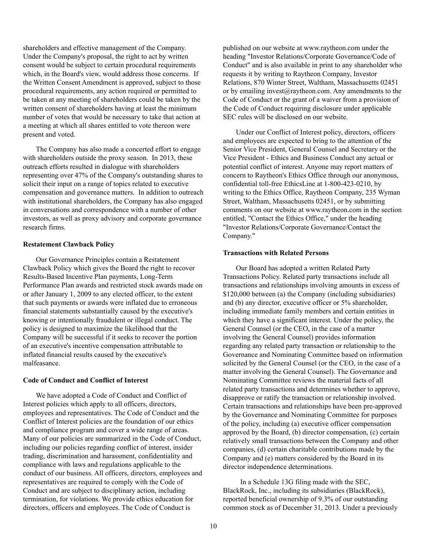shareholders and effective management of the Company. Under the Company's proposal, the right to act by written consent would be subject to certain procedural requirements which, in the Board's view, would address those concerns. If the Written Consent Amendment is approved, subject to those procedural requirements, any action required or permitted to be taken at any meeting of shareholders could be taken by the written consent of shareholders having at least the minimum number of votes that would be necessary to take that action at a meeting at which all shares entitled to vote thereon were present and voted.

The Company has also made a concerted effort to engage with shareholders outside the proxy season. In 2013, these outreach efforts resulted in dialogue with shareholders representing over 47% of the Company's outstanding shares to solicit their input on a range of topics related to executive compensation and governance matters. In addition to outreach with institutional shareholders, the Company has also engaged in conversations and correspondence with a number of other investors, as well as proxy advisory and corporate governance research firms.

### **Restatement Clawback Policy**

Our Governance Principles contain a Restatement Clawback Policy which gives the Board the right to recover Results-Based Incentive Plan payments, Long-Term Performance Plan awards and restricted stock awards made on or after January 1, 2009 to any elected officer, to the extent that such payments or awards were inflated due to erroneous financial statements substantially caused by the executive's knowing or intentionally fraudulent or illegal conduct. The policy is designed to maximize the likelihood that the Company will be successful if it seeks to recover the portion of an executive's incentive compensation attributable to inflated financial results caused by the executive's malfeasance.

#### **Code of Conduct and Conflict of Interest**

We have adopted a Code of Conduct and Conflict of Interest policies which apply to all officers, directors, employees and representatives. The Code of Conduct and the Conflict of Interest policies are the foundation of our ethics and compliance program and cover a wide range of areas. Many of our policies are summarized in the Code of Conduct, including our policies regarding conflict of interest, insider trading, discrimination and harassment, confidentiality and compliance with laws and regulations applicable to the conduct of our business. All officers, directors, employees and representatives are required to comply with the Code of Conduct and are subject to disciplinary action, including termination, for violations. We provide ethics education for directors, officers and employees. The Code of Conduct is

published on our website at www.raytheon.com under the heading "Investor Relations/Corporate Governance/Code of Conduct" and is also available in print to any shareholder who requests it by writing to Raytheon Company, Investor Relations, 870 Winter Street, Waltham, Massachusetts 02451 or by emailing invest@raytheon.com. Any amendments to the Code of Conduct or the grant of a waiver from a provision of the Code of Conduct requiring disclosure under applicable SEC rules will be disclosed on our website.

Under our Conflict of Interest policy, directors, officers and employees are expected to bring to the attention of the Senior Vice President, General Counsel and Secretary or the Vice President - Ethics and Business Conduct any actual or potential conflict of interest. Anyone may report matters of concern to Raytheon's Ethics Office through our anonymous, confidential toll-free EthicsLine at 1-800-423-0210, by writing to the Ethics Office, Raytheon Company, 235 Wyman Street, Waltham, Massachusetts 02451, or by submitting comments on our website at www.raytheon.com in the section entitled, "Contact the Ethics Office," under the heading "Investor Relations/Corporate Governance/Contact the Company."

### **Transactions with Related Persons**

Our Board has adopted a written Related Party Transactions Policy. Related party transactions include all transactions and relationships involving amounts in excess of \$120,000 between (a) the Company (including subsidiaries) and (b) any director, executive officer or 5% shareholder, including immediate family members and certain entities in which they have a significant interest. Under the policy, the General Counsel (or the CEO, in the case of a matter involving the General Counsel) provides information regarding any related party transaction or relationship to the Governance and Nominating Committee based on information solicited by the General Counsel (or the CEO, in the case of a matter involving the General Counsel). The Governance and Nominating Committee reviews the material facts of all related party transactions and determines whether to approve, disapprove or ratify the transaction or relationship involved. Certain transactions and relationships have been pre-approved by the Governance and Nominating Committee for purposes of the policy, including (a) executive officer compensation approved by the Board, (b) director compensation, (c) certain relatively small transactions between the Company and other companies, (d) certain charitable contributions made by the Company and (e) matters considered by the Board in its director independence determinations.

In a Schedule 13G filing made with the SEC, BlackRock, Inc., including its subsidiaries (BlackRock), reported beneficial ownership of 9.3% of our outstanding common stock as of December 31, 2013. Under a previously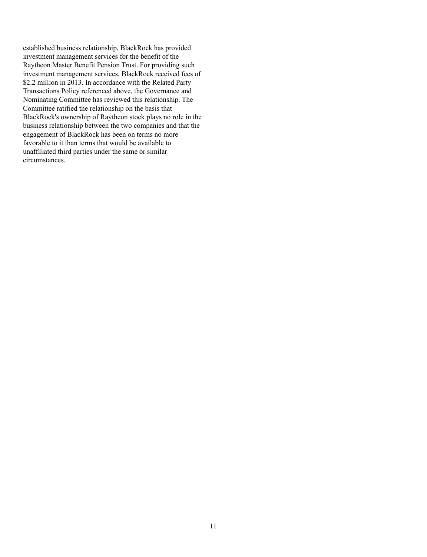established business relationship, BlackRock has provided investment management services for the benefit of the Raytheon Master Benefit Pension Trust. For providing such investment management services, BlackRock received fees of \$2.2 million in 2013. In accordance with the Related Party Transactions Policy referenced above, the Governance and Nominating Committee has reviewed this relationship. The Committee ratified the relationship on the basis that BlackRock's ownership of Raytheon stock plays no role in the business relationship between the two companies and that the engagement of BlackRock has been on terms no more favorable to it than terms that would be available to unaffiliated third parties under the same or similar circumstances.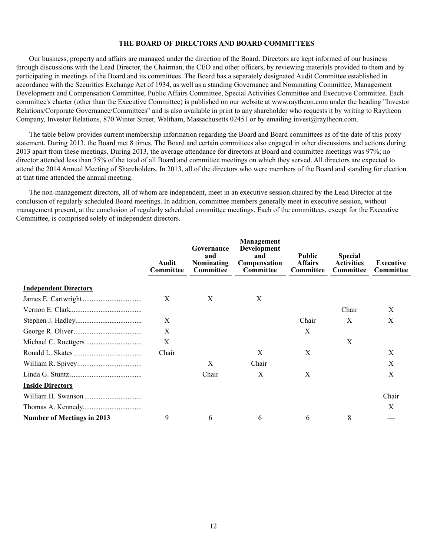### **THE BOARD OF DIRECTORS AND BOARD COMMITTEES**

Our business, property and affairs are managed under the direction of the Board. Directors are kept informed of our business through discussions with the Lead Director, the Chairman, the CEO and other officers, by reviewing materials provided to them and by participating in meetings of the Board and its committees. The Board has a separately designated Audit Committee established in accordance with the Securities Exchange Act of 1934, as well as a standing Governance and Nominating Committee, Management Development and Compensation Committee, Public Affairs Committee, Special Activities Committee and Executive Committee. Each committee's charter (other than the Executive Committee) is published on our website at www.raytheon.com under the heading "Investor Relations/Corporate Governance/Committees" and is also available in print to any shareholder who requests it by writing to Raytheon Company, Investor Relations, 870 Winter Street, Waltham, Massachusetts 02451 or by emailing invest@raytheon.com.

The table below provides current membership information regarding the Board and Board committees as of the date of this proxy statement. During 2013, the Board met 8 times. The Board and certain committees also engaged in other discussions and actions during 2013 apart from these meetings. During 2013, the average attendance for directors at Board and committee meetings was 97%; no director attended less than 75% of the total of all Board and committee meetings on which they served. All directors are expected to attend the 2014 Annual Meeting of Shareholders. In 2013, all of the directors who were members of the Board and standing for election at that time attended the annual meeting.

The non-management directors, all of whom are independent, meet in an executive session chaired by the Lead Director at the conclusion of regularly scheduled Board meetings. In addition, committee members generally meet in executive session, without management present, at the conclusion of regularly scheduled committee meetings. Each of the committees, except for the Executive Committee, is comprised solely of independent directors.

|                                   | Audit<br>Committee | Governance<br>and<br><b>Nominating</b><br>Committee | <b>Management</b><br>Development<br>and<br>Compensation<br>Committee | <b>Public</b><br><b>Affairs</b><br>Committee | <b>Special</b><br><b>Activities</b><br>Committee | Executive<br>Committee |
|-----------------------------------|--------------------|-----------------------------------------------------|----------------------------------------------------------------------|----------------------------------------------|--------------------------------------------------|------------------------|
| <b>Independent Directors</b>      |                    |                                                     |                                                                      |                                              |                                                  |                        |
|                                   | Χ                  | X                                                   | X                                                                    |                                              |                                                  |                        |
|                                   |                    |                                                     |                                                                      |                                              | Chair                                            | X                      |
|                                   | X                  |                                                     |                                                                      | Chair                                        | X                                                | X                      |
|                                   | X                  |                                                     |                                                                      | X                                            |                                                  |                        |
|                                   | X                  |                                                     |                                                                      |                                              | X                                                |                        |
|                                   | Chair              |                                                     | X                                                                    | X                                            |                                                  | X                      |
|                                   |                    | X                                                   | Chair                                                                |                                              |                                                  | X                      |
|                                   |                    | Chair                                               | X                                                                    | X                                            |                                                  | X                      |
| <b>Inside Directors</b>           |                    |                                                     |                                                                      |                                              |                                                  |                        |
|                                   |                    |                                                     |                                                                      |                                              |                                                  | Chair                  |
|                                   |                    |                                                     |                                                                      |                                              |                                                  | X                      |
| <b>Number of Meetings in 2013</b> | 9                  | 6                                                   | 6                                                                    | 6                                            | 8                                                |                        |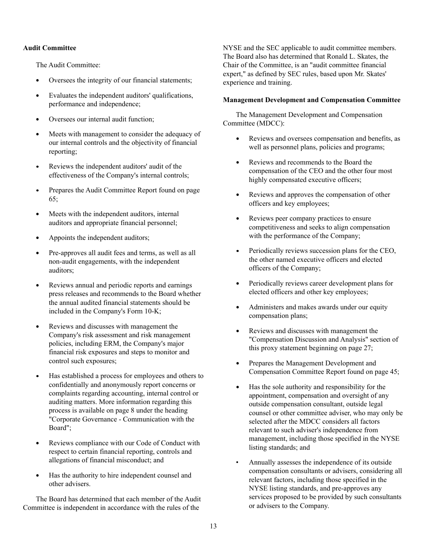# **Audit Committee**

The Audit Committee:

- Oversees the integrity of our financial statements;
- Evaluates the independent auditors' qualifications, performance and independence;
- Oversees our internal audit function;
- Meets with management to consider the adequacy of our internal controls and the objectivity of financial reporting;
- Reviews the independent auditors' audit of the  $\bullet$ effectiveness of the Company's internal controls;
- Prepares the Audit Committee Report found on page  $\bullet$ 65;
- Meets with the independent auditors, internal auditors and appropriate financial personnel;
- Appoints the independent auditors;
- Pre-approves all audit fees and terms, as well as all non-audit engagements, with the independent auditors;
- $\bullet$ Reviews annual and periodic reports and earnings press releases and recommends to the Board whether the annual audited financial statements should be included in the Company's Form 10-K;
- Reviews and discusses with management the Company's risk assessment and risk management policies, including ERM, the Company's major financial risk exposures and steps to monitor and control such exposures;
- Has established a process for employees and others to confidentially and anonymously report concerns or complaints regarding accounting, internal control or auditing matters. More information regarding this process is available on page 8 under the heading "Corporate Governance - Communication with the Board";
- Reviews compliance with our Code of Conduct with  $\bullet$ respect to certain financial reporting, controls and allegations of financial misconduct; and
- $\bullet$ Has the authority to hire independent counsel and other advisers.

The Board has determined that each member of the Audit Committee is independent in accordance with the rules of the

NYSE and the SEC applicable to audit committee members. The Board also has determined that Ronald L. Skates, the Chair of the Committee, is an "audit committee financial expert," as defined by SEC rules, based upon Mr. Skates' experience and training.

## **Management Development and Compensation Committee**

The Management Development and Compensation Committee (MDCC):

- $\bullet$ Reviews and oversees compensation and benefits, as well as personnel plans, policies and programs;
- $\bullet$ Reviews and recommends to the Board the compensation of the CEO and the other four most highly compensated executive officers;
- $\bullet$ Reviews and approves the compensation of other officers and key employees;
- $\bullet$ Reviews peer company practices to ensure competitiveness and seeks to align compensation with the performance of the Company;
- Periodically reviews succession plans for the CEO,  $\bullet$ the other named executive officers and elected officers of the Company;
- Periodically reviews career development plans for  $\bullet$ elected officers and other key employees;
- $\bullet$ Administers and makes awards under our equity compensation plans;
- $\bullet$ Reviews and discusses with management the "Compensation Discussion and Analysis" section of this proxy statement beginning on page 27;
- Prepares the Management Development and  $\bullet$ Compensation Committee Report found on page 45;
- Has the sole authority and responsibility for the  $\bullet$ appointment, compensation and oversight of any outside compensation consultant, outside legal counsel or other committee adviser, who may only be selected after the MDCC considers all factors relevant to such adviser's independence from management, including those specified in the NYSE listing standards; and
- Annually assesses the independence of its outside compensation consultants or advisers, considering all relevant factors, including those specified in the NYSE listing standards, and pre-approves any services proposed to be provided by such consultants or advisers to the Company.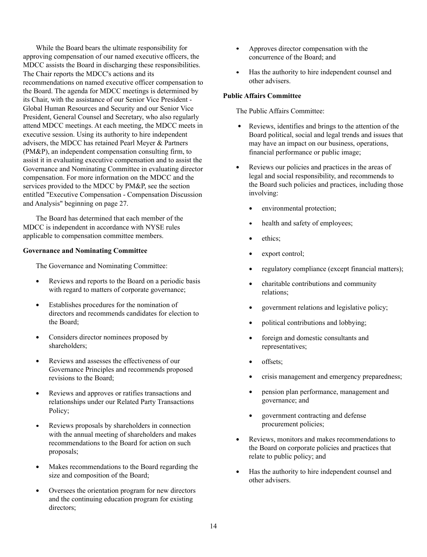While the Board bears the ultimate responsibility for approving compensation of our named executive officers, the MDCC assists the Board in discharging these responsibilities. The Chair reports the MDCC's actions and its recommendations on named executive officer compensation to the Board. The agenda for MDCC meetings is determined by its Chair, with the assistance of our Senior Vice President - Global Human Resources and Security and our Senior Vice President, General Counsel and Secretary, who also regularly attend MDCC meetings. At each meeting, the MDCC meets in executive session. Using its authority to hire independent advisers, the MDCC has retained Pearl Meyer & Partners (PM&P), an independent compensation consulting firm, to assist it in evaluating executive compensation and to assist the Governance and Nominating Committee in evaluating director compensation. For more information on the MDCC and the services provided to the MDCC by PM&P, see the section entitled "Executive Compensation - Compensation Discussion and Analysis" beginning on page 27.

The Board has determined that each member of the MDCC is independent in accordance with NYSE rules applicable to compensation committee members.

### **Governance and Nominating Committee**

The Governance and Nominating Committee:

- Reviews and reports to the Board on a periodic basis  $\bullet$ with regard to matters of corporate governance;
- Establishes procedures for the nomination of directors and recommends candidates for election to the Board;
- Considers director nominees proposed by  $\bullet$ shareholders;
- $\bullet$ Reviews and assesses the effectiveness of our Governance Principles and recommends proposed revisions to the Board;
- Reviews and approves or ratifies transactions and relationships under our Related Party Transactions Policy;
- Reviews proposals by shareholders in connection with the annual meeting of shareholders and makes recommendations to the Board for action on such proposals;
- Makes recommendations to the Board regarding the size and composition of the Board;
- $\bullet$ Oversees the orientation program for new directors and the continuing education program for existing directors;
- $\bullet$ Approves director compensation with the concurrence of the Board; and
- $\bullet$ Has the authority to hire independent counsel and other advisers.

## **Public Affairs Committee**

The Public Affairs Committee:

- Reviews, identifies and brings to the attention of the Board political, social and legal trends and issues that may have an impact on our business, operations, financial performance or public image;
- Reviews our policies and practices in the areas of  $\bullet$ legal and social responsibility, and recommends to the Board such policies and practices, including those involving:
	- environmental protection;
	- health and safety of employees;
	- $\bullet$ ethics;
	- $\bullet$ export control;
	- regulatory compliance (except financial matters);
	- charitable contributions and community  $\bullet$ relations;
	- government relations and legislative policy;
	- political contributions and lobbying;
	- foreign and domestic consultants and representatives;
	- offsets;  $\bullet$
	- crisis management and emergency preparedness;
	- $\bullet$ pension plan performance, management and governance; and
	- government contracting and defense procurement policies;
- $\bullet$ Reviews, monitors and makes recommendations to the Board on corporate policies and practices that relate to public policy; and
- $\bullet$ Has the authority to hire independent counsel and other advisers.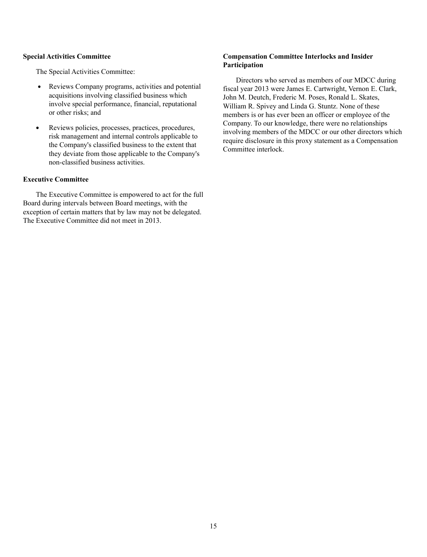## **Special Activities Committee**

The Special Activities Committee:

- $\bullet$ Reviews Company programs, activities and potential acquisitions involving classified business which involve special performance, financial, reputational or other risks; and
- Reviews policies, processes, practices, procedures,  $\bullet$ risk management and internal controls applicable to the Company's classified business to the extent that they deviate from those applicable to the Company's non-classified business activities.

# **Executive Committee**

The Executive Committee is empowered to act for the full Board during intervals between Board meetings, with the exception of certain matters that by law may not be delegated. The Executive Committee did not meet in 2013.

# **Compensation Committee Interlocks and Insider Participation**

Directors who served as members of our MDCC during fiscal year 2013 were James E. Cartwright, Vernon E. Clark, John M. Deutch, Frederic M. Poses, Ronald L. Skates, William R. Spivey and Linda G. Stuntz. None of these members is or has ever been an officer or employee of the Company. To our knowledge, there were no relationships involving members of the MDCC or our other directors which require disclosure in this proxy statement as a Compensation Committee interlock.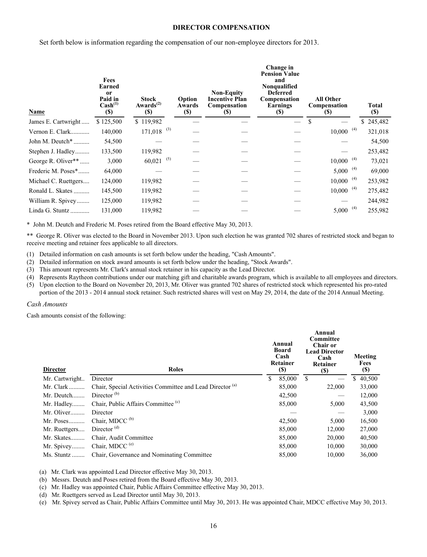#### **DIRECTOR COMPENSATION**

Set forth below is information regarding the compensation of our non-employee directors for 2013.

| Name                 | Fees<br>Earned<br><sub>or</sub><br>Paid in<br>$\text{Cash}^{(1)}$<br><b>(\$)</b> | <b>Stock</b><br>$Awards^{(2)}$<br><b>(\$)</b> | Option<br>Awards<br><b>(\$)</b> | <b>Non-Equity</b><br><b>Incentive Plan</b><br>Compensation<br>(S) | Change in<br><b>Pension Value</b><br>and<br>Nonqualified<br><b>Deferred</b><br>Compensation<br>Earnings<br>$\left( \mathbf{S}\right)$ | <b>All Other</b><br>Compensation<br>(S) |     | Total<br><b>(\$)</b> |
|----------------------|----------------------------------------------------------------------------------|-----------------------------------------------|---------------------------------|-------------------------------------------------------------------|---------------------------------------------------------------------------------------------------------------------------------------|-----------------------------------------|-----|----------------------|
| James E. Cartwright  | \$125,500                                                                        | \$119,982                                     |                                 |                                                                   |                                                                                                                                       | \$                                      |     | \$245,482            |
| Vernon E. Clark      | 140,000                                                                          | $171,018$ <sup>(3)</sup>                      |                                 |                                                                   |                                                                                                                                       | $10,000$ <sup>(4)</sup>                 |     | 321,018              |
| John M. Deutch*      | 54,500                                                                           |                                               |                                 |                                                                   |                                                                                                                                       |                                         |     | 54,500               |
| Stephen J. Hadley    | 133,500                                                                          | 119,982                                       |                                 |                                                                   |                                                                                                                                       |                                         |     | 253,482              |
| George R. Oliver**   | 3,000                                                                            | (5)<br>60,021                                 |                                 |                                                                   |                                                                                                                                       | $10,000$ <sup>(4)</sup>                 |     | 73,021               |
| Frederic M. Poses*   | 64,000                                                                           |                                               |                                 |                                                                   |                                                                                                                                       | $5,000^{-(4)}$                          |     | 69,000               |
| Michael C. Ruettgers | 124,000                                                                          | 119,982                                       |                                 |                                                                   |                                                                                                                                       | $10,000$ <sup>(4)</sup>                 |     | 253,982              |
| Ronald L. Skates     | 145,500                                                                          | 119,982                                       |                                 |                                                                   |                                                                                                                                       | 10,000                                  | (4) | 275,482              |
| William R. Spivey    | 125,000                                                                          | 119,982                                       |                                 |                                                                   |                                                                                                                                       |                                         |     | 244,982              |
| Linda G. Stuntz      | 131,000                                                                          | 119,982                                       |                                 |                                                                   |                                                                                                                                       | 5,000                                   | (4) | 255,982              |

\* John M. Deutch and Frederic M. Poses retired from the Board effective May 30, 2013.

\*\* George R. Oliver was elected to the Board in November 2013. Upon such election he was granted 702 shares of restricted stock and began to receive meeting and retainer fees applicable to all directors.

- (1) Detailed information on cash amounts is set forth below under the heading, "Cash Amounts".
- (2) Detailed information on stock award amounts is set forth below under the heading, "Stock Awards".
- (3) This amount represents Mr. Clark's annual stock retainer in his capacity as the Lead Director.

(4) Represents Raytheon contributions under our matching gift and charitable awards program, which is available to all employees and directors.

(5) Upon election to the Board on November 20, 2013, Mr. Oliver was granted 702 shares of restricted stock which represented his pro-rated portion of the 2013 - 2014 annual stock retainer. Such restricted shares will vest on May 29, 2014, the date of the 2014 Annual Meeting.

*Cash Amounts*

Cash amounts consist of the following:

| <b>Director</b> | <b>Roles</b>                                                         | Annual<br>Board<br>Cash<br>Retainer<br><b>(S)</b> | Annual<br>Committee<br><b>Chair or</b><br><b>Lead Director</b><br>Cash<br>Retainer<br><b>(S)</b> | Meeting<br>Fees<br><b>(\$)</b> |
|-----------------|----------------------------------------------------------------------|---------------------------------------------------|--------------------------------------------------------------------------------------------------|--------------------------------|
| Mr. Cartwright  | Director                                                             | \$<br>85,000                                      | \$                                                                                               | \$<br>40,500                   |
| $Mr. Clark$     | Chair, Special Activities Committee and Lead Director <sup>(a)</sup> | 85,000                                            | 22,000                                                                                           | 33,000                         |
| Mr. Deutch      | Director $(b)$                                                       | 42,500                                            |                                                                                                  | 12,000                         |
| Mr. Hadley      | Chair, Public Affairs Committee <sup>(c)</sup>                       | 85,000                                            | 5,000                                                                                            | 43,500                         |
| Mr. Oliver      | Director                                                             |                                                   |                                                                                                  | 3,000                          |
| Mr. Poses       | Chair, MDCC <sup>(b)</sup>                                           | 42,500                                            | 5,000                                                                                            | 16,500                         |
| Mr. Ruettgers   | Director $(d)$                                                       | 85,000                                            | 12,000                                                                                           | 27,000                         |
| Mr. Skates      | Chair, Audit Committee                                               | 85,000                                            | 20,000                                                                                           | 40,500                         |
| Mr. Spivey      | Chair, MDCC <sup>(e)</sup>                                           | 85,000                                            | 10,000                                                                                           | 30,000                         |
| Ms. Stuntz      | Chair, Governance and Nominating Committee                           | 85,000                                            | 10.000                                                                                           | 36,000                         |

(a) Mr. Clark was appointed Lead Director effective May 30, 2013.

(b) Messrs. Deutch and Poses retired from the Board effective May 30, 2013.

(c) Mr. Hadley was appointed Chair, Public Affairs Committee effective May 30, 2013.

(d) Mr. Ruettgers served as Lead Director until May 30, 2013.

(e) Mr. Spivey served as Chair, Public Affairs Committee until May 30, 2013. He was appointed Chair, MDCC effective May 30, 2013.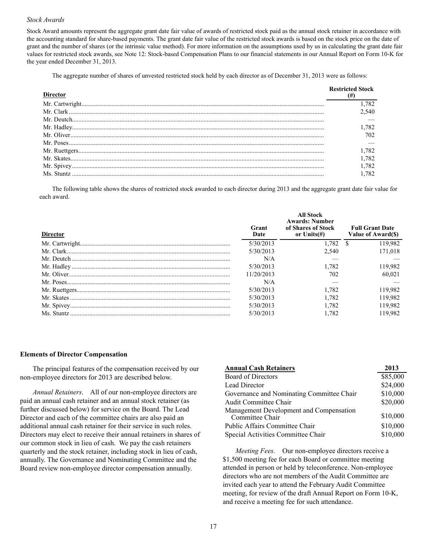#### *Stock Awards*

 Stock Award amounts represent the aggregate grant date fair value of awards of restricted stock paid as the annual stock retainer in accordance with the accounting standard for share-based payments. The grant date fair value of the restricted stock awards is based on the stock price on the date of grant and the number of shares (or the intrinsic value method). For more information on the assumptions used by us in calculating the grant date fair values for restricted stock awards, see Note 12: Stock-based Compensation Plans to our financial statements in our Annual Report on Form 10-K for the year ended December 31, 2013.

The aggregate number of shares of unvested restricted stock held by each director as of December 31, 2013 were as follows:

| <b>Director</b> | <b>Restricted Stock</b><br>(#) |
|-----------------|--------------------------------|
|                 |                                |
|                 |                                |
|                 |                                |
|                 |                                |
|                 |                                |
|                 |                                |
|                 |                                |
|                 |                                |
|                 |                                |
|                 |                                |

The following table shows the shares of restricted stock awarded to each director during 2013 and the aggregate grant date fair value for each award.

| <b>Director</b> | Grant<br>Date | <b>All Stock</b><br><b>Awards: Number</b><br>of Shares of Stock<br>or $Units(f)$ | <b>Full Grant Date</b><br>Value of Award(\$) |
|-----------------|---------------|----------------------------------------------------------------------------------|----------------------------------------------|
|                 | 5/30/2013     | 1.782                                                                            | 119,982                                      |
|                 | 5/30/2013     | 2.540                                                                            | 171.018                                      |
|                 | N/A           |                                                                                  |                                              |
|                 | 5/30/2013     | 1.782                                                                            | 119.982                                      |
|                 | 11/20/2013    | 702                                                                              | 60.021                                       |
|                 | N/A           |                                                                                  |                                              |
|                 | 5/30/2013     | 1.782                                                                            | 119,982                                      |
|                 | 5/30/2013     | 1.782                                                                            | 119.982                                      |
|                 | 5/30/2013     | 1.782                                                                            | 119.982                                      |
| Ms Stuntz       | 5/30/2013     |                                                                                  | 119.982                                      |

#### **Elements of Director Compensation**

The principal features of the compensation received by our non-employee directors for 2013 are described below.

*Annual Retainers*. All of our non-employee directors are paid an annual cash retainer and an annual stock retainer (as further discussed below) for service on the Board. The Lead Director and each of the committee chairs are also paid an additional annual cash retainer for their service in such roles. Directors may elect to receive their annual retainers in shares of our common stock in lieu of cash. We pay the cash retainers quarterly and the stock retainer, including stock in lieu of cash, annually. The Governance and Nominating Committee and the Board review non-employee director compensation annually.

| <b>Annual Cash Retainers</b>                               | 2013     |
|------------------------------------------------------------|----------|
| <b>Board of Directors</b>                                  | \$85,000 |
| Lead Director                                              | \$24,000 |
| Governance and Nominating Committee Chair                  | \$10,000 |
| <b>Audit Committee Chair</b>                               | \$20,000 |
| Management Development and Compensation<br>Committee Chair | \$10,000 |
| Public Affairs Committee Chair                             | \$10,000 |
| Special Activities Committee Chair                         | \$10,000 |

*Meeting Fees.* Our non-employee directors receive a \$1,500 meeting fee for each Board or committee meeting attended in person or held by teleconference. Non-employee directors who are not members of the Audit Committee are invited each year to attend the February Audit Committee meeting, for review of the draft Annual Report on Form 10-K, and receive a meeting fee for such attendance.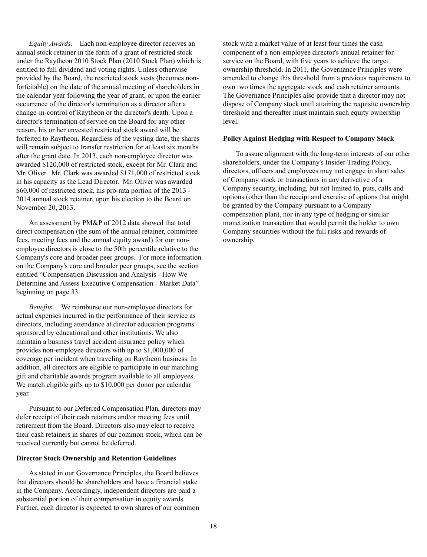*Equity Awards.* Each non-employee director receives an annual stock retainer in the form of a grant of restricted stock under the Raytheon 2010 Stock Plan (2010 Stock Plan) which is entitled to full dividend and voting rights. Unless otherwise provided by the Board, the restricted stock vests (becomes nonforfeitable) on the date of the annual meeting of shareholders in the calendar year following the year of grant, or upon the earlier occurrence of the director's termination as a director after a change-in-control of Raytheon or the director's death. Upon a director's termination of service on the Board for any other reason, his or her unvested restricted stock award will be forfeited to Raytheon. Regardless of the vesting date, the shares will remain subject to transfer restriction for at least six months after the grant date. In 2013, each non-employee director was awarded \$120,000 of restricted stock, except for Mr. Clark and Mr. Oliver. Mr. Clark was awarded \$171,000 of restricted stock in his capacity as the Lead Director. Mr. Oliver was awarded \$60,000 of restricted stock, his pro-rata portion of the 2013 - 2014 annual stock retainer, upon his election to the Board on November 20, 2013.

An assessment by PM&P of 2012 data showed that total direct compensation (the sum of the annual retainer, committee fees, meeting fees and the annual equity award) for our nonemployee directors is close to the 50th percentile relative to the Company's core and broader peer groups. For more information on the Company's core and broader peer groups, see the section entitled "Compensation Discussion and Analysis - How We Determine and Assess Executive Compensation - Market Data" beginning on page 33.

*Benefits*. We reimburse our non-employee directors for actual expenses incurred in the performance of their service as directors, including attendance at director education programs sponsored by educational and other institutions. We also maintain a business travel accident insurance policy which provides non-employee directors with up to \$1,000,000 of coverage per incident when traveling on Raytheon business. In addition, all directors are eligible to participate in our matching gift and charitable awards program available to all employees. We match eligible gifts up to \$10,000 per donor per calendar year.

Pursuant to our Deferred Compensation Plan, directors may defer receipt of their cash retainers and/or meeting fees until retirement from the Board. Directors also may elect to receive their cash retainers in shares of our common stock, which can be received currently but cannot be deferred.

# **Director Stock Ownership and Retention Guidelines**

As stated in our Governance Principles, the Board believes that directors should be shareholders and have a financial stake in the Company. Accordingly, independent directors are paid a substantial portion of their compensation in equity awards. Further, each director is expected to own shares of our common stock with a market value of at least four times the cash component of a non-employee director's annual retainer for service on the Board, with five years to achieve the target ownership threshold. In 2011, the Governance Principles were amended to change this threshold from a previous requirement to own two times the aggregate stock and cash retainer amounts. The Governance Principles also provide that a director may not dispose of Company stock until attaining the requisite ownership threshold and thereafter must maintain such equity ownership level.

### **Policy Against Hedging with Respect to Company Stock**

To assure alignment with the long-term interests of our other shareholders, under the Company's Insider Trading Policy, directors, officers and employees may not engage in short sales of Company stock or transactions in any derivative of a Company security, including, but not limited to, puts, calls and options (other than the receipt and exercise of options that might be granted by the Company pursuant to a Company compensation plan), nor in any type of hedging or similar monetization transaction that would permit the holder to own Company securities without the full risks and rewards of ownership.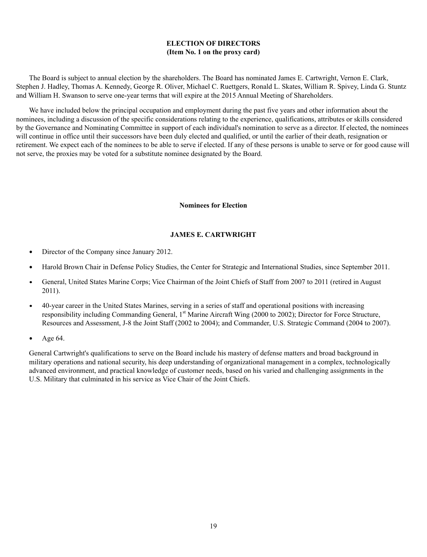# **ELECTION OF DIRECTORS (Item No. 1 on the proxy card)**

The Board is subject to annual election by the shareholders. The Board has nominated James E. Cartwright, Vernon E. Clark, Stephen J. Hadley, Thomas A. Kennedy, George R. Oliver, Michael C. Ruettgers, Ronald L. Skates, William R. Spivey, Linda G. Stuntz and William H. Swanson to serve one-year terms that will expire at the 2015 Annual Meeting of Shareholders.

We have included below the principal occupation and employment during the past five years and other information about the nominees, including a discussion of the specific considerations relating to the experience, qualifications, attributes or skills considered by the Governance and Nominating Committee in support of each individual's nomination to serve as a director. If elected, the nominees will continue in office until their successors have been duly elected and qualified, or until the earlier of their death, resignation or retirement. We expect each of the nominees to be able to serve if elected. If any of these persons is unable to serve or for good cause will not serve, the proxies may be voted for a substitute nominee designated by the Board.

### **Nominees for Election**

# **JAMES E. CARTWRIGHT**

- Director of the Company since January 2012.  $\bullet$
- $\bullet$ Harold Brown Chair in Defense Policy Studies, the Center for Strategic and International Studies, since September 2011.
- General, United States Marine Corps; Vice Chairman of the Joint Chiefs of Staff from 2007 to 2011 (retired in August  $\bullet$ 2011).
- 40-year career in the United States Marines, serving in a series of staff and operational positions with increasing  $\bullet$ responsibility including Commanding General, 1<sup>st</sup> Marine Aircraft Wing (2000 to 2002); Director for Force Structure, Resources and Assessment, J-8 the Joint Staff (2002 to 2004); and Commander, U.S. Strategic Command (2004 to 2007).
- Age 64.  $\bullet$

General Cartwright's qualifications to serve on the Board include his mastery of defense matters and broad background in military operations and national security, his deep understanding of organizational management in a complex, technologically advanced environment, and practical knowledge of customer needs, based on his varied and challenging assignments in the U.S. Military that culminated in his service as Vice Chair of the Joint Chiefs.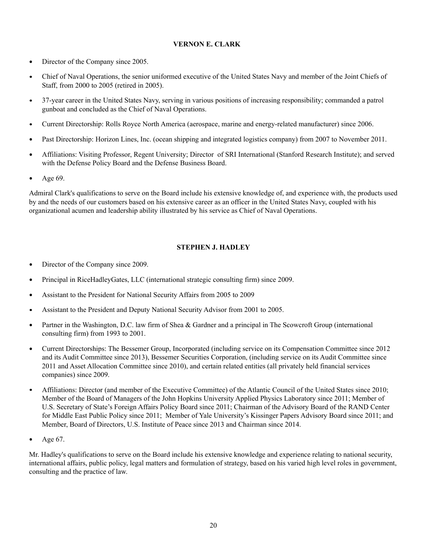# **VERNON E. CLARK**

- Director of the Company since 2005.  $\bullet$
- Chief of Naval Operations, the senior uniformed executive of the United States Navy and member of the Joint Chiefs of  $\bullet$ Staff, from 2000 to 2005 (retired in 2005).
- 37-year career in the United States Navy, serving in various positions of increasing responsibility; commanded a patrol  $\bullet$ gunboat and concluded as the Chief of Naval Operations.
- $\bullet$ Current Directorship: Rolls Royce North America (aerospace, marine and energy-related manufacturer) since 2006.
- $\bullet$ Past Directorship: Horizon Lines, Inc. (ocean shipping and integrated logistics company) from 2007 to November 2011.
- Affiliations: Visiting Professor, Regent University; Director of SRI International (Stanford Research Institute); and served with the Defense Policy Board and the Defense Business Board.
- Age 69.

Admiral Clark's qualifications to serve on the Board include his extensive knowledge of, and experience with, the products used by and the needs of our customers based on his extensive career as an officer in the United States Navy, coupled with his organizational acumen and leadership ability illustrated by his service as Chief of Naval Operations.

# **STEPHEN J. HADLEY**

- $\bullet$ Director of the Company since 2009.
- Principal in RiceHadleyGates, LLC (international strategic consulting firm) since 2009. .
- Assistant to the President for National Security Affairs from 2005 to 2009 .
- . Assistant to the President and Deputy National Security Advisor from 2001 to 2005.
- Partner in the Washington, D.C. law firm of Shea & Gardner and a principal in The Scowcroft Group (international  $\bullet$ consulting firm) from 1993 to 2001.
- Current Directorships: The Bessemer Group, Incorporated (including service on its Compensation Committee since 2012  $\bullet$ and its Audit Committee since 2013), Bessemer Securities Corporation, (including service on its Audit Committee since 2011 and Asset Allocation Committee since 2010), and certain related entities (all privately held financial services companies) since 2009.
- Affiliations: Director (and member of the Executive Committee) of the Atlantic Council of the United States since 2010;  $\bullet$ Member of the Board of Managers of the John Hopkins University Applied Physics Laboratory since 2011; Member of U.S. Secretary of State's Foreign Affairs Policy Board since 2011; Chairman of the Advisory Board of the RAND Center for Middle East Public Policy since 2011; Member of Yale University's Kissinger Papers Advisory Board since 2011; and Member, Board of Directors, U.S. Institute of Peace since 2013 and Chairman since 2014.
- $\bullet$ Age 67.

Mr. Hadley's qualifications to serve on the Board include his extensive knowledge and experience relating to national security, international affairs, public policy, legal matters and formulation of strategy, based on his varied high level roles in government, consulting and the practice of law.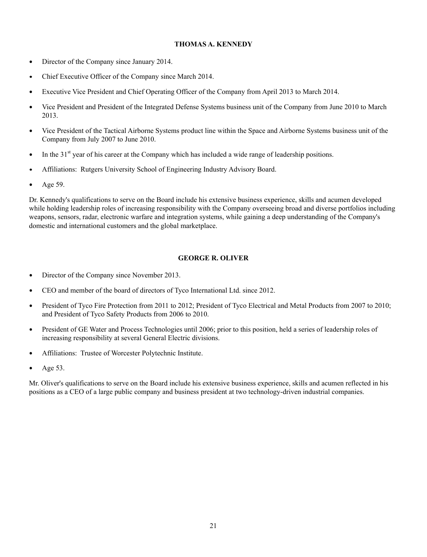# **THOMAS A. KENNEDY**

- Director of the Company since January 2014.  $\bullet$
- $\bullet$ Chief Executive Officer of the Company since March 2014.
- $\bullet$ Executive Vice President and Chief Operating Officer of the Company from April 2013 to March 2014.
- . Vice President and President of the Integrated Defense Systems business unit of the Company from June 2010 to March 2013.
- $\bullet$ Vice President of the Tactical Airborne Systems product line within the Space and Airborne Systems business unit of the Company from July 2007 to June 2010.
- In the 31<sup>st</sup> year of his career at the Company which has included a wide range of leadership positions.  $\bullet$
- Affiliations: Rutgers University School of Engineering Industry Advisory Board.  $\bullet$
- Age 59.  $\bullet$

Dr. Kennedy's qualifications to serve on the Board include his extensive business experience, skills and acumen developed while holding leadership roles of increasing responsibility with the Company overseeing broad and diverse portfolios including weapons, sensors, radar, electronic warfare and integration systems, while gaining a deep understanding of the Company's domestic and international customers and the global marketplace.

# **GEORGE R. OLIVER**

- $\bullet$ Director of the Company since November 2013.
- $\bullet$ CEO and member of the board of directors of Tyco International Ltd. since 2012.
- $\bullet$ President of Tyco Fire Protection from 2011 to 2012; President of Tyco Electrical and Metal Products from 2007 to 2010; and President of Tyco Safety Products from 2006 to 2010.
- $\bullet$ President of GE Water and Process Technologies until 2006; prior to this position, held a series of leadership roles of increasing responsibility at several General Electric divisions.
- Affiliations: Trustee of Worcester Polytechnic Institute.  $\bullet$
- Age 53.  $\bullet$

Mr. Oliver's qualifications to serve on the Board include his extensive business experience, skills and acumen reflected in his positions as a CEO of a large public company and business president at two technology-driven industrial companies.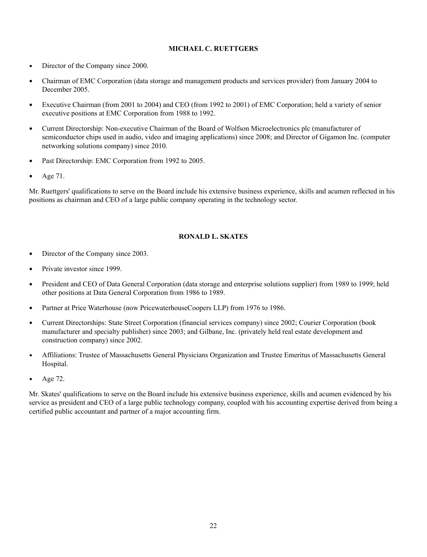# **MICHAEL C. RUETTGERS**

- Director of the Company since 2000.  $\bullet$
- Chairman of EMC Corporation (data storage and management products and services provider) from January 2004 to  $\bullet$ December 2005.
- Executive Chairman (from 2001 to 2004) and CEO (from 1992 to 2001) of EMC Corporation; held a variety of senior  $\bullet$ executive positions at EMC Corporation from 1988 to 1992.
- $\bullet$ Current Directorship: Non-executive Chairman of the Board of Wolfson Microelectronics plc (manufacturer of semiconductor chips used in audio, video and imaging applications) since 2008; and Director of Gigamon Inc. (computer networking solutions company) since 2010.
- $\bullet$ Past Directorship: EMC Corporation from 1992 to 2005.
- $\bullet$ Age 71.

Mr. Ruettgers' qualifications to serve on the Board include his extensive business experience, skills and acumen reflected in his positions as chairman and CEO of a large public company operating in the technology sector.

# **RONALD L. SKATES**

- Director of the Company since 2003.  $\bullet$
- $\bullet$ Private investor since 1999.
- President and CEO of Data General Corporation (data storage and enterprise solutions supplier) from 1989 to 1999; held  $\bullet$ other positions at Data General Corporation from 1986 to 1989.
- $\bullet$ Partner at Price Waterhouse (now PricewaterhouseCoopers LLP) from 1976 to 1986.
- $\bullet$ Current Directorships: State Street Corporation (financial services company) since 2002; Courier Corporation (book manufacturer and specialty publisher) since 2003; and Gilbane, Inc. (privately held real estate development and construction company) since 2002.
- Affiliations: Trustee of Massachusetts General Physicians Organization and Trustee Emeritus of Massachusetts General  $\bullet$ Hospital.
- Age 72.  $\bullet$

Mr. Skates' qualifications to serve on the Board include his extensive business experience, skills and acumen evidenced by his service as president and CEO of a large public technology company, coupled with his accounting expertise derived from being a certified public accountant and partner of a major accounting firm.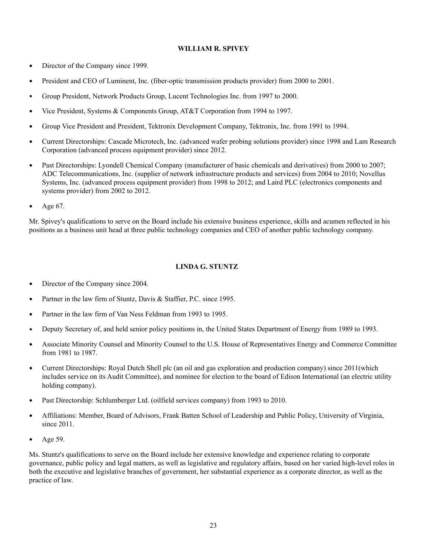# **WILLIAM R. SPIVEY**

- Director of the Company since 1999.  $\bullet$
- President and CEO of Luminent, Inc. (fiber-optic transmission products provider) from 2000 to 2001.  $\bullet$
- Group President, Network Products Group, Lucent Technologies Inc. from 1997 to 2000. .
- Vice President, Systems & Components Group, AT&T Corporation from 1994 to 1997.  $\bullet$
- Group Vice President and President, Tektronix Development Company, Tektronix, Inc. from 1991 to 1994.
- Current Directorships: Cascade Microtech, Inc. (advanced wafer probing solutions provider) since 1998 and Lam Research Corporation (advanced process equipment provider) since 2012.
- Past Directorships: Lyondell Chemical Company (manufacturer of basic chemicals and derivatives) from 2000 to 2007;  $\bullet$ ADC Telecommunications, Inc. (supplier of network infrastructure products and services) from 2004 to 2010; Novellus Systems, Inc. (advanced process equipment provider) from 1998 to 2012; and Laird PLC (electronics components and systems provider) from 2002 to 2012.
- Age 67.

Mr. Spivey's qualifications to serve on the Board include his extensive business experience, skills and acumen reflected in his positions as a business unit head at three public technology companies and CEO of another public technology company.

# **LINDA G. STUNTZ**

- Director of the Company since 2004.  $\bullet$
- Partner in the law firm of Stuntz, Davis & Staffier, P.C. since 1995.  $\bullet$
- Partner in the law firm of Van Ness Feldman from 1993 to 1995.
- Deputy Secretary of, and held senior policy positions in, the United States Department of Energy from 1989 to 1993.  $\bullet$
- Associate Minority Counsel and Minority Counsel to the U.S. House of Representatives Energy and Commerce Committee  $\bullet$ from 1981 to 1987.
- Current Directorships: Royal Dutch Shell plc (an oil and gas exploration and production company) since 2011(which  $\bullet$ includes service on its Audit Committee), and nominee for election to the board of Edison International (an electric utility holding company).
- Past Directorship: Schlumberger Ltd. (oilfield services company) from 1993 to 2010.  $\bullet$
- Affiliations: Member, Board of Advisors, Frank Batten School of Leadership and Public Policy, University of Virginia,  $\bullet$ since 2011.
- Age 59.  $\bullet$

Ms. Stuntz's qualifications to serve on the Board include her extensive knowledge and experience relating to corporate governance, public policy and legal matters, as well as legislative and regulatory affairs, based on her varied high-level roles in both the executive and legislative branches of government, her substantial experience as a corporate director, as well as the practice of law.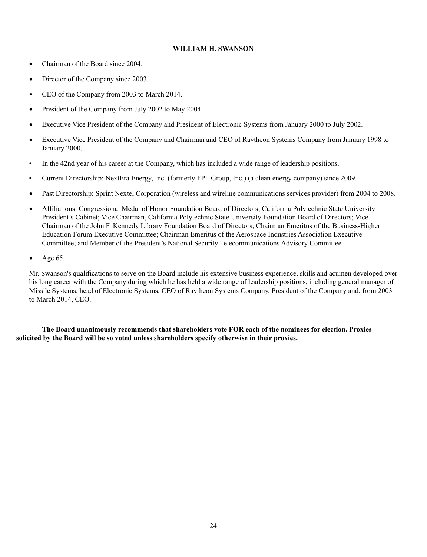# **WILLIAM H. SWANSON**

- Chairman of the Board since 2004.  $\bullet$
- Director of the Company since 2003.  $\bullet$
- CEO of the Company from 2003 to March 2014.  $\bullet$
- President of the Company from July 2002 to May 2004.  $\bullet$
- Executive Vice President of the Company and President of Electronic Systems from January 2000 to July 2002.  $\bullet$
- $\bullet$ Executive Vice President of the Company and Chairman and CEO of Raytheon Systems Company from January 1998 to January 2000.
- In the 42nd year of his career at the Company, which has included a wide range of leadership positions.
- Current Directorship: NextEra Energy, Inc. (formerly FPL Group, Inc.) (a clean energy company) since 2009.
- $\bullet$ Past Directorship: Sprint Nextel Corporation (wireless and wireline communications services provider) from 2004 to 2008.
- $\bullet$ Affiliations: Congressional Medal of Honor Foundation Board of Directors; California Polytechnic State University President's Cabinet; Vice Chairman, California Polytechnic State University Foundation Board of Directors; Vice Chairman of the John F. Kennedy Library Foundation Board of Directors; Chairman Emeritus of the Business-Higher Education Forum Executive Committee; Chairman Emeritus of the Aerospace Industries Association Executive Committee; and Member of the President's National Security Telecommunications Advisory Committee.
- $\bullet$ Age 65.

Mr. Swanson's qualifications to serve on the Board include his extensive business experience, skills and acumen developed over his long career with the Company during which he has held a wide range of leadership positions, including general manager of Missile Systems, head of Electronic Systems, CEO of Raytheon Systems Company, President of the Company and, from 2003 to March 2014, CEO.

 **The Board unanimously recommends that shareholders vote FOR each of the nominees for election. Proxies solicited by the Board will be so voted unless shareholders specify otherwise in their proxies.**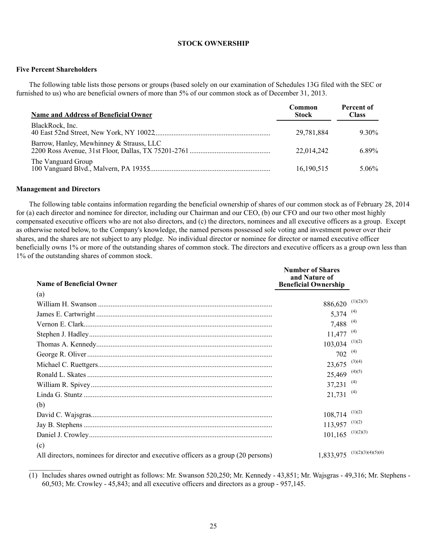### **STOCK OWNERSHIP**

# **Five Percent Shareholders**

The following table lists those persons or groups (based solely on our examination of Schedules 13G filed with the SEC or furnished to us) who are beneficial owners of more than 5% of our common stock as of December 31, 2013.

| <b>Name and Address of Beneficial Owner</b> | Common<br><b>Stock</b> | <b>Percent of</b><br>Class |
|---------------------------------------------|------------------------|----------------------------|
| BlackRock, Inc.                             | 29,781,884             | $9.30\%$                   |
| Barrow, Hanley, Mewhinney & Strauss, LLC    | 22,014,242             | 6.89%                      |
| The Vanguard Group                          | 16,190,515             | $5.06\%$                   |

### **Management and Directors**

 $\frac{1}{2}$ 

The following table contains information regarding the beneficial ownership of shares of our common stock as of February 28, 2014 for (a) each director and nominee for director, including our Chairman and our CEO, (b) our CFO and our two other most highly compensated executive officers who are not also directors, and (c) the directors, nominees and all executive officers as a group. Except as otherwise noted below, to the Company's knowledge, the named persons possessed sole voting and investment power over their shares, and the shares are not subject to any pledge. No individual director or nominee for director or named executive officer beneficially owns 1% or more of the outstanding shares of common stock. The directors and executive officers as a group own less than 1% of the outstanding shares of common stock.

| <b>Name of Beneficial Owner</b>                                                     | <b>Number of Shares</b><br>and Nature of<br><b>Beneficial Ownership</b> |                    |
|-------------------------------------------------------------------------------------|-------------------------------------------------------------------------|--------------------|
| (a)                                                                                 |                                                                         |                    |
|                                                                                     | $886,620$ (1)(2)(3)                                                     |                    |
|                                                                                     | 5,374 $(4)$                                                             |                    |
|                                                                                     | 7,488 <sup>(4)</sup>                                                    |                    |
|                                                                                     | 11,477                                                                  | (4)                |
|                                                                                     | 103,034                                                                 | (1)(2)             |
|                                                                                     | 702                                                                     | (4)                |
|                                                                                     | 23,675                                                                  | (3)(4)             |
|                                                                                     | 25,469                                                                  | (4)(5)             |
|                                                                                     | 37,231                                                                  | (4)                |
|                                                                                     | 21,731                                                                  | (4)                |
| (b)                                                                                 |                                                                         |                    |
|                                                                                     | 108,714                                                                 | (1)(2)             |
|                                                                                     | $113,957$ <sup>(1)(2)</sup>                                             |                    |
|                                                                                     | $101, 165$ <sup>(1)(2)(3)</sup>                                         |                    |
| (c)                                                                                 |                                                                         |                    |
| All directors, nominees for director and executive officers as a group (20 persons) | 1,833,975                                                               | (1)(2)(3)(4)(5)(6) |

(1) Includes shares owned outright as follows: Mr. Swanson 520,250; Mr. Kennedy - 43,851; Mr. Wajsgras - 49,316; Mr. Stephens - 60,503; Mr. Crowley - 45,843; and all executive officers and directors as a group - 957,145.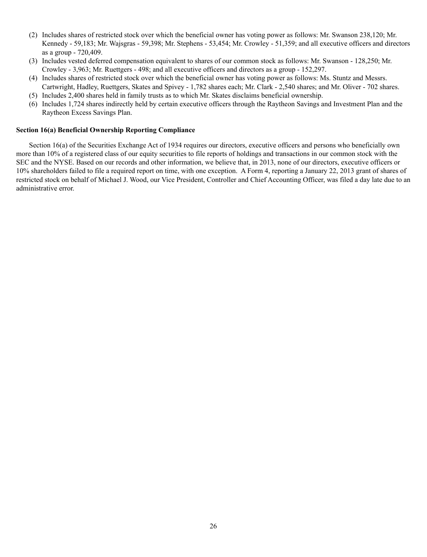- (2) Includes shares of restricted stock over which the beneficial owner has voting power as follows: Mr. Swanson 238,120; Mr. Kennedy - 59,183; Mr. Wajsgras - 59,398; Mr. Stephens - 53,454; Mr. Crowley - 51,359; and all executive officers and directors as a group - 720,409.
- (3) Includes vested deferred compensation equivalent to shares of our common stock as follows: Mr. Swanson 128,250; Mr. Crowley - 3,963; Mr. Ruettgers - 498; and all executive officers and directors as a group - 152,297.
- (4) Includes shares of restricted stock over which the beneficial owner has voting power as follows: Ms. Stuntz and Messrs.
- Cartwright, Hadley, Ruettgers, Skates and Spivey 1,782 shares each; Mr. Clark 2,540 shares; and Mr. Oliver 702 shares. (5) Includes 2,400 shares held in family trusts as to which Mr. Skates disclaims beneficial ownership.
- (6) Includes 1,724 shares indirectly held by certain executive officers through the Raytheon Savings and Investment Plan and the Raytheon Excess Savings Plan.

# **Section 16(a) Beneficial Ownership Reporting Compliance**

Section 16(a) of the Securities Exchange Act of 1934 requires our directors, executive officers and persons who beneficially own more than 10% of a registered class of our equity securities to file reports of holdings and transactions in our common stock with the SEC and the NYSE. Based on our records and other information, we believe that, in 2013, none of our directors, executive officers or 10% shareholders failed to file a required report on time, with one exception. A Form 4, reporting a January 22, 2013 grant of shares of restricted stock on behalf of Michael J. Wood, our Vice President, Controller and Chief Accounting Officer, was filed a day late due to an administrative error.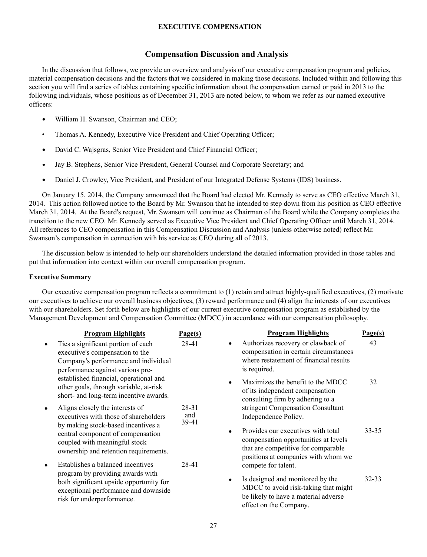## **EXECUTIVE COMPENSATION**

# **Compensation Discussion and Analysis**

In the discussion that follows, we provide an overview and analysis of our executive compensation program and policies, material compensation decisions and the factors that we considered in making those decisions. Included within and following this section you will find a series of tables containing specific information about the compensation earned or paid in 2013 to the following individuals, whose positions as of December 31, 2013 are noted below, to whom we refer as our named executive officers:

- $\bullet$ William H. Swanson, Chairman and CEO;
- Thomas A. Kennedy, Executive Vice President and Chief Operating Officer;
- $\bullet$ David C. Wajsgras, Senior Vice President and Chief Financial Officer;
- $\bullet$ Jay B. Stephens, Senior Vice President, General Counsel and Corporate Secretary; and
- $\bullet$ Daniel J. Crowley, Vice President, and President of our Integrated Defense Systems (IDS) business.

On January 15, 2014, the Company announced that the Board had elected Mr. Kennedy to serve as CEO effective March 31, 2014. This action followed notice to the Board by Mr. Swanson that he intended to step down from his position as CEO effective March 31, 2014. At the Board's request, Mr. Swanson will continue as Chairman of the Board while the Company completes the transition to the new CEO. Mr. Kennedy served as Executive Vice President and Chief Operating Officer until March 31, 2014. All references to CEO compensation in this Compensation Discussion and Analysis (unless otherwise noted) reflect Mr. Swanson's compensation in connection with his service as CEO during all of 2013.

The discussion below is intended to help our shareholders understand the detailed information provided in those tables and put that information into context within our overall compensation program.

## **Executive Summary**

Our executive compensation program reflects a commitment to (1) retain and attract highly-qualified executives, (2) motivate our executives to achieve our overall business objectives, (3) reward performance and (4) align the interests of our executives with our shareholders. Set forth below are highlights of our current executive compensation program as established by the Management Development and Compensation Committee (MDCC) in accordance with our compensation philosophy.

|           | <b>Program Highlights</b>                                                                                                                         | Page(s)               | <b>Program Highlights</b>                                                                                                                                | Page(s)   |
|-----------|---------------------------------------------------------------------------------------------------------------------------------------------------|-----------------------|----------------------------------------------------------------------------------------------------------------------------------------------------------|-----------|
| ٠         | Ties a significant portion of each<br>executive's compensation to the<br>Company's performance and individual<br>performance against various pre- | 28-41                 | Authorizes recovery or clawback of<br>٠<br>compensation in certain circumstances<br>where restatement of financial results<br>is required.               | 43        |
|           | established financial, operational and<br>other goals, through variable, at-risk<br>short- and long-term incentive awards.                        |                       | Maximizes the benefit to the MDCC<br>of its independent compensation<br>consulting firm by adhering to a                                                 | 32        |
| $\bullet$ | Aligns closely the interests of<br>executives with those of shareholders<br>by making stock-based incentives a                                    | 28-31<br>and<br>39-41 | stringent Compensation Consultant<br>Independence Policy.                                                                                                |           |
|           | central component of compensation<br>coupled with meaningful stock<br>ownership and retention requirements.                                       |                       | Provides our executives with total<br>compensation opportunities at levels<br>that are competitive for comparable<br>positions at companies with whom we | $33 - 35$ |
| ٠         | Establishes a balanced incentives                                                                                                                 | 28-41                 | compete for talent.                                                                                                                                      |           |
|           | program by providing awards with<br>both significant upside opportunity for<br>exceptional performance and downside<br>risk for underperformance. |                       | Is designed and monitored by the<br>MDCC to avoid risk-taking that might<br>be likely to have a material adverse<br>effect on the Company.               | $32 - 33$ |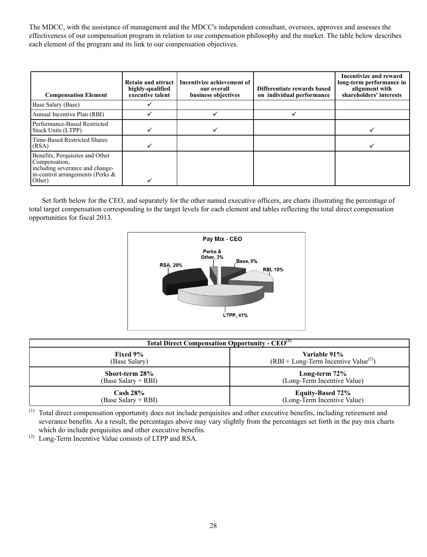The MDCC, with the assistance of management and the MDCC's independent consultant, oversees, approves and assesses the effectiveness of our compensation program in relation to our compensation philosophy and the market. The table below describes each element of the program and its link to our compensation objectives.

| <b>Compensation Element</b>                                                                                                       | <b>Retain and attract</b><br>highly-qualified<br>executive talent | Incentivize achievement of<br>our overall<br>business objectives | Differentiate rewards based<br>on individual performance | <b>Incentivize and reward</b><br>long-term performance in<br>alignment with<br>shareholders' interests |
|-----------------------------------------------------------------------------------------------------------------------------------|-------------------------------------------------------------------|------------------------------------------------------------------|----------------------------------------------------------|--------------------------------------------------------------------------------------------------------|
| Base Salary (Base)                                                                                                                |                                                                   |                                                                  |                                                          |                                                                                                        |
| Annual Incentive Plan (RBI)                                                                                                       |                                                                   |                                                                  |                                                          |                                                                                                        |
| Performance-Based Restricted<br>Stock Units (LTPP)                                                                                |                                                                   |                                                                  |                                                          |                                                                                                        |
| Time-Based Restricted Shares<br>(RSA)                                                                                             |                                                                   |                                                                  |                                                          |                                                                                                        |
| Benefits, Perquisites and Other<br>Compensation,<br>including severance and change-<br>in-control arrangements (Perks &<br>Other) |                                                                   |                                                                  |                                                          |                                                                                                        |

Set forth below for the CEO, and separately for the other named executive officers, are charts illustrating the percentage of total target compensation corresponding to the target levels for each element and tables reflecting the total direct compensation opportunities for fiscal 2013.



| <b>Total Direct Compensation Opportunity - CEO<sup>(1)</sup></b> |                                        |  |  |  |
|------------------------------------------------------------------|----------------------------------------|--|--|--|
| Fixed 9%                                                         | Variable 91%                           |  |  |  |
| (Base Salary)                                                    | $(RBI + Long-Term Incentive Value(2))$ |  |  |  |
| Short-term 28%                                                   | Long-term 72%                          |  |  |  |
| (Base Salary + RBI)                                              | (Long-Term Incentive Value)            |  |  |  |
| $\mathrm{Cash}\ 28\%$                                            | <b>Equity-Based 72%</b>                |  |  |  |
| (Base Salary + RBI)                                              | (Long-Term Incentive Value)            |  |  |  |

(1) Total direct compensation opportunity does not include perquisites and other executive benefits, including retirement and severance benefits. As a result, the percentages above may vary slightly from the percentages set forth in the pay mix charts which do include perquisites and other executive benefits.

(2) Long-Term Incentive Value consists of LTPP and RSA.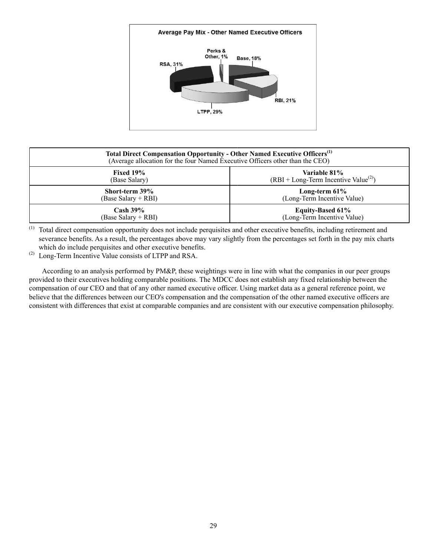

| Total Direct Compensation Opportunity - Other Named Executive Officers <sup>(1)</sup><br>(Average allocation for the four Named Executive Officers other than the CEO) |                                        |  |  |  |
|------------------------------------------------------------------------------------------------------------------------------------------------------------------------|----------------------------------------|--|--|--|
| <b>Fixed 19%</b>                                                                                                                                                       | Variable 81%                           |  |  |  |
| (Base Salary)                                                                                                                                                          | $(RBI + Long-Term Incentive Value(2))$ |  |  |  |
| Short-term 39%                                                                                                                                                         | Long-term $61\%$                       |  |  |  |
| (Base Salary + RBI)                                                                                                                                                    | (Long-Term Incentive Value)            |  |  |  |
| $Cash 39\%$                                                                                                                                                            | <b>Equity-Based 61%</b>                |  |  |  |
| (Base Salary + RBI)                                                                                                                                                    | (Long-Term Incentive Value)            |  |  |  |

(1) Total direct compensation opportunity does not include perquisites and other executive benefits, including retirement and severance benefits. As a result, the percentages above may vary slightly from the percentages set forth in the pay mix charts which do include perquisites and other executive benefits.

(2) Long-Term Incentive Value consists of LTPP and RSA.

According to an analysis performed by PM&P, these weightings were in line with what the companies in our peer groups provided to their executives holding comparable positions. The MDCC does not establish any fixed relationship between the compensation of our CEO and that of any other named executive officer. Using market data as a general reference point, we believe that the differences between our CEO's compensation and the compensation of the other named executive officers are consistent with differences that exist at comparable companies and are consistent with our executive compensation philosophy.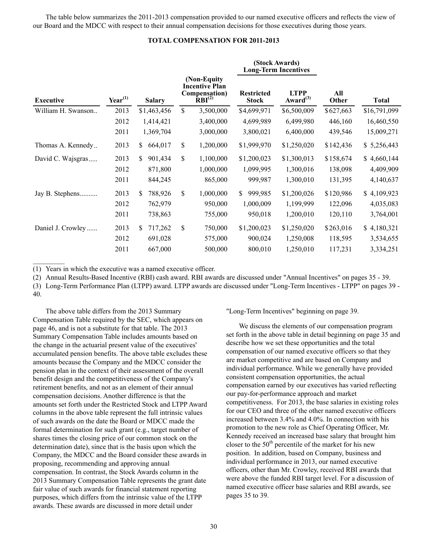The table below summarizes the 2011-2013 compensation provided to our named executive officers and reflects the view of our Board and the MDCC with respect to their annual compensation decisions for those executives during those years.

# **TOTAL COMPENSATION FOR 2011-2013**

|                    |              |                |                                                                             | (Stock Awards)<br><b>Long-Term Incentives</b> |                               |              |              |
|--------------------|--------------|----------------|-----------------------------------------------------------------------------|-----------------------------------------------|-------------------------------|--------------|--------------|
| <b>Executive</b>   | $Year^{(1)}$ | <b>Salary</b>  | (Non-Equity<br><b>Incentive Plan</b><br>Compensation)<br>RBI <sup>(2)</sup> | <b>Restricted</b><br><b>Stock</b>             | <b>LTPP</b><br>Award $^{(3)}$ | All<br>Other | <b>Total</b> |
| William H. Swanson | 2013         | \$1,463,456    | \$<br>3,500,000                                                             | \$4,699,971                                   | \$6,500,009                   | \$627,663    | \$16,791,099 |
|                    | 2012         | 1,414,421      | 3,400,000                                                                   | 4,699,989                                     | 6,499,980                     | 446,160      | 16,460,550   |
|                    | 2011         | 1,369,704      | 3,000,000                                                                   | 3,800,021                                     | 6,400,000                     | 439,546      | 15,009,271   |
| Thomas A. Kennedy  | 2013         | \$<br>664,017  | \$<br>1,200,000                                                             | \$1,999,970                                   | \$1,250,020                   | \$142,436    | \$5,256,443  |
| David C. Wajsgras  | 2013         | \$.<br>901,434 | \$<br>1,100,000                                                             | \$1,200,023                                   | \$1,300,013                   | \$158,674    | \$4,660,144  |
|                    | 2012         | 871,800        | 1,000,000                                                                   | 1,099,995                                     | 1,300,016                     | 138,098      | 4,409,909    |
|                    | 2011         | 844,245        | 865,000                                                                     | 999,987                                       | 1,300,010                     | 131,395      | 4,140,637    |
| Jay B. Stephens    | 2013         | 788,926<br>\$  | \$<br>1,000,000                                                             | 999,985<br>$\mathbb{S}^-$                     | \$1,200,026                   | \$120,986    | \$4,109,923  |
|                    | 2012         | 762,979        | 950,000                                                                     | 1,000,009                                     | 1,199,999                     | 122,096      | 4,035,083    |
|                    | 2011         | 738,863        | 755,000                                                                     | 950,018                                       | 1,200,010                     | 120,110      | 3,764,001    |
| Daniel J. Crowley  | 2013         | \$<br>717,262  | \$<br>750,000                                                               | \$1,200,023                                   | \$1,250,020                   | \$263,016    | \$4,180,321  |
|                    | 2012         | 691,028        | 575,000                                                                     | 900,024                                       | 1,250,008                     | 118,595      | 3,534,655    |
|                    | 2011         | 667,000        | 500,000                                                                     | 800,010                                       | 1,250,010                     | 117,231      | 3,334,251    |

(1) Years in which the executive was a named executive officer.

(2) Annual Results-Based Incentive (RBI) cash award. RBI awards are discussed under "Annual Incentives" on pages 35 - 39.

(3) Long-Term Performance Plan (LTPP) award. LTPP awards are discussed under "Long-Term Incentives - LTPP" on pages 39 -

40.

The above table differs from the 2013 Summary Compensation Table required by the SEC, which appears on page 46, and is not a substitute for that table. The 2013 Summary Compensation Table includes amounts based on the change in the actuarial present value of the executives' accumulated pension benefits. The above table excludes these amounts because the Company and the MDCC consider the pension plan in the context of their assessment of the overall benefit design and the competitiveness of the Company's retirement benefits, and not as an element of their annual compensation decisions. Another difference is that the amounts set forth under the Restricted Stock and LTPP Award columns in the above table represent the full intrinsic values of such awards on the date the Board or MDCC made the formal determination for such grant (e.g., target number of shares times the closing price of our common stock on the determination date), since that is the basis upon which the Company, the MDCC and the Board consider these awards in proposing, recommending and approving annual compensation. In contrast, the Stock Awards column in the 2013 Summary Compensation Table represents the grant date fair value of such awards for financial statement reporting purposes, which differs from the intrinsic value of the LTPP awards. These awards are discussed in more detail under

"Long-Term Incentives" beginning on page 39.

We discuss the elements of our compensation program set forth in the above table in detail beginning on page 35 and describe how we set these opportunities and the total compensation of our named executive officers so that they are market competitive and are based on Company and individual performance. While we generally have provided consistent compensation opportunities, the actual compensation earned by our executives has varied reflecting our pay-for-performance approach and market competitiveness. For 2013, the base salaries in existing roles for our CEO and three of the other named executive officers increased between 3.4% and 4.0%. In connection with his promotion to the new role as Chief Operating Officer, Mr. Kennedy received an increased base salary that brought him closer to the  $50<sup>th</sup>$  percentile of the market for his new position. In addition, based on Company, business and individual performance in 2013, our named executive officers, other than Mr. Crowley, received RBI awards that were above the funded RBI target level. For a discussion of named executive officer base salaries and RBI awards, see pages 35 to 39.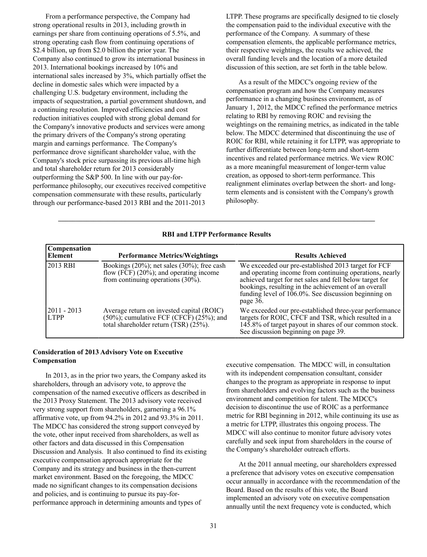From a performance perspective, the Company had strong operational results in 2013, including growth in earnings per share from continuing operations of 5.5%, and strong operating cash flow from continuing operations of \$2.4 billion, up from \$2.0 billion the prior year. The Company also continued to grow its international business in 2013. International bookings increased by 10% and international sales increased by 3%, which partially offset the decline in domestic sales which were impacted by a challenging U.S. budgetary environment, including the impacts of sequestration, a partial government shutdown, and a continuing resolution. Improved efficiencies and cost reduction initiatives coupled with strong global demand for the Company's innovative products and services were among the primary drivers of the Company's strong operating margin and earnings performance. The Company's performance drove significant shareholder value, with the Company's stock price surpassing its previous all-time high and total shareholder return for 2013 considerably outperforming the S&P 500. In line with our pay-forperformance philosophy, our executives received competitive compensation commensurate with these results, particularly through our performance-based 2013 RBI and the 2011-2013

LTPP. These programs are specifically designed to tie closely the compensation paid to the individual executive with the performance of the Company. A summary of these compensation elements, the applicable performance metrics, their respective weightings, the results we achieved, the overall funding levels and the location of a more detailed discussion of this section, are set forth in the table below.

As a result of the MDCC's ongoing review of the compensation program and how the Company measures performance in a changing business environment, as of January 1, 2012, the MDCC refined the performance metrics relating to RBI by removing ROIC and revising the weightings on the remaining metrics, as indicated in the table below. The MDCC determined that discontinuing the use of ROIC for RBI, while retaining it for LTPP, was appropriate to further differentiate between long-term and short-term incentives and related performance metrics. We view ROIC as a more meaningful measurement of longer-term value creation, as opposed to short-term performance. This realignment eliminates overlap between the short- and longterm elements and is consistent with the Company's growth philosophy.

| <b>RBI and LTPP Performance Results</b> |  |  |
|-----------------------------------------|--|--|
|-----------------------------------------|--|--|

 $\mathcal{L} = \{ \mathcal{L} \mathcal{L} \mathcal{L} \mathcal{L} \mathcal{L} \mathcal{L} \mathcal{L} \mathcal{L} \mathcal{L} \mathcal{L} \mathcal{L} \mathcal{L} \mathcal{L} \mathcal{L} \mathcal{L} \mathcal{L} \mathcal{L} \mathcal{L} \mathcal{L} \mathcal{L} \mathcal{L} \mathcal{L} \mathcal{L} \mathcal{L} \mathcal{L} \mathcal{L} \mathcal{L} \mathcal{L} \mathcal{L} \mathcal{L} \mathcal{L} \mathcal{L} \mathcal{L} \mathcal{L} \mathcal{L} \$ 

| <b>Compensation</b><br>Element | <b>Performance Metrics/Weightings</b>                                                                                                       | <b>Results Achieved</b>                                                                                                                                                                                                                                                                                   |
|--------------------------------|---------------------------------------------------------------------------------------------------------------------------------------------|-----------------------------------------------------------------------------------------------------------------------------------------------------------------------------------------------------------------------------------------------------------------------------------------------------------|
| 2013 RBI                       | Bookings $(20\%)$ ; net sales $(30\%)$ ; free cash<br>flow (FCF) $(20\%)$ ; and operating income<br>from continuing operations $(30\%).$    | We exceeded our pre-established 2013 target for FCF<br>and operating income from continuing operations, nearly<br>achieved target for net sales and fell below target for<br>bookings, resulting in the achievement of an overall<br>funding level of $106.0\%$ . See discussion beginning on<br>page 36. |
| 12011 - 2013<br><b>LTPP</b>    | Average return on invested capital (ROIC)<br>$(50\%)$ ; cumulative FCF (CFCF) $(25\%)$ ; and<br>total shareholder return $(TSR)$ $(25\%)$ . | We exceeded our pre-established three-year performance<br>targets for ROIC, CFCF and TSR, which resulted in a<br>145.8% of target payout in shares of our common stock.<br>See discussion beginning on page 39.                                                                                           |

# **Consideration of 2013 Advisory Vote on Executive Compensation**

In 2013, as in the prior two years, the Company asked its shareholders, through an advisory vote, to approve the compensation of the named executive officers as described in the 2013 Proxy Statement. The 2013 advisory vote received very strong support from shareholders, garnering a 96.1% affirmative vote, up from 94.2% in 2012 and 93.3% in 2011. The MDCC has considered the strong support conveyed by the vote, other input received from shareholders, as well as other factors and data discussed in this Compensation Discussion and Analysis. It also continued to find its existing executive compensation approach appropriate for the Company and its strategy and business in the then-current market environment. Based on the foregoing, the MDCC made no significant changes to its compensation decisions and policies, and is continuing to pursue its pay-forperformance approach in determining amounts and types of

executive compensation. The MDCC will, in consultation with its independent compensation consultant, consider changes to the program as appropriate in response to input from shareholders and evolving factors such as the business environment and competition for talent. The MDCC's decision to discontinue the use of ROIC as a performance metric for RBI beginning in 2012, while continuing its use as a metric for LTPP, illustrates this ongoing process. The MDCC will also continue to monitor future advisory votes carefully and seek input from shareholders in the course of the Company's shareholder outreach efforts.

At the 2011 annual meeting, our shareholders expressed a preference that advisory votes on executive compensation occur annually in accordance with the recommendation of the Board. Based on the results of this vote, the Board implemented an advisory vote on executive compensation annually until the next frequency vote is conducted, which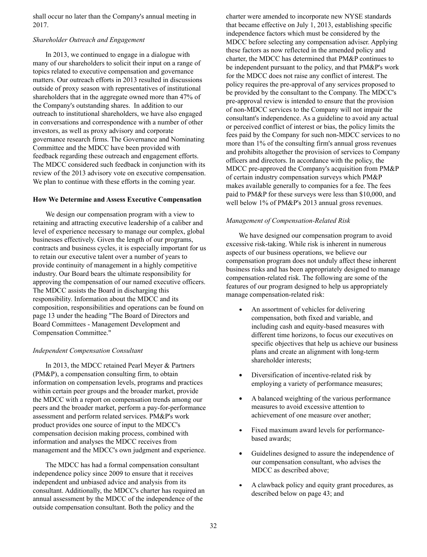shall occur no later than the Company's annual meeting in 2017.

# *Shareholder Outreach and Engagement*

In 2013, we continued to engage in a dialogue with many of our shareholders to solicit their input on a range of topics related to executive compensation and governance matters. Our outreach efforts in 2013 resulted in discussions outside of proxy season with representatives of institutional shareholders that in the aggregate owned more than 47% of the Company's outstanding shares. In addition to our outreach to institutional shareholders, we have also engaged in conversations and correspondence with a number of other investors, as well as proxy advisory and corporate governance research firms. The Governance and Nominating Committee and the MDCC have been provided with feedback regarding these outreach and engagement efforts. The MDCC considered such feedback in conjunction with its review of the 2013 advisory vote on executive compensation. We plan to continue with these efforts in the coming year.

### **How We Determine and Assess Executive Compensation**

We design our compensation program with a view to retaining and attracting executive leadership of a caliber and level of experience necessary to manage our complex, global businesses effectively. Given the length of our programs, contracts and business cycles, it is especially important for us to retain our executive talent over a number of years to provide continuity of management in a highly competitive industry. Our Board bears the ultimate responsibility for approving the compensation of our named executive officers. The MDCC assists the Board in discharging this responsibility. Information about the MDCC and its composition, responsibilities and operations can be found on page 13 under the heading "The Board of Directors and Board Committees - Management Development and Compensation Committee."

# *Independent Compensation Consultant*

In 2013, the MDCC retained Pearl Meyer & Partners (PM&P), a compensation consulting firm, to obtain information on compensation levels, programs and practices within certain peer groups and the broader market, provide the MDCC with a report on compensation trends among our peers and the broader market, perform a pay-for-performance assessment and perform related services. PM&P's work product provides one source of input to the MDCC's compensation decision making process, combined with information and analyses the MDCC receives from management and the MDCC's own judgment and experience.

The MDCC has had a formal compensation consultant independence policy since 2009 to ensure that it receives independent and unbiased advice and analysis from its consultant. Additionally, the MDCC's charter has required an annual assessment by the MDCC of the independence of the outside compensation consultant. Both the policy and the

charter were amended to incorporate new NYSE standards that became effective on July 1, 2013, establishing specific independence factors which must be considered by the MDCC before selecting any compensation adviser. Applying these factors as now reflected in the amended policy and charter, the MDCC has determined that PM&P continues to be independent pursuant to the policy, and that PM&P's work for the MDCC does not raise any conflict of interest. The policy requires the pre-approval of any services proposed to be provided by the consultant to the Company. The MDCC's pre-approval review is intended to ensure that the provision of non-MDCC services to the Company will not impair the consultant's independence. As a guideline to avoid any actual or perceived conflict of interest or bias, the policy limits the fees paid by the Company for such non-MDCC services to no more than 1% of the consulting firm's annual gross revenues and prohibits altogether the provision of services to Company officers and directors. In accordance with the policy, the MDCC pre-approved the Company's acquisition from PM&P of certain industry compensation surveys which PM&P makes available generally to companies for a fee. The fees paid to PM&P for these surveys were less than \$10,000, and well below 1% of PM&P's 2013 annual gross revenues.

### *Management of Compensation-Related Risk*

We have designed our compensation program to avoid excessive risk-taking. While risk is inherent in numerous aspects of our business operations, we believe our compensation program does not unduly affect these inherent business risks and has been appropriately designed to manage compensation-related risk. The following are some of the features of our program designed to help us appropriately manage compensation-related risk:

- An assortment of vehicles for delivering compensation, both fixed and variable, and including cash and equity-based measures with different time horizons, to focus our executives on specific objectives that help us achieve our business plans and create an alignment with long-term shareholder interests;
- Diversification of incentive-related risk by employing a variety of performance measures;
- A balanced weighting of the various performance  $\bullet$ measures to avoid excessive attention to achievement of one measure over another;
- Fixed maximum award levels for performancebased awards;
- $\bullet$ Guidelines designed to assure the independence of our compensation consultant, who advises the MDCC as described above;
- A clawback policy and equity grant procedures, as described below on page 43; and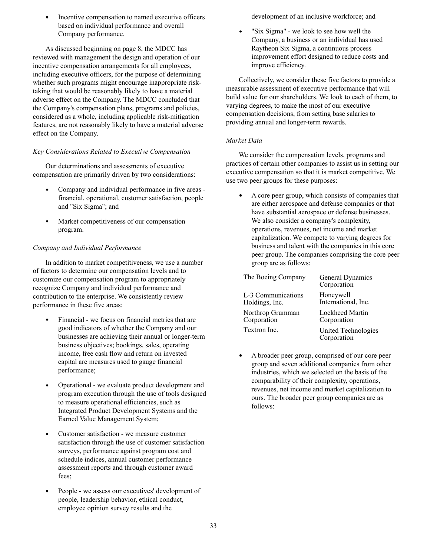Incentive compensation to named executive officers based on individual performance and overall Company performance.

As discussed beginning on page 8, the MDCC has reviewed with management the design and operation of our incentive compensation arrangements for all employees, including executive officers, for the purpose of determining whether such programs might encourage inappropriate risktaking that would be reasonably likely to have a material adverse effect on the Company. The MDCC concluded that the Company's compensation plans, programs and policies, considered as a whole, including applicable risk-mitigation features, are not reasonably likely to have a material adverse effect on the Company.

## *Key Considerations Related to Executive Compensation*

Our determinations and assessments of executive compensation are primarily driven by two considerations:

- Company and individual performance in five areas financial, operational, customer satisfaction, people and "Six Sigma"; and
- Market competitiveness of our compensation program.

# *Company and Individual Performance*

In addition to market competitiveness, we use a number of factors to determine our compensation levels and to customize our compensation program to appropriately recognize Company and individual performance and contribution to the enterprise. We consistently review performance in these five areas:

- Financial we focus on financial metrics that are good indicators of whether the Company and our businesses are achieving their annual or longer-term business objectives; bookings, sales, operating income, free cash flow and return on invested capital are measures used to gauge financial performance;
- Operational we evaluate product development and program execution through the use of tools designed to measure operational efficiencies, such as Integrated Product Development Systems and the Earned Value Management System;
- Customer satisfaction we measure customer satisfaction through the use of customer satisfaction surveys, performance against program cost and schedule indices, annual customer performance assessment reports and through customer award fees;
- People we assess our executives' development of people, leadership behavior, ethical conduct, employee opinion survey results and the

development of an inclusive workforce; and

"Six Sigma" - we look to see how well the Company, a business or an individual has used Raytheon Six Sigma, a continuous process improvement effort designed to reduce costs and improve efficiency.

Collectively, we consider these five factors to provide a measurable assessment of executive performance that will build value for our shareholders. We look to each of them, to varying degrees, to make the most of our executive compensation decisions, from setting base salaries to providing annual and longer-term rewards.

# *Market Data*

We consider the compensation levels, programs and practices of certain other companies to assist us in setting our executive compensation so that it is market competitive. We use two peer groups for these purposes:

A core peer group, which consists of companies that are either aerospace and defense companies or that have substantial aerospace or defense businesses. We also consider a company's complexity, operations, revenues, net income and market capitalization. We compete to varying degrees for business and talent with the companies in this core peer group. The companies comprising the core peer group are as follows:

| The Boeing Company | General Dynamics<br>Corporation    |
|--------------------|------------------------------------|
| L-3 Communications | Honeywell                          |
| Holdings, Inc.     | International, Inc.                |
| Northrop Grumman   | Lockheed Martin                    |
| Corporation        | Corporation                        |
| Textron Inc.       | United Technologies<br>Corporation |

 $\bullet$ A broader peer group, comprised of our core peer group and seven additional companies from other industries, which we selected on the basis of the comparability of their complexity, operations, revenues, net income and market capitalization to ours. The broader peer group companies are as follows: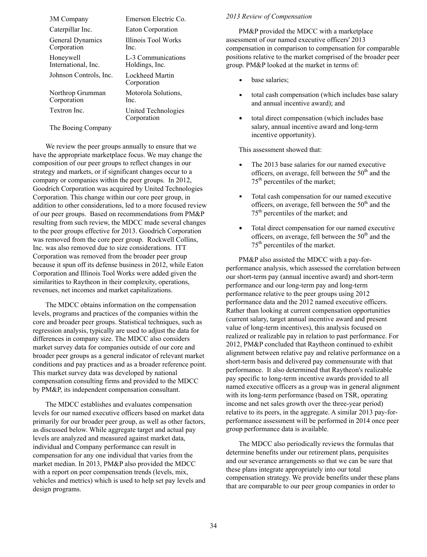| 3M Company                       | Emerson Electric Co.                 |
|----------------------------------|--------------------------------------|
| Caterpillar Inc.                 | Eaton Corporation                    |
| General Dynamics<br>Corporation  | Illinois Tool Works<br>Inc.          |
| Honeywell<br>International, Inc. | L-3 Communications<br>Holdings, Inc. |
| Johnson Controls, Inc.           | Lockheed Martin<br>Corporation       |
| Northrop Grumman<br>Corporation  | Motorola Solutions,<br>Inc.          |
| Textron Inc.                     | United Technologies<br>Corporation   |

The Boeing Company

We review the peer groups annually to ensure that we have the appropriate marketplace focus. We may change the composition of our peer groups to reflect changes in our strategy and markets, or if significant changes occur to a company or companies within the peer groups. In 2012, Goodrich Corporation was acquired by United Technologies Corporation. This change within our core peer group, in addition to other considerations, led to a more focused review of our peer groups. Based on recommendations from PM&P resulting from such review, the MDCC made several changes to the peer groups effective for 2013. Goodrich Corporation was removed from the core peer group. Rockwell Collins, Inc. was also removed due to size considerations. ITT Corporation was removed from the broader peer group because it spun off its defense business in 2012, while Eaton Corporation and Illinois Tool Works were added given the similarities to Raytheon in their complexity, operations, revenues, net incomes and market capitalizations.

The MDCC obtains information on the compensation levels, programs and practices of the companies within the core and broader peer groups. Statistical techniques, such as regression analysis, typically are used to adjust the data for differences in company size. The MDCC also considers market survey data for companies outside of our core and broader peer groups as a general indicator of relevant market conditions and pay practices and as a broader reference point. This market survey data was developed by national compensation consulting firms and provided to the MDCC by PM&P, its independent compensation consultant.

The MDCC establishes and evaluates compensation levels for our named executive officers based on market data primarily for our broader peer group, as well as other factors, as discussed below. While aggregate target and actual pay levels are analyzed and measured against market data, individual and Company performance can result in compensation for any one individual that varies from the market median. In 2013, PM&P also provided the MDCC with a report on peer compensation trends (levels, mix, vehicles and metrics) which is used to help set pay levels and design programs.

#### *2013 Review of Compensation*

PM&P provided the MDCC with a marketplace assessment of our named executive officers' 2013 compensation in comparison to compensation for comparable positions relative to the market comprised of the broader peer group. PM&P looked at the market in terms of:

- base salaries;
- total cash compensation (which includes base salary and annual incentive award); and
- total direct compensation (which includes base salary, annual incentive award and long-term incentive opportunity).

This assessment showed that:

- The 2013 base salaries for our named executive officers, on average, fell between the  $50<sup>th</sup>$  and the 75th percentiles of the market;
- Total cash compensation for our named executive officers, on average, fell between the  $50<sup>th</sup>$  and the 75th percentiles of the market; and
- Total direct compensation for our named executive officers, on average, fell between the  $50<sup>th</sup>$  and the 75th percentiles of the market.

 PM&P also assisted the MDCC with a pay-forperformance analysis, which assessed the correlation between our short-term pay (annual incentive award) and short-term performance and our long-term pay and long-term performance relative to the peer groups using 2012 performance data and the 2012 named executive officers. Rather than looking at current compensation opportunities (current salary, target annual incentive award and present value of long-term incentives), this analysis focused on realized or realizable pay in relation to past performance. For 2012, PM&P concluded that Raytheon continued to exhibit alignment between relative pay and relative performance on a short-term basis and delivered pay commensurate with that performance. It also determined that Raytheon's realizable pay specific to long-term incentive awards provided to all named executive officers as a group was in general alignment with its long-term performance (based on TSR, operating income and net sales growth over the three-year period) relative to its peers, in the aggregate. A similar 2013 pay-forperformance assessment will be performed in 2014 once peer group performance data is available.

The MDCC also periodically reviews the formulas that determine benefits under our retirement plans, perquisites and our severance arrangements so that we can be sure that these plans integrate appropriately into our total compensation strategy. We provide benefits under these plans that are comparable to our peer group companies in order to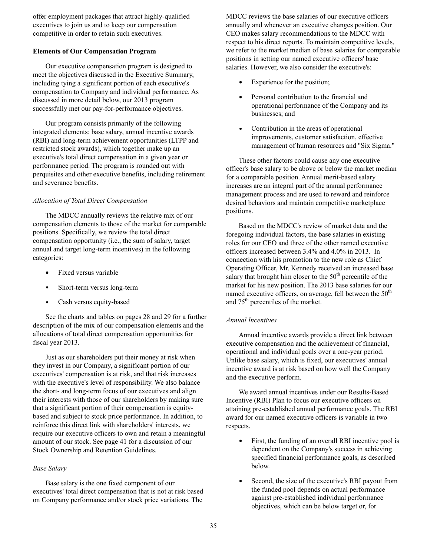offer employment packages that attract highly-qualified executives to join us and to keep our compensation competitive in order to retain such executives.

## **Elements of Our Compensation Program**

Our executive compensation program is designed to meet the objectives discussed in the Executive Summary, including tying a significant portion of each executive's compensation to Company and individual performance. As discussed in more detail below, our 2013 program successfully met our pay-for-performance objectives.

Our program consists primarily of the following integrated elements: base salary, annual incentive awards (RBI) and long-term achievement opportunities (LTPP and restricted stock awards), which together make up an executive's total direct compensation in a given year or performance period. The program is rounded out with perquisites and other executive benefits, including retirement and severance benefits.

# *Allocation of Total Direct Compensation*

The MDCC annually reviews the relative mix of our compensation elements to those of the market for comparable positions. Specifically, we review the total direct compensation opportunity (i.e., the sum of salary, target annual and target long-term incentives) in the following categories:

- Fixed versus variable
- Short-term versus long-term
- $\bullet$ Cash versus equity-based

See the charts and tables on pages 28 and 29 for a further description of the mix of our compensation elements and the allocations of total direct compensation opportunities for fiscal year 2013.

Just as our shareholders put their money at risk when they invest in our Company, a significant portion of our executives' compensation is at risk, and that risk increases with the executive's level of responsibility. We also balance the short- and long-term focus of our executives and align their interests with those of our shareholders by making sure that a significant portion of their compensation is equitybased and subject to stock price performance. In addition, to reinforce this direct link with shareholders' interests, we require our executive officers to own and retain a meaningful amount of our stock. See page 41 for a discussion of our Stock Ownership and Retention Guidelines.

# *Base Salary*

Base salary is the one fixed component of our executives' total direct compensation that is not at risk based on Company performance and/or stock price variations. The

MDCC reviews the base salaries of our executive officers annually and whenever an executive changes position. Our CEO makes salary recommendations to the MDCC with respect to his direct reports. To maintain competitive levels, we refer to the market median of base salaries for comparable positions in setting our named executive officers' base salaries. However, we also consider the executive's:

- Experience for the position;
- Personal contribution to the financial and operational performance of the Company and its businesses; and
- $\bullet$ Contribution in the areas of operational improvements, customer satisfaction, effective management of human resources and "Six Sigma."

These other factors could cause any one executive officer's base salary to be above or below the market median for a comparable position. Annual merit-based salary increases are an integral part of the annual performance management process and are used to reward and reinforce desired behaviors and maintain competitive marketplace positions.

Based on the MDCC's review of market data and the foregoing individual factors, the base salaries in existing roles for our CEO and three of the other named executive officers increased between 3.4% and 4.0% in 2013. In connection with his promotion to the new role as Chief Operating Officer, Mr. Kennedy received an increased base salary that brought him closer to the  $50<sup>th</sup>$  percentile of the market for his new position. The 2013 base salaries for our named executive officers, on average, fell between the  $50<sup>th</sup>$ and 75th percentiles of the market.

## *Annual Incentives*

Annual incentive awards provide a direct link between executive compensation and the achievement of financial, operational and individual goals over a one-year period. Unlike base salary, which is fixed, our executives' annual incentive award is at risk based on how well the Company and the executive perform.

We award annual incentives under our Results-Based Incentive (RBI) Plan to focus our executive officers on attaining pre-established annual performance goals. The RBI award for our named executive officers is variable in two respects.

- First, the funding of an overall RBI incentive pool is dependent on the Company's success in achieving specified financial performance goals, as described below.
- Second, the size of the executive's RBI payout from the funded pool depends on actual performance against pre-established individual performance objectives, which can be below target or, for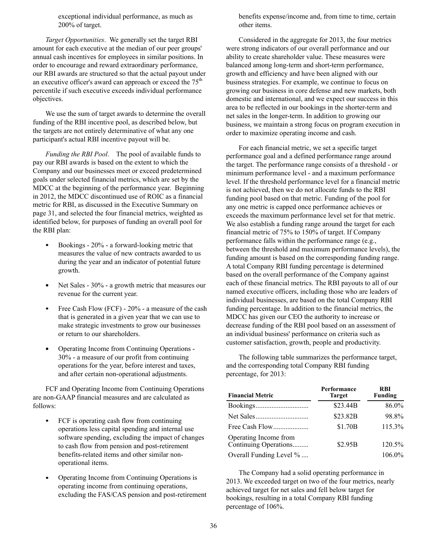exceptional individual performance, as much as 200% of target.

*Target Opportunities*. We generally set the target RBI amount for each executive at the median of our peer groups' annual cash incentives for employees in similar positions. In order to encourage and reward extraordinary performance, our RBI awards are structured so that the actual payout under an executive officer's award can approach or exceed the  $75<sup>th</sup>$ percentile if such executive exceeds individual performance objectives.

We use the sum of target awards to determine the overall funding of the RBI incentive pool, as described below, but the targets are not entirely determinative of what any one participant's actual RBI incentive payout will be.

*Funding the RBI Pool*. The pool of available funds to pay our RBI awards is based on the extent to which the Company and our businesses meet or exceed predetermined goals under selected financial metrics, which are set by the MDCC at the beginning of the performance year. Beginning in 2012, the MDCC discontinued use of ROIC as a financial metric for RBI, as discussed in the Executive Summary on page 31, and selected the four financial metrics, weighted as identified below, for purposes of funding an overall pool for the RBI plan:

- $\bullet$ Bookings - 20% - a forward-looking metric that measures the value of new contracts awarded to us during the year and an indicator of potential future growth.
- Net Sales 30% a growth metric that measures our revenue for the current year.
- Free Cash Flow (FCF) 20% a measure of the cash that is generated in a given year that we can use to make strategic investments to grow our businesses or return to our shareholders.
- Operating Income from Continuing Operations 30% - a measure of our profit from continuing operations for the year, before interest and taxes, and after certain non-operational adjustments.

FCF and Operating Income from Continuing Operations are non-GAAP financial measures and are calculated as follows:

- FCF is operating cash flow from continuing operations less capital spending and internal use software spending, excluding the impact of changes to cash flow from pension and post-retirement benefits-related items and other similar nonoperational items.
- Operating Income from Continuing Operations is operating income from continuing operations, excluding the FAS/CAS pension and post-retirement

benefits expense/income and, from time to time, certain other items.

Considered in the aggregate for 2013, the four metrics were strong indicators of our overall performance and our ability to create shareholder value. These measures were balanced among long-term and short-term performance, growth and efficiency and have been aligned with our business strategies. For example, we continue to focus on growing our business in core defense and new markets, both domestic and international, and we expect our success in this area to be reflected in our bookings in the shorter-term and net sales in the longer-term. In addition to growing our business, we maintain a strong focus on program execution in order to maximize operating income and cash.

For each financial metric, we set a specific target performance goal and a defined performance range around the target. The performance range consists of a threshold - or minimum performance level - and a maximum performance level. If the threshold performance level for a financial metric is not achieved, then we do not allocate funds to the RBI funding pool based on that metric. Funding of the pool for any one metric is capped once performance achieves or exceeds the maximum performance level set for that metric. We also establish a funding range around the target for each financial metric of 75% to 150% of target. If Company performance falls within the performance range (e.g., between the threshold and maximum performance levels), the funding amount is based on the corresponding funding range. A total Company RBI funding percentage is determined based on the overall performance of the Company against each of these financial metrics. The RBI payouts to all of our named executive officers, including those who are leaders of individual businesses, are based on the total Company RBI funding percentage. In addition to the financial metrics, the MDCC has given our CEO the authority to increase or decrease funding of the RBI pool based on an assessment of an individual business' performance on criteria such as customer satisfaction, growth, people and productivity.

The following table summarizes the performance target, and the corresponding total Company RBI funding percentage, for 2013:

| <b>Financial Metric</b>                        | Performance<br><b>Target</b> | <b>RBI</b><br><b>Funding</b> |  |  |
|------------------------------------------------|------------------------------|------------------------------|--|--|
|                                                | \$23.44B                     | 86.0%                        |  |  |
|                                                | \$23.82B                     | 98.8%                        |  |  |
|                                                | \$1.70B                      | 115.3%                       |  |  |
| Operating Income from<br>Continuing Operations | \$2.95B                      | 120.5%                       |  |  |
| Overall Funding Level %                        |                              | 106.0%                       |  |  |

The Company had a solid operating performance in 2013. We exceeded target on two of the four metrics, nearly achieved target for net sales and fell below target for bookings, resulting in a total Company RBI funding percentage of 106%.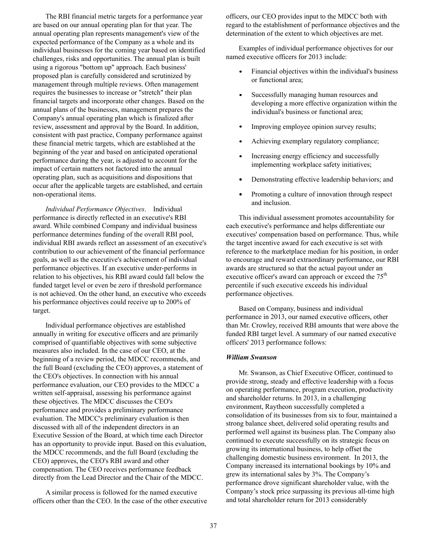The RBI financial metric targets for a performance year are based on our annual operating plan for that year. The annual operating plan represents management's view of the expected performance of the Company as a whole and its individual businesses for the coming year based on identified challenges, risks and opportunities. The annual plan is built using a rigorous "bottom up" approach. Each business' proposed plan is carefully considered and scrutinized by management through multiple reviews. Often management requires the businesses to increase or "stretch" their plan financial targets and incorporate other changes. Based on the annual plans of the businesses, management prepares the Company's annual operating plan which is finalized after review, assessment and approval by the Board. In addition, consistent with past practice, Company performance against these financial metric targets, which are established at the beginning of the year and based on anticipated operational performance during the year, is adjusted to account for the impact of certain matters not factored into the annual operating plan, such as acquisitions and dispositions that occur after the applicable targets are established, and certain non-operational items.

*Individual Performance Objectives*. Individual performance is directly reflected in an executive's RBI award. While combined Company and individual business performance determines funding of the overall RBI pool, individual RBI awards reflect an assessment of an executive's contribution to our achievement of the financial performance goals, as well as the executive's achievement of individual performance objectives. If an executive under-performs in relation to his objectives, his RBI award could fall below the funded target level or even be zero if threshold performance is not achieved. On the other hand, an executive who exceeds his performance objectives could receive up to 200% of target.

Individual performance objectives are established annually in writing for executive officers and are primarily comprised of quantifiable objectives with some subjective measures also included. In the case of our CEO, at the beginning of a review period, the MDCC recommends, and the full Board (excluding the CEO) approves, a statement of the CEO's objectives. In connection with his annual performance evaluation, our CEO provides to the MDCC a written self-appraisal, assessing his performance against these objectives. The MDCC discusses the CEO's performance and provides a preliminary performance evaluation. The MDCC's preliminary evaluation is then discussed with all of the independent directors in an Executive Session of the Board, at which time each Director has an opportunity to provide input. Based on this evaluation, the MDCC recommends, and the full Board (excluding the CEO) approves, the CEO's RBI award and other compensation. The CEO receives performance feedback directly from the Lead Director and the Chair of the MDCC.

A similar process is followed for the named executive officers other than the CEO. In the case of the other executive officers, our CEO provides input to the MDCC both with regard to the establishment of performance objectives and the determination of the extent to which objectives are met.

Examples of individual performance objectives for our named executive officers for 2013 include:

- Financial objectives within the individual's business or functional area;
- Successfully managing human resources and developing a more effective organization within the individual's business or functional area;
- Improving employee opinion survey results;
- Achieving exemplary regulatory compliance;
- Increasing energy efficiency and successfully implementing workplace safety initiatives;
- Demonstrating effective leadership behaviors; and
- Promoting a culture of innovation through respect and inclusion.

This individual assessment promotes accountability for each executive's performance and helps differentiate our executives' compensation based on performance. Thus, while the target incentive award for each executive is set with reference to the marketplace median for his position, in order to encourage and reward extraordinary performance, our RBI awards are structured so that the actual payout under an executive officer's award can approach or exceed the  $75<sup>th</sup>$ percentile if such executive exceeds his individual performance objectives.

Based on Company, business and individual performance in 2013, our named executive officers, other than Mr. Crowley, received RBI amounts that were above the funded RBI target level. A summary of our named executive officers' 2013 performance follows:

#### *William Swanson*

Mr. Swanson, as Chief Executive Officer, continued to provide strong, steady and effective leadership with a focus on operating performance, program execution, productivity and shareholder returns. In 2013, in a challenging environment, Raytheon successfully completed a consolidation of its businesses from six to four, maintained a strong balance sheet, delivered solid operating results and performed well against its business plan. The Company also continued to execute successfully on its strategic focus on growing its international business, to help offset the challenging domestic business environment. In 2013, the Company increased its international bookings by 10% and grew its international sales by 3%. The Company's performance drove significant shareholder value, with the Company's stock price surpassing its previous all-time high and total shareholder return for 2013 considerably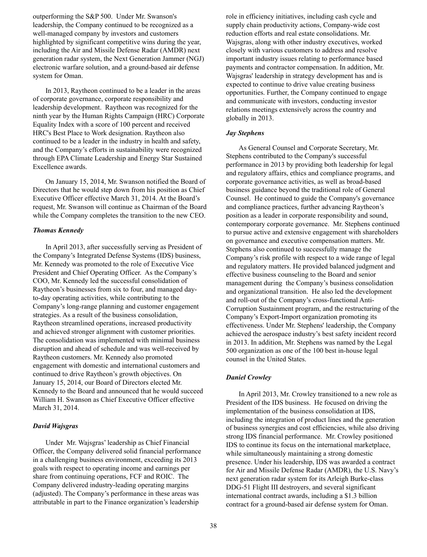outperforming the S&P 500. Under Mr. Swanson's leadership, the Company continued to be recognized as a well-managed company by investors and customers highlighted by significant competitive wins during the year, including the Air and Missile Defense Radar (AMDR) next generation radar system, the Next Generation Jammer (NGJ) electronic warfare solution, and a ground-based air defense system for Oman.

 In 2013, Raytheon continued to be a leader in the areas of corporate governance, corporate responsibility and leadership development. Raytheon was recognized for the ninth year by the Human Rights Campaign (HRC) Corporate Equality Index with a score of 100 percent and received HRC's Best Place to Work designation. Raytheon also continued to be a leader in the industry in health and safety, and the Company's efforts in sustainability were recognized through EPA Climate Leadership and Energy Star Sustained Excellence awards.

 On January 15, 2014, Mr. Swanson notified the Board of Directors that he would step down from his position as Chief Executive Officer effective March 31, 2014. At the Board's request, Mr. Swanson will continue as Chairman of the Board while the Company completes the transition to the new CEO.

#### *Thomas Kennedy*

In April 2013, after successfully serving as President of the Company's Integrated Defense Systems (IDS) business, Mr. Kennedy was promoted to the role of Executive Vice President and Chief Operating Officer. As the Company's COO, Mr. Kennedy led the successful consolidation of Raytheon's businesses from six to four, and managed dayto-day operating activities, while contributing to the Company's long-range planning and customer engagement strategies. As a result of the business consolidation, Raytheon streamlined operations, increased productivity and achieved stronger alignment with customer priorities. The consolidation was implemented with minimal business disruption and ahead of schedule and was well-received by Raytheon customers. Mr. Kennedy also promoted engagement with domestic and international customers and continued to drive Raytheon's growth objectives. On January 15, 2014, our Board of Directors elected Mr. Kennedy to the Board and announced that he would succeed William H. Swanson as Chief Executive Officer effective March 31, 2014.

#### *David Wajsgras*

Under Mr. Wajsgras' leadership as Chief Financial Officer, the Company delivered solid financial performance in a challenging business environment, exceeding its 2013 goals with respect to operating income and earnings per share from continuing operations, FCF and ROIC. The Company delivered industry-leading operating margins (adjusted). The Company's performance in these areas was attributable in part to the Finance organization's leadership

role in efficiency initiatives, including cash cycle and supply chain productivity actions, Company-wide cost reduction efforts and real estate consolidations. Mr. Wajsgras, along with other industry executives, worked closely with various customers to address and resolve important industry issues relating to performance based payments and contractor compensation. In addition, Mr. Wajsgras' leadership in strategy development has and is expected to continue to drive value creating business opportunities. Further, the Company continued to engage and communicate with investors, conducting investor relations meetings extensively across the country and globally in 2013.

#### *Jay Stephens*

 As General Counsel and Corporate Secretary, Mr. Stephens contributed to the Company's successful performance in 2013 by providing both leadership for legal and regulatory affairs, ethics and compliance programs, and corporate governance activities, as well as broad-based business guidance beyond the traditional role of General Counsel. He continued to guide the Company's governance and compliance practices, further advancing Raytheon's position as a leader in corporate responsibility and sound, contemporary corporate governance. Mr. Stephens continued to pursue active and extensive engagement with shareholders on governance and executive compensation matters. Mr. Stephens also continued to successfully manage the Company's risk profile with respect to a wide range of legal and regulatory matters. He provided balanced judgment and effective business counseling to the Board and senior management during the Company's business consolidation and organizational transition. He also led the development and roll-out of the Company's cross-functional Anti-Corruption Sustainment program, and the restructuring of the Company's Export-Import organization promoting its effectiveness. Under Mr. Stephens' leadership, the Company achieved the aerospace industry's best safety incident record in 2013. In addition, Mr. Stephens was named by the Legal 500 organization as one of the 100 best in-house legal counsel in the United States.

## *Daniel Crowley*

In April 2013, Mr. Crowley transitioned to a new role as President of the IDS business. He focused on driving the implementation of the business consolidation at IDS, including the integration of product lines and the generation of business synergies and cost efficiencies, while also driving strong IDS financial performance. Mr. Crowley positioned IDS to continue its focus on the international marketplace, while simultaneously maintaining a strong domestic presence. Under his leadership, IDS was awarded a contract for Air and Missile Defense Radar (AMDR), the U.S. Navy's next generation radar system for its Arleigh Burke-class DDG-51 Flight III destroyers, and several significant international contract awards, including a \$1.3 billion contract for a ground-based air defense system for Oman.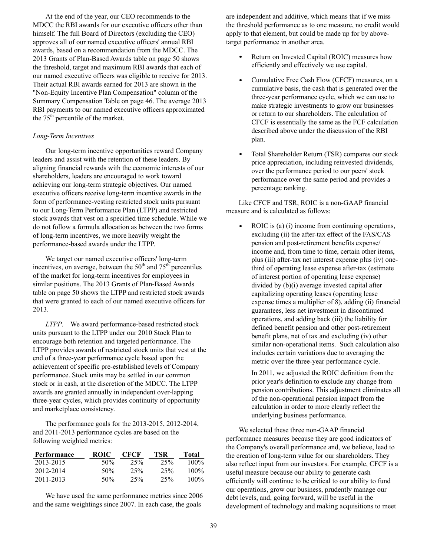At the end of the year, our CEO recommends to the MDCC the RBI awards for our executive officers other than himself. The full Board of Directors (excluding the CEO) approves all of our named executive officers' annual RBI awards, based on a recommendation from the MDCC. The 2013 Grants of Plan-Based Awards table on page 50 shows the threshold, target and maximum RBI awards that each of our named executive officers was eligible to receive for 2013. Their actual RBI awards earned for 2013 are shown in the "Non-Equity Incentive Plan Compensation" column of the Summary Compensation Table on page 46. The average 2013 RBI payments to our named executive officers approximated the  $75<sup>th</sup>$  percentile of the market.

## *Long-Term Incentives*

Our long-term incentive opportunities reward Company leaders and assist with the retention of these leaders. By aligning financial rewards with the economic interests of our shareholders, leaders are encouraged to work toward achieving our long-term strategic objectives. Our named executive officers receive long-term incentive awards in the form of performance-vesting restricted stock units pursuant to our Long-Term Performance Plan (LTPP) and restricted stock awards that vest on a specified time schedule. While we do not follow a formula allocation as between the two forms of long-term incentives, we more heavily weight the performance-based awards under the LTPP.

We target our named executive officers' long-term incentives, on average, between the  $50<sup>th</sup>$  and  $75<sup>th</sup>$  percentiles of the market for long-term incentives for employees in similar positions. The 2013 Grants of Plan-Based Awards table on page 50 shows the LTPP and restricted stock awards that were granted to each of our named executive officers for 2013.

*LTPP*. We award performance-based restricted stock units pursuant to the LTPP under our 2010 Stock Plan to encourage both retention and targeted performance. The LTPP provides awards of restricted stock units that vest at the end of a three-year performance cycle based upon the achievement of specific pre-established levels of Company performance. Stock units may be settled in our common stock or in cash, at the discretion of the MDCC. The LTPP awards are granted annually in independent over-lapping three-year cycles, which provides continuity of opportunity and marketplace consistency.

The performance goals for the 2013-2015, 2012-2014, and 2011-2013 performance cycles are based on the following weighted metrics:

| Performance | ROIC | CECF | TSR | Total   |
|-------------|------|------|-----|---------|
| 2013-2015   | 50%  | 25%  | 25% | $100\%$ |
| 2012-2014   | 50%  | 25%  | 25% | $100\%$ |
| 2011-2013   | 50%  | 25%  | 25% | $100\%$ |

We have used the same performance metrics since 2006 and the same weightings since 2007. In each case, the goals

are independent and additive, which means that if we miss the threshold performance as to one measure, no credit would apply to that element, but could be made up for by abovetarget performance in another area.

- Return on Invested Capital (ROIC) measures how efficiently and effectively we use capital.
- Cumulative Free Cash Flow (CFCF) measures, on a cumulative basis, the cash that is generated over the three-year performance cycle, which we can use to make strategic investments to grow our businesses or return to our shareholders. The calculation of CFCF is essentially the same as the FCF calculation described above under the discussion of the RBI plan.
- Total Shareholder Return (TSR) compares our stock price appreciation, including reinvested dividends, over the performance period to our peers' stock performance over the same period and provides a percentage ranking.

Like CFCF and TSR, ROIC is a non-GAAP financial measure and is calculated as follows:

 $\bullet$ ROIC is (a) (i) income from continuing operations, excluding (ii) the after-tax effect of the FAS/CAS pension and post-retirement benefits expense/ income and, from time to time, certain other items, plus (iii) after-tax net interest expense plus (iv) onethird of operating lease expense after-tax (estimate of interest portion of operating lease expense) divided by (b)(i) average invested capital after capitalizing operating leases (operating lease expense times a multiplier of 8), adding (ii) financial guarantees, less net investment in discontinued operations, and adding back (iii) the liability for defined benefit pension and other post-retirement benefit plans, net of tax and excluding (iv) other similar non-operational items. Such calculation also includes certain variations due to averaging the metric over the three-year performance cycle.

In 2011, we adjusted the ROIC definition from the prior year's definition to exclude any change from pension contributions. This adjustment eliminates all of the non-operational pension impact from the calculation in order to more clearly reflect the underlying business performance.

We selected these three non-GAAP financial performance measures because they are good indicators of the Company's overall performance and, we believe, lead to the creation of long-term value for our shareholders. They also reflect input from our investors. For example, CFCF is a useful measure because our ability to generate cash efficiently will continue to be critical to our ability to fund our operations, grow our business, prudently manage our debt levels, and, going forward, will be useful in the development of technology and making acquisitions to meet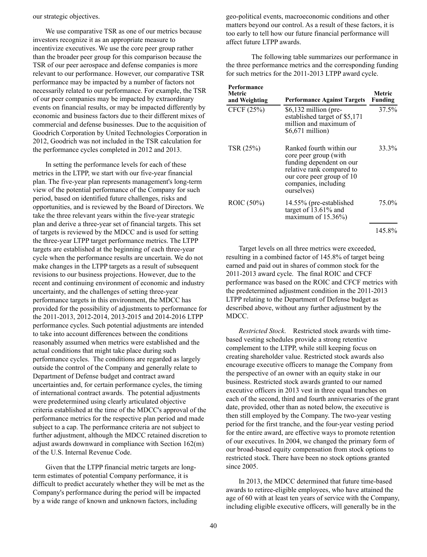our strategic objectives.

We use comparative TSR as one of our metrics because investors recognize it as an appropriate measure to incentivize executives. We use the core peer group rather than the broader peer group for this comparison because the TSR of our peer aerospace and defense companies is more relevant to our performance. However, our comparative TSR performance may be impacted by a number of factors not necessarily related to our performance. For example, the TSR of our peer companies may be impacted by extraordinary events on financial results, or may be impacted differently by economic and business factors due to their different mixes of commercial and defense businesses. Due to the acquisition of Goodrich Corporation by United Technologies Corporation in 2012, Goodrich was not included in the TSR calculation for the performance cycles completed in 2012 and 2013.

In setting the performance levels for each of these metrics in the LTPP, we start with our five-year financial plan. The five-year plan represents management's long-term view of the potential performance of the Company for such period, based on identified future challenges, risks and opportunities, and is reviewed by the Board of Directors. We take the three relevant years within the five-year strategic plan and derive a three-year set of financial targets. This set of targets is reviewed by the MDCC and is used for setting the three-year LTPP target performance metrics. The LTPP targets are established at the beginning of each three-year cycle when the performance results are uncertain. We do not make changes in the LTPP targets as a result of subsequent revisions to our business projections. However, due to the recent and continuing environment of economic and industry uncertainty, and the challenges of setting three-year performance targets in this environment, the MDCC has provided for the possibility of adjustments to performance for the 2011-2013, 2012-2014, 2013-2015 and 2014-2016 LTPP performance cycles. Such potential adjustments are intended to take into account differences between the conditions reasonably assumed when metrics were established and the actual conditions that might take place during such performance cycles. The conditions are regarded as largely outside the control of the Company and generally relate to Department of Defense budget and contract award uncertainties and, for certain performance cycles, the timing of international contract awards. The potential adjustments were predetermined using clearly articulated objective criteria established at the time of the MDCC's approval of the performance metrics for the respective plan period and made subject to a cap. The performance criteria are not subject to further adjustment, although the MDCC retained discretion to adjust awards downward in compliance with Section 162(m) of the U.S. Internal Revenue Code.

Given that the LTPP financial metric targets are longterm estimates of potential Company performance, it is difficult to predict accurately whether they will be met as the Company's performance during the period will be impacted by a wide range of known and unknown factors, including

geo-political events, macroeconomic conditions and other matters beyond our control. As a result of these factors, it is too early to tell how our future financial performance will affect future LTPP awards.

 The following table summarizes our performance in the three performance metrics and the corresponding funding for such metrics for the 2011-2013 LTPP award cycle.

| Performance<br>Metric<br>and Weighting | <b>Performance Against Targets</b>                                                                                                                                            | Metric<br>Funding |
|----------------------------------------|-------------------------------------------------------------------------------------------------------------------------------------------------------------------------------|-------------------|
| CFCF (25%)                             | $$6,132$ million (pre-<br>established target of \$5,171<br>million and maximum of<br>$$6,671$ million)                                                                        | 37.5%             |
| TSR (25%)                              | Ranked fourth within our<br>core peer group (with<br>funding dependent on our<br>relative rank compared to<br>our core peer group of 10<br>companies, including<br>ourselves) | 33.3%             |
| ROIC (50%)                             | 14.55% (pre-established<br>target of $13.61\%$ and<br>maximum of $15.36\%$ )                                                                                                  | 75.0%             |
|                                        |                                                                                                                                                                               | 145.8%            |

Target levels on all three metrics were exceeded, resulting in a combined factor of 145.8% of target being earned and paid out in shares of common stock for the 2011-2013 award cycle. The final ROIC and CFCF performance was based on the ROIC and CFCF metrics with the predetermined adjustment condition in the 2011-2013 LTPP relating to the Department of Defense budget as described above, without any further adjustment by the MDCC.

*Restricted Stock*. Restricted stock awards with timebased vesting schedules provide a strong retentive complement to the LTPP, while still keeping focus on creating shareholder value. Restricted stock awards also encourage executive officers to manage the Company from the perspective of an owner with an equity stake in our business. Restricted stock awards granted to our named executive officers in 2013 vest in three equal tranches on each of the second, third and fourth anniversaries of the grant date, provided, other than as noted below, the executive is then still employed by the Company. The two-year vesting period for the first tranche, and the four-year vesting period for the entire award, are effective ways to promote retention of our executives. In 2004, we changed the primary form of our broad-based equity compensation from stock options to restricted stock. There have been no stock options granted since 2005.

In 2013, the MDCC determined that future time-based awards to retiree-eligible employees, who have attained the age of 60 with at least ten years of service with the Company, including eligible executive officers, will generally be in the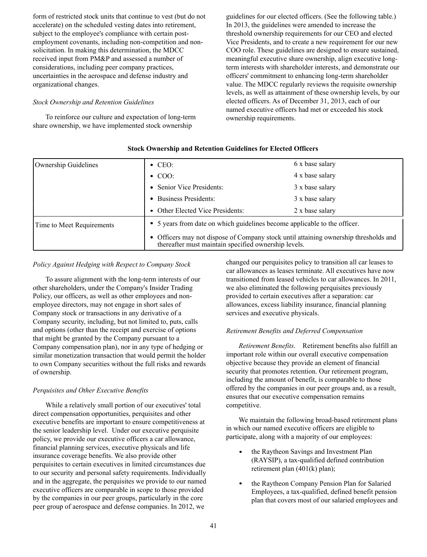form of restricted stock units that continue to vest (but do not accelerate) on the scheduled vesting dates into retirement, subject to the employee's compliance with certain postemployment covenants, including non-competition and nonsolicitation. In making this determination, the MDCC received input from PM&P and assessed a number of considerations, including peer company practices, uncertainties in the aerospace and defense industry and organizational changes.

# *Stock Ownership and Retention Guidelines*

To reinforce our culture and expectation of long-term share ownership, we have implemented stock ownership

guidelines for our elected officers. (See the following table.) In 2013, the guidelines were amended to increase the threshold ownership requirements for our CEO and elected Vice Presidents, and to create a new requirement for our new COO role. These guidelines are designed to ensure sustained, meaningful executive share ownership, align executive longterm interests with shareholder interests, and demonstrate our officers' commitment to enhancing long-term shareholder value. The MDCC regularly reviews the requisite ownership levels, as well as attainment of these ownership levels, by our elected officers. As of December 31, 2013, each of our named executive officers had met or exceeded his stock ownership requirements.

| Ownership Guidelines      | $\bullet$ CEO:                                                                                                                               | 6 x base salary |  |  |  |  |
|---------------------------|----------------------------------------------------------------------------------------------------------------------------------------------|-----------------|--|--|--|--|
|                           | $\cdot$ COO:                                                                                                                                 | 4 x base salary |  |  |  |  |
|                           | • Senior Vice Presidents:                                                                                                                    | 3 x base salary |  |  |  |  |
|                           | • Business Presidents:                                                                                                                       | 3 x base salary |  |  |  |  |
|                           | • Other Elected Vice Presidents:                                                                                                             | 2 x base salary |  |  |  |  |
| Time to Meet Requirements | • 5 years from date on which guidelines become applicable to the officer.                                                                    |                 |  |  |  |  |
|                           | • Officers may not dispose of Company stock until attaining ownership thresholds and<br>thereafter must maintain specified ownership levels. |                 |  |  |  |  |

# **Stock Ownership and Retention Guidelines for Elected Officers**

## *Policy Against Hedging with Respect to Company Stock*

To assure alignment with the long-term interests of our other shareholders, under the Company's Insider Trading Policy, our officers, as well as other employees and nonemployee directors, may not engage in short sales of Company stock or transactions in any derivative of a Company security, including, but not limited to, puts, calls and options (other than the receipt and exercise of options that might be granted by the Company pursuant to a Company compensation plan), nor in any type of hedging or similar monetization transaction that would permit the holder to own Company securities without the full risks and rewards of ownership.

#### *Perquisites and Other Executive Benefits*

While a relatively small portion of our executives' total direct compensation opportunities, perquisites and other executive benefits are important to ensure competitiveness at the senior leadership level. Under our executive perquisite policy, we provide our executive officers a car allowance, financial planning services, executive physicals and life insurance coverage benefits. We also provide other perquisites to certain executives in limited circumstances due to our security and personal safety requirements. Individually and in the aggregate, the perquisites we provide to our named executive officers are comparable in scope to those provided by the companies in our peer groups, particularly in the core peer group of aerospace and defense companies. In 2012, we

changed our perquisites policy to transition all car leases to car allowances as leases terminate. All executives have now transitioned from leased vehicles to car allowances. In 2011, we also eliminated the following perquisites previously provided to certain executives after a separation: car allowances, excess liability insurance, financial planning services and executive physicals.

#### *Retirement Benefits and Deferred Compensation*

*Retirement Benefits*. Retirement benefits also fulfill an important role within our overall executive compensation objective because they provide an element of financial security that promotes retention. Our retirement program, including the amount of benefit, is comparable to those offered by the companies in our peer groups and, as a result, ensures that our executive compensation remains competitive.

We maintain the following broad-based retirement plans in which our named executive officers are eligible to participate, along with a majority of our employees:

- the Raytheon Savings and Investment Plan (RAYSIP), a tax-qualified defined contribution retirement plan (401(k) plan);
- the Raytheon Company Pension Plan for Salaried Employees, a tax-qualified, defined benefit pension plan that covers most of our salaried employees and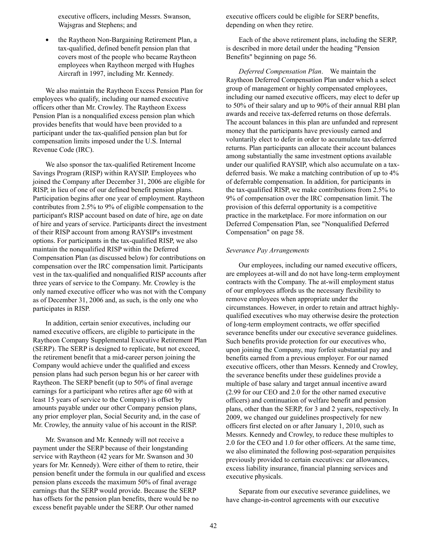executive officers, including Messrs. Swanson, Wajsgras and Stephens; and

the Raytheon Non-Bargaining Retirement Plan, a tax-qualified, defined benefit pension plan that covers most of the people who became Raytheon employees when Raytheon merged with Hughes Aircraft in 1997, including Mr. Kennedy.

We also maintain the Raytheon Excess Pension Plan for employees who qualify, including our named executive officers other than Mr. Crowley. The Raytheon Excess Pension Plan is a nonqualified excess pension plan which provides benefits that would have been provided to a participant under the tax-qualified pension plan but for compensation limits imposed under the U.S. Internal Revenue Code (IRC).

We also sponsor the tax-qualified Retirement Income Savings Program (RISP) within RAYSIP. Employees who joined the Company after December 31, 2006 are eligible for RISP, in lieu of one of our defined benefit pension plans. Participation begins after one year of employment. Raytheon contributes from 2.5% to 9% of eligible compensation to the participant's RISP account based on date of hire, age on date of hire and years of service. Participants direct the investment of their RISP account from among RAYSIP's investment options. For participants in the tax-qualified RISP, we also maintain the nonqualified RISP within the Deferred Compensation Plan (as discussed below) for contributions on compensation over the IRC compensation limit. Participants vest in the tax-qualified and nonqualified RISP accounts after three years of service to the Company. Mr. Crowley is the only named executive officer who was not with the Company as of December 31, 2006 and, as such, is the only one who participates in RISP.

In addition, certain senior executives, including our named executive officers, are eligible to participate in the Raytheon Company Supplemental Executive Retirement Plan (SERP). The SERP is designed to replicate, but not exceed, the retirement benefit that a mid-career person joining the Company would achieve under the qualified and excess pension plans had such person begun his or her career with Raytheon. The SERP benefit (up to 50% of final average earnings for a participant who retires after age 60 with at least 15 years of service to the Company) is offset by amounts payable under our other Company pension plans, any prior employer plan, Social Security and, in the case of Mr. Crowley, the annuity value of his account in the RISP.

Mr. Swanson and Mr. Kennedy will not receive a payment under the SERP because of their longstanding service with Raytheon (42 years for Mr. Swanson and 30 years for Mr. Kennedy). Were either of them to retire, their pension benefit under the formula in our qualified and excess pension plans exceeds the maximum 50% of final average earnings that the SERP would provide. Because the SERP has offsets for the pension plan benefits, there would be no excess benefit payable under the SERP. Our other named

executive officers could be eligible for SERP benefits, depending on when they retire.

Each of the above retirement plans, including the SERP, is described in more detail under the heading "Pension Benefits" beginning on page 56.

*Deferred Compensation Plan*. We maintain the Raytheon Deferred Compensation Plan under which a select group of management or highly compensated employees, including our named executive officers, may elect to defer up to 50% of their salary and up to 90% of their annual RBI plan awards and receive tax-deferred returns on those deferrals. The account balances in this plan are unfunded and represent money that the participants have previously earned and voluntarily elect to defer in order to accumulate tax-deferred returns. Plan participants can allocate their account balances among substantially the same investment options available under our qualified RAYSIP, which also accumulate on a taxdeferred basis. We make a matching contribution of up to 4% of deferrable compensation. In addition, for participants in the tax-qualified RISP, we make contributions from 2.5% to 9% of compensation over the IRC compensation limit. The provision of this deferral opportunity is a competitive practice in the marketplace. For more information on our Deferred Compensation Plan, see "Nonqualified Deferred Compensation" on page 58.

#### *Severance Pay Arrangements*

Our employees, including our named executive officers, are employees at-will and do not have long-term employment contracts with the Company. The at-will employment status of our employees affords us the necessary flexibility to remove employees when appropriate under the circumstances. However, in order to retain and attract highlyqualified executives who may otherwise desire the protection of long-term employment contracts, we offer specified severance benefits under our executive severance guidelines. Such benefits provide protection for our executives who, upon joining the Company, may forfeit substantial pay and benefits earned from a previous employer. For our named executive officers, other than Messrs. Kennedy and Crowley, the severance benefits under these guidelines provide a multiple of base salary and target annual incentive award (2.99 for our CEO and 2.0 for the other named executive officers) and continuation of welfare benefit and pension plans, other than the SERP, for 3 and 2 years, respectively. In 2009, we changed our guidelines prospectively for new officers first elected on or after January 1, 2010, such as Messrs. Kennedy and Crowley, to reduce these multiples to 2.0 for the CEO and 1.0 for other officers. At the same time, we also eliminated the following post-separation perquisites previously provided to certain executives: car allowances, excess liability insurance, financial planning services and executive physicals.

Separate from our executive severance guidelines, we have change-in-control agreements with our executive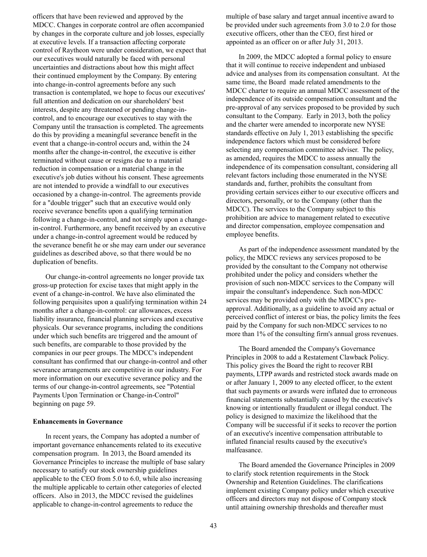officers that have been reviewed and approved by the MDCC. Changes in corporate control are often accompanied by changes in the corporate culture and job losses, especially at executive levels. If a transaction affecting corporate control of Raytheon were under consideration, we expect that our executives would naturally be faced with personal uncertainties and distractions about how this might affect their continued employment by the Company. By entering into change-in-control agreements before any such transaction is contemplated, we hope to focus our executives' full attention and dedication on our shareholders' best interests, despite any threatened or pending change-incontrol, and to encourage our executives to stay with the Company until the transaction is completed. The agreements do this by providing a meaningful severance benefit in the event that a change-in-control occurs and, within the 24 months after the change-in-control, the executive is either terminated without cause or resigns due to a material reduction in compensation or a material change in the executive's job duties without his consent. These agreements are not intended to provide a windfall to our executives occasioned by a change-in-control. The agreements provide for a "double trigger" such that an executive would only receive severance benefits upon a qualifying termination following a change-in-control, and not simply upon a changein-control. Furthermore, any benefit received by an executive under a change-in-control agreement would be reduced by the severance benefit he or she may earn under our severance guidelines as described above, so that there would be no duplication of benefits.

Our change-in-control agreements no longer provide tax gross-up protection for excise taxes that might apply in the event of a change-in-control. We have also eliminated the following perquisites upon a qualifying termination within 24 months after a change-in-control: car allowances, excess liability insurance, financial planning services and executive physicals. Our severance programs, including the conditions under which such benefits are triggered and the amount of such benefits, are comparable to those provided by the companies in our peer groups. The MDCC's independent consultant has confirmed that our change-in-control and other severance arrangements are competitive in our industry. For more information on our executive severance policy and the terms of our change-in-control agreements, see "Potential Payments Upon Termination or Change-in-Control" beginning on page 59.

#### **Enhancements in Governance**

In recent years, the Company has adopted a number of important governance enhancements related to its executive compensation program. In 2013, the Board amended its Governance Principles to increase the multiple of base salary necessary to satisfy our stock ownership guidelines applicable to the CEO from 5.0 to 6.0, while also increasing the multiple applicable to certain other categories of elected officers. Also in 2013, the MDCC revised the guidelines applicable to change-in-control agreements to reduce the

multiple of base salary and target annual incentive award to be provided under such agreements from 3.0 to 2.0 for those executive officers, other than the CEO, first hired or appointed as an officer on or after July 31, 2013.

In 2009, the MDCC adopted a formal policy to ensure that it will continue to receive independent and unbiased advice and analyses from its compensation consultant. At the same time, the Board made related amendments to the MDCC charter to require an annual MDCC assessment of the independence of its outside compensation consultant and the pre-approval of any services proposed to be provided by such consultant to the Company. Early in 2013, both the policy and the charter were amended to incorporate new NYSE standards effective on July 1, 2013 establishing the specific independence factors which must be considered before selecting any compensation committee adviser. The policy, as amended, requires the MDCC to assess annually the independence of its compensation consultant, considering all relevant factors including those enumerated in the NYSE standards and, further, prohibits the consultant from providing certain services either to our executive officers and directors, personally, or to the Company (other than the MDCC). The services to the Company subject to this prohibition are advice to management related to executive and director compensation, employee compensation and employee benefits.

As part of the independence assessment mandated by the policy, the MDCC reviews any services proposed to be provided by the consultant to the Company not otherwise prohibited under the policy and considers whether the provision of such non-MDCC services to the Company will impair the consultant's independence. Such non-MDCC services may be provided only with the MDCC's preapproval. Additionally, as a guideline to avoid any actual or perceived conflict of interest or bias, the policy limits the fees paid by the Company for such non-MDCC services to no more than 1% of the consulting firm's annual gross revenues.

The Board amended the Company's Governance Principles in 2008 to add a Restatement Clawback Policy. This policy gives the Board the right to recover RBI payments, LTPP awards and restricted stock awards made on or after January 1, 2009 to any elected officer, to the extent that such payments or awards were inflated due to erroneous financial statements substantially caused by the executive's knowing or intentionally fraudulent or illegal conduct. The policy is designed to maximize the likelihood that the Company will be successful if it seeks to recover the portion of an executive's incentive compensation attributable to inflated financial results caused by the executive's malfeasance.

The Board amended the Governance Principles in 2009 to clarify stock retention requirements in the Stock Ownership and Retention Guidelines. The clarifications implement existing Company policy under which executive officers and directors may not dispose of Company stock until attaining ownership thresholds and thereafter must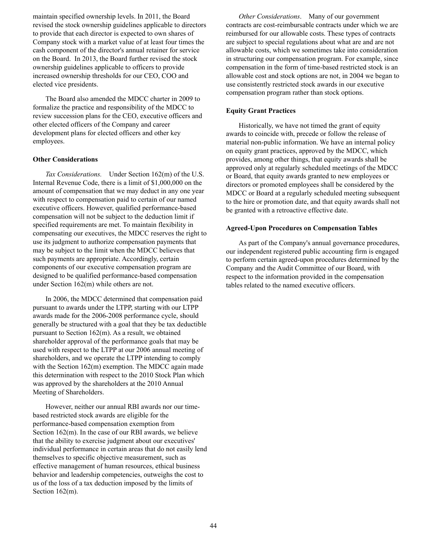maintain specified ownership levels. In 2011, the Board revised the stock ownership guidelines applicable to directors to provide that each director is expected to own shares of Company stock with a market value of at least four times the cash component of the director's annual retainer for service on the Board. In 2013, the Board further revised the stock ownership guidelines applicable to officers to provide increased ownership thresholds for our CEO, COO and elected vice presidents.

The Board also amended the MDCC charter in 2009 to formalize the practice and responsibility of the MDCC to review succession plans for the CEO, executive officers and other elected officers of the Company and career development plans for elected officers and other key employees.

## **Other Considerations**

*Tax Considerations.* Under Section 162(m) of the U.S. Internal Revenue Code, there is a limit of \$1,000,000 on the amount of compensation that we may deduct in any one year with respect to compensation paid to certain of our named executive officers. However, qualified performance-based compensation will not be subject to the deduction limit if specified requirements are met. To maintain flexibility in compensating our executives, the MDCC reserves the right to use its judgment to authorize compensation payments that may be subject to the limit when the MDCC believes that such payments are appropriate. Accordingly, certain components of our executive compensation program are designed to be qualified performance-based compensation under Section 162(m) while others are not.

In 2006, the MDCC determined that compensation paid pursuant to awards under the LTPP, starting with our LTPP awards made for the 2006-2008 performance cycle, should generally be structured with a goal that they be tax deductible pursuant to Section 162(m). As a result, we obtained shareholder approval of the performance goals that may be used with respect to the LTPP at our 2006 annual meeting of shareholders, and we operate the LTPP intending to comply with the Section 162(m) exemption. The MDCC again made this determination with respect to the 2010 Stock Plan which was approved by the shareholders at the 2010 Annual Meeting of Shareholders.

However, neither our annual RBI awards nor our timebased restricted stock awards are eligible for the performance-based compensation exemption from Section 162(m). In the case of our RBI awards, we believe that the ability to exercise judgment about our executives' individual performance in certain areas that do not easily lend themselves to specific objective measurement, such as effective management of human resources, ethical business behavior and leadership competencies, outweighs the cost to us of the loss of a tax deduction imposed by the limits of Section 162(m).

*Other Considerations*. Many of our government contracts are cost-reimbursable contracts under which we are reimbursed for our allowable costs. These types of contracts are subject to special regulations about what are and are not allowable costs, which we sometimes take into consideration in structuring our compensation program. For example, since compensation in the form of time-based restricted stock is an allowable cost and stock options are not, in 2004 we began to use consistently restricted stock awards in our executive compensation program rather than stock options.

#### **Equity Grant Practices**

Historically, we have not timed the grant of equity awards to coincide with, precede or follow the release of material non-public information. We have an internal policy on equity grant practices, approved by the MDCC, which provides, among other things, that equity awards shall be approved only at regularly scheduled meetings of the MDCC or Board, that equity awards granted to new employees or directors or promoted employees shall be considered by the MDCC or Board at a regularly scheduled meeting subsequent to the hire or promotion date, and that equity awards shall not be granted with a retroactive effective date.

#### **Agreed-Upon Procedures on Compensation Tables**

As part of the Company's annual governance procedures, our independent registered public accounting firm is engaged to perform certain agreed-upon procedures determined by the Company and the Audit Committee of our Board, with respect to the information provided in the compensation tables related to the named executive officers.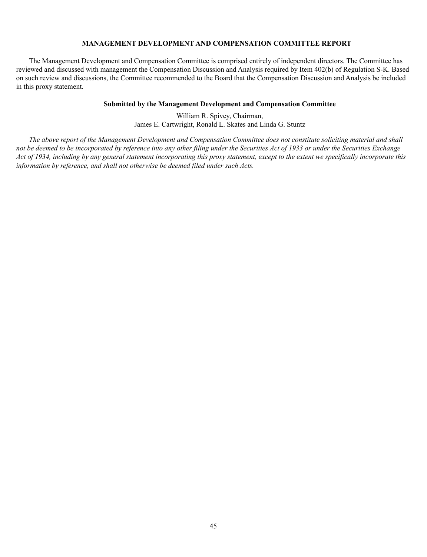# **MANAGEMENT DEVELOPMENT AND COMPENSATION COMMITTEE REPORT**

The Management Development and Compensation Committee is comprised entirely of independent directors. The Committee has reviewed and discussed with management the Compensation Discussion and Analysis required by Item 402(b) of Regulation S-K. Based on such review and discussions, the Committee recommended to the Board that the Compensation Discussion and Analysis be included in this proxy statement.

## **Submitted by the Management Development and Compensation Committee**

William R. Spivey, Chairman, James E. Cartwright, Ronald L. Skates and Linda G. Stuntz

*The above report of the Management Development and Compensation Committee does not constitute soliciting material and shall not be deemed to be incorporated by reference into any other filing under the Securities Act of 1933 or under the Securities Exchange Act of 1934, including by any general statement incorporating this proxy statement, except to the extent we specifically incorporate this information by reference, and shall not otherwise be deemed filed under such Acts.*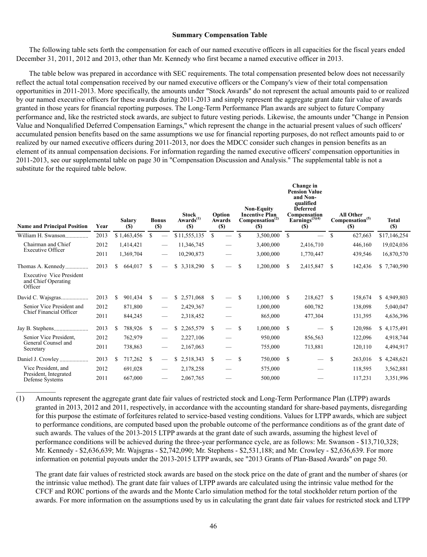#### **Summary Compensation Table**

The following table sets forth the compensation for each of our named executive officers in all capacities for the fiscal years ended December 31, 2011, 2012 and 2013, other than Mr. Kennedy who first became a named executive officer in 2013.

The table below was prepared in accordance with SEC requirements. The total compensation presented below does not necessarily reflect the actual total compensation received by our named executive officers or the Company's view of their total compensation opportunities in 2011-2013. More specifically, the amounts under "Stock Awards" do not represent the actual amounts paid to or realized by our named executive officers for these awards during 2011-2013 and simply represent the aggregate grant date fair value of awards granted in those years for financial reporting purposes. The Long-Term Performance Plan awards are subject to future Company performance and, like the restricted stock awards, are subject to future vesting periods. Likewise, the amounts under "Change in Pension Value and Nonqualified Deferred Compensation Earnings," which represent the change in the actuarial present values of such officers' accumulated pension benefits based on the same assumptions we use for financial reporting purposes, do not reflect amounts paid to or realized by our named executive officers during 2011-2013, nor does the MDCC consider such changes in pension benefits as an element of its annual compensation decisions. For information regarding the named executive officers' compensation opportunities in 2011-2013, see our supplemental table on page 30 in "Compensation Discussion and Analysis." The supplemental table is not a substitute for the required table below.

|                                                                   |      |     |                      |     | <b>Bonus</b>                    | <b>Stock</b><br>$Awards^{(1)}$ |               | Option                   |               | <b>Non-Equity</b><br><b>Incentive Plan</b> |    | Change in<br><b>Pension Value</b><br>and Non-<br>qualified<br><b>Deferred</b><br>Compensation<br>Earnings $(3)(4)$ |               | <b>All Other</b>                          | Total        |
|-------------------------------------------------------------------|------|-----|----------------------|-----|---------------------------------|--------------------------------|---------------|--------------------------|---------------|--------------------------------------------|----|--------------------------------------------------------------------------------------------------------------------|---------------|-------------------------------------------|--------------|
| <b>Name and Principal Position</b>                                | Year |     | <b>Salary</b><br>(S) |     | (S)                             | <b>(S)</b>                     |               | Awards<br>(S)            |               | Compensation <sup>(2)</sup><br><b>(S)</b>  |    | (S)                                                                                                                |               | Compensation <sup>(5)</sup><br><b>(S)</b> | <b>(S)</b>   |
| William H. Swanson                                                | 2013 |     | \$1,463,456          | \$  |                                 | \$11,555,135                   | \$            | $\overline{\phantom{m}}$ | S             | 3,500,000                                  | -S |                                                                                                                    | \$.           | 627,663                                   | \$17,146,254 |
| Chairman and Chief<br><b>Executive Officer</b>                    | 2012 |     | 1,414,421            |     | $\hspace{0.1mm}-\hspace{0.1mm}$ | 11,346,745                     |               |                          |               | 3,400,000                                  |    | 2,416,710                                                                                                          |               | 446,160                                   | 19,024,036   |
|                                                                   | 2011 |     | 1,369,704            |     | $\hspace{0.05cm}$               | 10,290,873                     |               |                          |               | 3,000,000                                  |    | 1,770,447                                                                                                          |               | 439,546                                   | 16,870,570   |
| Thomas A. Kennedy                                                 | 2013 | S.  | 664,017              | \$. |                                 | \$3,318,290                    | <sup>\$</sup> |                          | \$            | 1,200,000                                  | -S | 2,415,847                                                                                                          | S.            | 142,436                                   | \$7,740,590  |
| <b>Executive Vice President</b><br>and Chief Operating<br>Officer |      |     |                      |     |                                 |                                |               |                          |               |                                            |    |                                                                                                                    |               |                                           |              |
| David C. Wajsgras                                                 | 2013 | \$. | 901,434              | -S  | $\hspace{0.1mm}-\hspace{0.1mm}$ | \$2,571,068                    | <sup>\$</sup> | $\overline{\phantom{0}}$ | S             | 1,100,000                                  | -S | 218,627                                                                                                            | <sup>\$</sup> | 158,674                                   | \$4,949,803  |
| Senior Vice President and                                         | 2012 |     | 871,800              |     |                                 | 2,429,367                      |               |                          |               | 1,000,000                                  |    | 600,782                                                                                                            |               | 138,098                                   | 5,040,047    |
| Chief Financial Officer                                           | 2011 |     | 844,245              |     | $\hspace{0.1mm}-\hspace{0.1mm}$ | 2,318,452                      |               |                          |               | 865,000                                    |    | 477,304                                                                                                            |               | 131,395                                   | 4,636,396    |
|                                                                   | 2013 | \$  | 788,926              | -S  |                                 | \$<br>2,265,579                | <sup>\$</sup> | $\qquad \qquad$          | S             | 1,000,000                                  | -S |                                                                                                                    | <sup>\$</sup> | 120,986                                   | \$4,175,491  |
| Senior Vice President.<br>General Counsel and                     | 2012 |     | 762,979              |     | $\hspace{0.1mm}-\hspace{0.1mm}$ | 2,227,106                      |               |                          |               | 950,000                                    |    | 856,563                                                                                                            |               | 122,096                                   | 4,918,744    |
| Secretary                                                         | 2011 |     | 738,863              |     |                                 | 2,167,063                      |               |                          |               | 755,000                                    |    | 713,881                                                                                                            |               | 120,110                                   | 4,494,917    |
| Daniel J. Crowley                                                 | 2013 | \$. | 717,262              | -S  | $\hspace{0.1mm}-\hspace{0.1mm}$ | 2,518,343                      | <sup>\$</sup> | $\overline{\phantom{0}}$ | <sup>\$</sup> | 750,000                                    | -S |                                                                                                                    | <sup>\$</sup> | 263,016                                   | \$4,248,621  |
| Vice President, and                                               | 2012 |     | 691,028              |     | $\hspace{0.1mm}-\hspace{0.1mm}$ | 2,178,258                      |               |                          |               | 575,000                                    |    |                                                                                                                    |               | 118,595                                   | 3,562,881    |
| President, Integrated<br>Defense Systems                          | 2011 |     | 667,000              |     | $\hspace{0.1mm}-\hspace{0.1mm}$ | 2,067,765                      |               |                          |               | 500,000                                    |    |                                                                                                                    |               | 117,231                                   | 3,351,996    |

(1) Amounts represent the aggregate grant date fair values of restricted stock and Long-Term Performance Plan (LTPP) awards granted in 2013, 2012 and 2011, respectively, in accordance with the accounting standard for share-based payments, disregarding for this purpose the estimate of forfeitures related to service-based vesting conditions. Values for LTPP awards, which are subject to performance conditions, are computed based upon the probable outcome of the performance conditions as of the grant date of such awards. The values of the 2013-2015 LTPP awards at the grant date of such awards, assuming the highest level of performance conditions will be achieved during the three-year performance cycle, are as follows: Mr. Swanson - \$13,710,328; Mr. Kennedy - \$2,636,639; Mr. Wajsgras - \$2,742,090; Mr. Stephens - \$2,531,188; and Mr. Crowley - \$2,636,639. For more information on potential payouts under the 2013-2015 LTPP awards, see "2013 Grants of Plan-Based Awards" on page 50.

 $\frac{1}{2}$ 

The grant date fair values of restricted stock awards are based on the stock price on the date of grant and the number of shares (or the intrinsic value method). The grant date fair values of LTPP awards are calculated using the intrinsic value method for the CFCF and ROIC portions of the awards and the Monte Carlo simulation method for the total stockholder return portion of the awards. For more information on the assumptions used by us in calculating the grant date fair values for restricted stock and LTPP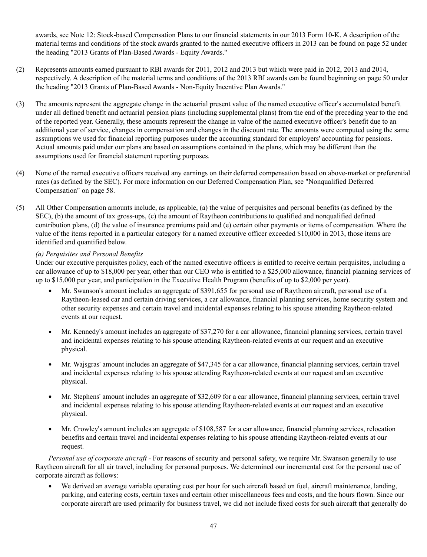awards, see Note 12: Stock-based Compensation Plans to our financial statements in our 2013 Form 10-K. A description of the material terms and conditions of the stock awards granted to the named executive officers in 2013 can be found on page 52 under the heading "2013 Grants of Plan-Based Awards - Equity Awards."

- (2) Represents amounts earned pursuant to RBI awards for 2011, 2012 and 2013 but which were paid in 2012, 2013 and 2014, respectively. A description of the material terms and conditions of the 2013 RBI awards can be found beginning on page 50 under the heading "2013 Grants of Plan-Based Awards - Non-Equity Incentive Plan Awards."
- (3) The amounts represent the aggregate change in the actuarial present value of the named executive officer's accumulated benefit under all defined benefit and actuarial pension plans (including supplemental plans) from the end of the preceding year to the end of the reported year. Generally, these amounts represent the change in value of the named executive officer's benefit due to an additional year of service, changes in compensation and changes in the discount rate. The amounts were computed using the same assumptions we used for financial reporting purposes under the accounting standard for employers' accounting for pensions. Actual amounts paid under our plans are based on assumptions contained in the plans, which may be different than the assumptions used for financial statement reporting purposes.
- (4) None of the named executive officers received any earnings on their deferred compensation based on above-market or preferential rates (as defined by the SEC). For more information on our Deferred Compensation Plan, see "Nonqualified Deferred Compensation" on page 58.
- (5) All Other Compensation amounts include, as applicable, (a) the value of perquisites and personal benefits (as defined by the SEC), (b) the amount of tax gross-ups, (c) the amount of Raytheon contributions to qualified and nonqualified defined contribution plans, (d) the value of insurance premiums paid and (e) certain other payments or items of compensation. Where the value of the items reported in a particular category for a named executive officer exceeded \$10,000 in 2013, those items are identified and quantified below.

# *(a) Perquisites and Personal Benefits*

Under our executive perquisites policy, each of the named executive officers is entitled to receive certain perquisites, including a car allowance of up to \$18,000 per year, other than our CEO who is entitled to a \$25,000 allowance, financial planning services of up to \$15,000 per year, and participation in the Executive Health Program (benefits of up to \$2,000 per year).

- Mr. Swanson's amount includes an aggregate of \$391,655 for personal use of Raytheon aircraft, personal use of a Raytheon-leased car and certain driving services, a car allowance, financial planning services, home security system and other security expenses and certain travel and incidental expenses relating to his spouse attending Raytheon-related events at our request.
- Mr. Kennedy's amount includes an aggregate of \$37,270 for a car allowance, financial planning services, certain travel  $\bullet$ and incidental expenses relating to his spouse attending Raytheon-related events at our request and an executive physical.
- Mr. Wajsgras' amount includes an aggregate of \$47,345 for a car allowance, financial planning services, certain travel and incidental expenses relating to his spouse attending Raytheon-related events at our request and an executive physical.
- Mr. Stephens' amount includes an aggregate of \$32,609 for a car allowance, financial planning services, certain travel and incidental expenses relating to his spouse attending Raytheon-related events at our request and an executive physical.
- Mr. Crowley's amount includes an aggregate of \$108,587 for a car allowance, financial planning services, relocation  $\bullet$ benefits and certain travel and incidental expenses relating to his spouse attending Raytheon-related events at our request.

*Personal use of corporate aircraft* - For reasons of security and personal safety, we require Mr. Swanson generally to use Raytheon aircraft for all air travel, including for personal purposes. We determined our incremental cost for the personal use of corporate aircraft as follows:

We derived an average variable operating cost per hour for such aircraft based on fuel, aircraft maintenance, landing, parking, and catering costs, certain taxes and certain other miscellaneous fees and costs, and the hours flown. Since our corporate aircraft are used primarily for business travel, we did not include fixed costs for such aircraft that generally do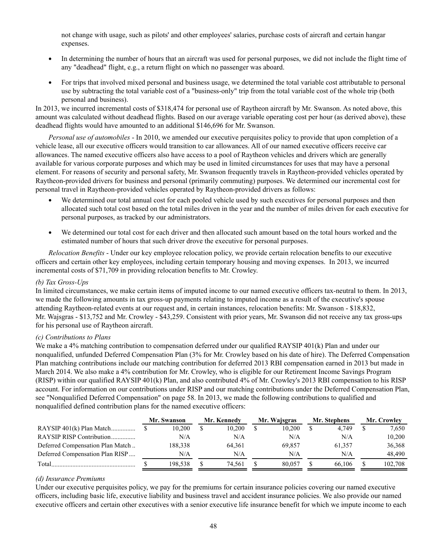not change with usage, such as pilots' and other employees' salaries, purchase costs of aircraft and certain hangar expenses.

- In determining the number of hours that an aircraft was used for personal purposes, we did not include the flight time of any "deadhead" flight, e.g., a return flight on which no passenger was aboard.
- For trips that involved mixed personal and business usage, we determined the total variable cost attributable to personal use by subtracting the total variable cost of a "business-only" trip from the total variable cost of the whole trip (both personal and business).

In 2013, we incurred incremental costs of \$318,474 for personal use of Raytheon aircraft by Mr. Swanson. As noted above, this amount was calculated without deadhead flights. Based on our average variable operating cost per hour (as derived above), these deadhead flights would have amounted to an additional \$146,696 for Mr. Swanson.

*Personal use of automobiles* - In 2010, we amended our executive perquisites policy to provide that upon completion of a vehicle lease, all our executive officers would transition to car allowances. All of our named executive officers receive car allowances. The named executive officers also have access to a pool of Raytheon vehicles and drivers which are generally available for various corporate purposes and which may be used in limited circumstances for uses that may have a personal element. For reasons of security and personal safety, Mr. Swanson frequently travels in Raytheon-provided vehicles operated by Raytheon-provided drivers for business and personal (primarily commuting) purposes. We determined our incremental cost for personal travel in Raytheon-provided vehicles operated by Raytheon-provided drivers as follows:

- We determined our total annual cost for each pooled vehicle used by such executives for personal purposes and then allocated such total cost based on the total miles driven in the year and the number of miles driven for each executive for personal purposes, as tracked by our administrators.
- $\bullet$ We determined our total cost for each driver and then allocated such amount based on the total hours worked and the estimated number of hours that such driver drove the executive for personal purposes.

*Relocation Benefits* - Under our key employee relocation policy, we provide certain relocation benefits to our executive officers and certain other key employees, including certain temporary housing and moving expenses. In 2013, we incurred incremental costs of \$71,709 in providing relocation benefits to Mr. Crowley.

# *(b) Tax Gross-Ups*

In limited circumstances, we make certain items of imputed income to our named executive officers tax-neutral to them. In 2013, we made the following amounts in tax gross-up payments relating to imputed income as a result of the executive's spouse attending Raytheon-related events at our request and, in certain instances, relocation benefits: Mr. Swanson - \$18,832, Mr. Wajsgras - \$13,752 and Mr. Crowley - \$43,259. Consistent with prior years, Mr. Swanson did not receive any tax gross-ups for his personal use of Raytheon aircraft.

## *(c) Contributions to Plans*

We make a 4% matching contribution to compensation deferred under our qualified RAYSIP 401(k) Plan and under our nonqualified, unfunded Deferred Compensation Plan (3% for Mr. Crowley based on his date of hire). The Deferred Compensation Plan matching contributions include our matching contribution for deferred 2013 RBI compensation earned in 2013 but made in March 2014. We also make a 4% contribution for Mr. Crowley, who is eligible for our Retirement Income Savings Program (RISP) within our qualified RAYSIP 401(k) Plan, and also contributed 4% of Mr. Crowley's 2013 RBI compensation to his RISP account. For information on our contributions under RISP and our matching contributions under the Deferred Compensation Plan, see "Nonqualified Deferred Compensation" on page 58. In 2013, we made the following contributions to qualified and nonqualified defined contribution plans for the named executive officers:

|                                  | Mr. Swanson |         | Mr. Kennedy | Mr. Wajsgras | Mr. Stephens | Mr. Crowley |         |  |
|----------------------------------|-------------|---------|-------------|--------------|--------------|-------------|---------|--|
| RAYSIP 401(k) Plan Match         |             | 10.200  | 10.200      | 10.200       | 4.749        |             | 7,650   |  |
| RAYSIP RISP Contribution         |             | N/A     | N/A         | N/A          | N/A          |             | 10,200  |  |
| Deferred Compensation Plan Match |             | 188,338 | 64.361      | 69.857       | 61.357       |             | 36,368  |  |
| Deferred Compensation Plan RISP  |             | N/A     | N/A         | N/A          | N/A          |             | 48.490  |  |
| Total                            |             | 198.538 | 74.561      | 80.057       | 66.106       |             | 102,708 |  |

## *(d) Insurance Premiums*

Under our executive perquisites policy, we pay for the premiums for certain insurance policies covering our named executive officers, including basic life, executive liability and business travel and accident insurance policies. We also provide our named executive officers and certain other executives with a senior executive life insurance benefit for which we impute income to each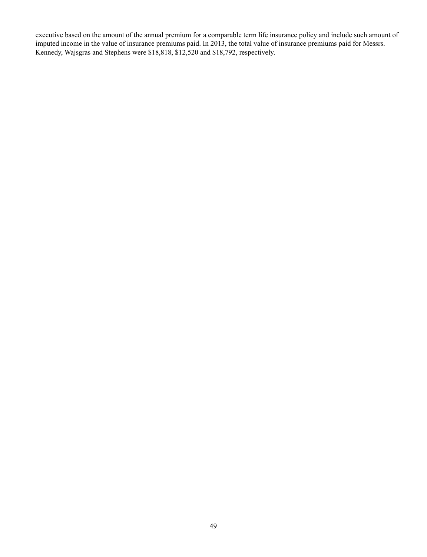executive based on the amount of the annual premium for a comparable term life insurance policy and include such amount of imputed income in the value of insurance premiums paid. In 2013, the total value of insurance premiums paid for Messrs. Kennedy, Wajsgras and Stephens were \$18,818, \$12,520 and \$18,792, respectively.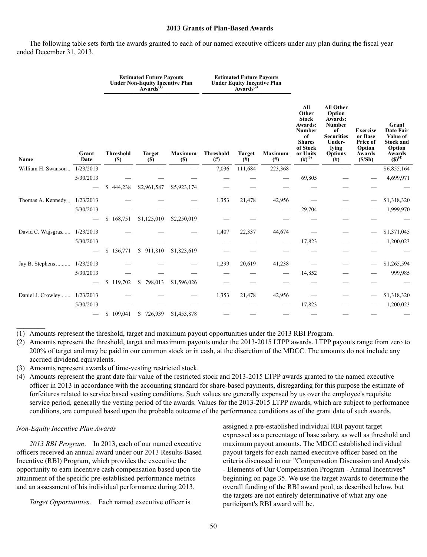#### **2013 Grants of Plan-Based Awards**

The following table sets forth the awards granted to each of our named executive officers under any plan during the fiscal year ended December 31, 2013.

|                    | Grant<br>Date |                                 | <b>Estimated Future Payouts</b><br>Under Non-Equity Incentive Plan<br>Awards <sup>(1)</sup> |                              |                              | <b>Estimated Future Payouts</b><br>Under Equity Incentive Plan<br>Awards <sup>(2)</sup> |                            |                                                                                                                        |                                                                                                                             |                                                                      |                                                                                           |
|--------------------|---------------|---------------------------------|---------------------------------------------------------------------------------------------|------------------------------|------------------------------|-----------------------------------------------------------------------------------------|----------------------------|------------------------------------------------------------------------------------------------------------------------|-----------------------------------------------------------------------------------------------------------------------------|----------------------------------------------------------------------|-------------------------------------------------------------------------------------------|
| <b>Name</b>        |               | <b>Threshold</b><br><b>(\$)</b> | <b>Target</b><br><b>(\$)</b>                                                                | <b>Maximum</b><br><b>(S)</b> | <b>Threshold</b><br>$^{(#)}$ | <b>Target</b><br>$^{(#)}$                                                               | <b>Maximum</b><br>$^{(#)}$ | All<br>Other<br><b>Stock</b><br>Awards:<br><b>Number</b><br>of<br><b>Shares</b><br>of Stock<br>or Units<br>$(H)^{(3)}$ | <b>All Other</b><br>Option<br>Awards:<br>Number<br>of<br><b>Securities</b><br>Under-<br>lying<br><b>Options</b><br>$^{(#)}$ | <b>Exercise</b><br>or Base<br>Price of<br>Option<br>Awards<br>(S/Sh) | Grant<br><b>Date Fair</b><br>Value of<br><b>Stock and</b><br>Option<br>Awards $(S)^{(4)}$ |
| William H. Swanson | 1/23/2013     |                                 |                                                                                             |                              | 7,036                        | 111,684                                                                                 | 223,368                    |                                                                                                                        |                                                                                                                             |                                                                      | \$6,855,164                                                                               |
|                    | 5/30/2013     |                                 |                                                                                             |                              |                              |                                                                                         |                            | 69,805                                                                                                                 |                                                                                                                             |                                                                      | 4,699,971                                                                                 |
|                    |               | 444,238<br>\$                   | \$2,961,587                                                                                 | \$5,923,174                  |                              |                                                                                         |                            |                                                                                                                        |                                                                                                                             |                                                                      |                                                                                           |
| Thomas A. Kennedy  | 1/23/2013     |                                 |                                                                                             |                              | 1,353                        | 21,478                                                                                  | 42,956                     |                                                                                                                        |                                                                                                                             |                                                                      | \$1,318,320                                                                               |
|                    | 5/30/2013     |                                 |                                                                                             |                              |                              |                                                                                         |                            | 29,704                                                                                                                 |                                                                                                                             |                                                                      | 1,999,970                                                                                 |
|                    |               | S<br>168,751                    | \$1,125,010                                                                                 | \$2,250,019                  |                              |                                                                                         |                            |                                                                                                                        |                                                                                                                             |                                                                      |                                                                                           |
| David C. Wajsgras  | 1/23/2013     |                                 |                                                                                             |                              | 1,407                        | 22,337                                                                                  | 44,674                     |                                                                                                                        |                                                                                                                             |                                                                      | \$1,371,045                                                                               |
|                    | 5/30/2013     |                                 |                                                                                             |                              |                              |                                                                                         |                            | 17,823                                                                                                                 |                                                                                                                             |                                                                      | 1,200,023                                                                                 |
|                    |               | \$<br>136,771                   | \$911,810                                                                                   | \$1,823,619                  |                              |                                                                                         |                            |                                                                                                                        |                                                                                                                             |                                                                      |                                                                                           |
| Jay B. Stephens    | 1/23/2013     |                                 |                                                                                             |                              | 1,299                        | 20,619                                                                                  | 41,238                     |                                                                                                                        |                                                                                                                             |                                                                      | \$1,265,594                                                                               |
|                    | 5/30/2013     |                                 |                                                                                             |                              |                              |                                                                                         |                            | 14,852                                                                                                                 |                                                                                                                             |                                                                      | 999,985                                                                                   |
|                    |               | \$119,702                       | 798,013<br>\$                                                                               | \$1,596,026                  |                              |                                                                                         |                            |                                                                                                                        |                                                                                                                             |                                                                      |                                                                                           |
| Daniel J. Crowley  | 1/23/2013     |                                 |                                                                                             |                              | 1,353                        | 21,478                                                                                  | 42,956                     |                                                                                                                        |                                                                                                                             |                                                                      | \$1,318,320                                                                               |
|                    | 5/30/2013     |                                 |                                                                                             |                              |                              |                                                                                         |                            | 17,823                                                                                                                 |                                                                                                                             |                                                                      | 1,200,023                                                                                 |
|                    |               | \$109,041                       | \$726,939                                                                                   | \$1,453,878                  |                              |                                                                                         |                            |                                                                                                                        |                                                                                                                             |                                                                      |                                                                                           |

(1) Amounts represent the threshold, target and maximum payout opportunities under the 2013 RBI Program.

- (2) Amounts represent the threshold, target and maximum payouts under the 2013-2015 LTPP awards. LTPP payouts range from zero to 200% of target and may be paid in our common stock or in cash, at the discretion of the MDCC. The amounts do not include any accrued dividend equivalents.
- (3) Amounts represent awards of time-vesting restricted stock.
- (4) Amounts represent the grant date fair value of the restricted stock and 2013-2015 LTPP awards granted to the named executive officer in 2013 in accordance with the accounting standard for share-based payments, disregarding for this purpose the estimate of forfeitures related to service based vesting conditions. Such values are generally expensed by us over the employee's requisite service period, generally the vesting period of the awards. Values for the 2013-2015 LTPP awards, which are subject to performance conditions, are computed based upon the probable outcome of the performance conditions as of the grant date of such awards.

## *Non-Equity Incentive Plan Awards*

 $\mathcal{L}_\text{max}$ 

*2013 RBI Program*. In 2013, each of our named executive officers received an annual award under our 2013 Results-Based Incentive (RBI) Program, which provides the executive the opportunity to earn incentive cash compensation based upon the attainment of the specific pre-established performance metrics and an assessment of his individual performance during 2013.

*Target Opportunities*. Each named executive officer is

assigned a pre-established individual RBI payout target expressed as a percentage of base salary, as well as threshold and maximum payout amounts. The MDCC established individual payout targets for each named executive officer based on the criteria discussed in our "Compensation Discussion and Analysis - Elements of Our Compensation Program - Annual Incentives" beginning on page 35. We use the target awards to determine the overall funding of the RBI award pool, as described below, but the targets are not entirely determinative of what any one participant's RBI award will be.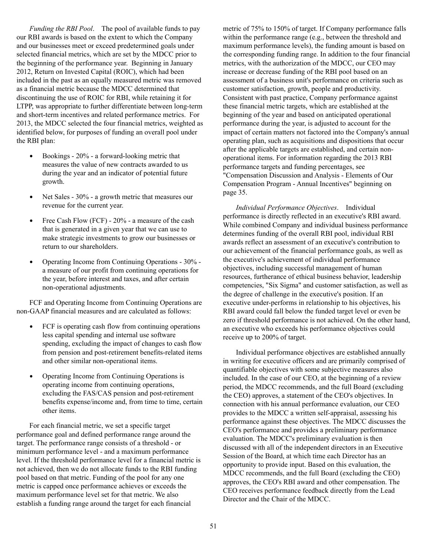*Funding the RBI Pool*. The pool of available funds to pay our RBI awards is based on the extent to which the Company and our businesses meet or exceed predetermined goals under selected financial metrics, which are set by the MDCC prior to the beginning of the performance year. Beginning in January 2012, Return on Invested Capital (ROIC), which had been included in the past as an equally measured metric was removed as a financial metric because the MDCC determined that discontinuing the use of ROIC for RBI, while retaining it for LTPP, was appropriate to further differentiate between long-term and short-term incentives and related performance metrics. For 2013, the MDCC selected the four financial metrics, weighted as identified below, for purposes of funding an overall pool under the RBI plan:

- $\bullet$ Bookings - 20% - a forward-looking metric that measures the value of new contracts awarded to us during the year and an indicator of potential future growth.
- Net Sales 30% a growth metric that measures our  $\bullet$ revenue for the current year.
- Free Cash Flow (FCF) 20% a measure of the cash  $\bullet$ that is generated in a given year that we can use to make strategic investments to grow our businesses or return to our shareholders.
- $\bullet$ Operating Income from Continuing Operations - 30% a measure of our profit from continuing operations for the year, before interest and taxes, and after certain non-operational adjustments.

FCF and Operating Income from Continuing Operations are non-GAAP financial measures and are calculated as follows:

- FCF is operating cash flow from continuing operations  $\bullet$ less capital spending and internal use software spending, excluding the impact of changes to cash flow from pension and post-retirement benefits-related items and other similar non-operational items.
- Operating Income from Continuing Operations is  $\bullet$ operating income from continuing operations, excluding the FAS/CAS pension and post-retirement benefits expense/income and, from time to time, certain other items.

For each financial metric, we set a specific target performance goal and defined performance range around the target. The performance range consists of a threshold - or minimum performance level - and a maximum performance level. If the threshold performance level for a financial metric is not achieved, then we do not allocate funds to the RBI funding pool based on that metric. Funding of the pool for any one metric is capped once performance achieves or exceeds the maximum performance level set for that metric. We also establish a funding range around the target for each financial

metric of 75% to 150% of target. If Company performance falls within the performance range (e.g., between the threshold and maximum performance levels), the funding amount is based on the corresponding funding range. In addition to the four financial metrics, with the authorization of the MDCC, our CEO may increase or decrease funding of the RBI pool based on an assessment of a business unit's performance on criteria such as customer satisfaction, growth, people and productivity. Consistent with past practice, Company performance against these financial metric targets, which are established at the beginning of the year and based on anticipated operational performance during the year, is adjusted to account for the impact of certain matters not factored into the Company's annual operating plan, such as acquisitions and dispositions that occur after the applicable targets are established, and certain nonoperational items. For information regarding the 2013 RBI performance targets and funding percentages, see "Compensation Discussion and Analysis - Elements of Our Compensation Program - Annual Incentives" beginning on page 35.

*Individual Performance Objectives*. Individual performance is directly reflected in an executive's RBI award. While combined Company and individual business performance determines funding of the overall RBI pool, individual RBI awards reflect an assessment of an executive's contribution to our achievement of the financial performance goals, as well as the executive's achievement of individual performance objectives, including successful management of human resources, furtherance of ethical business behavior, leadership competencies, "Six Sigma" and customer satisfaction, as well as the degree of challenge in the executive's position. If an executive under-performs in relationship to his objectives, his RBI award could fall below the funded target level or even be zero if threshold performance is not achieved. On the other hand, an executive who exceeds his performance objectives could receive up to 200% of target.

Individual performance objectives are established annually in writing for executive officers and are primarily comprised of quantifiable objectives with some subjective measures also included. In the case of our CEO, at the beginning of a review period, the MDCC recommends, and the full Board (excluding the CEO) approves, a statement of the CEO's objectives. In connection with his annual performance evaluation, our CEO provides to the MDCC a written self-appraisal, assessing his performance against these objectives. The MDCC discusses the CEO's performance and provides a preliminary performance evaluation. The MDCC's preliminary evaluation is then discussed with all of the independent directors in an Executive Session of the Board, at which time each Director has an opportunity to provide input. Based on this evaluation, the MDCC recommends, and the full Board (excluding the CEO) approves, the CEO's RBI award and other compensation. The CEO receives performance feedback directly from the Lead Director and the Chair of the MDCC.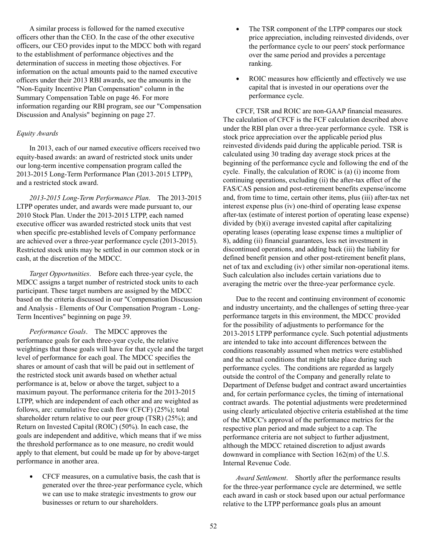A similar process is followed for the named executive officers other than the CEO. In the case of the other executive officers, our CEO provides input to the MDCC both with regard to the establishment of performance objectives and the determination of success in meeting those objectives. For information on the actual amounts paid to the named executive officers under their 2013 RBI awards, see the amounts in the "Non-Equity Incentive Plan Compensation" column in the Summary Compensation Table on page 46. For more information regarding our RBI program, see our "Compensation Discussion and Analysis" beginning on page 27.

## *Equity Awards*

In 2013, each of our named executive officers received two equity-based awards: an award of restricted stock units under our long-term incentive compensation program called the 2013-2015 Long-Term Performance Plan (2013-2015 LTPP), and a restricted stock award.

*2013-2015 Long-Term Performance Plan*. The 2013-2015 LTPP operates under, and awards were made pursuant to, our 2010 Stock Plan. Under the 2013-2015 LTPP, each named executive officer was awarded restricted stock units that vest when specific pre-established levels of Company performance are achieved over a three-year performance cycle (2013-2015). Restricted stock units may be settled in our common stock or in cash, at the discretion of the MDCC.

*Target Opportunities*. Before each three-year cycle, the MDCC assigns a target number of restricted stock units to each participant. These target numbers are assigned by the MDCC based on the criteria discussed in our "Compensation Discussion and Analysis - Elements of Our Compensation Program - Long-Term Incentives" beginning on page 39.

*Performance Goals*. The MDCC approves the performance goals for each three-year cycle, the relative weightings that those goals will have for that cycle and the target level of performance for each goal. The MDCC specifies the shares or amount of cash that will be paid out in settlement of the restricted stock unit awards based on whether actual performance is at, below or above the target, subject to a maximum payout. The performance criteria for the 2013-2015 LTPP, which are independent of each other and are weighted as follows, are: cumulative free cash flow (CFCF) (25%); total shareholder return relative to our peer group (TSR) (25%); and Return on Invested Capital (ROIC) (50%). In each case, the goals are independent and additive, which means that if we miss the threshold performance as to one measure, no credit would apply to that element, but could be made up for by above-target performance in another area.

 $\bullet$ CFCF measures, on a cumulative basis, the cash that is generated over the three-year performance cycle, which we can use to make strategic investments to grow our businesses or return to our shareholders.

- $\bullet$ The TSR component of the LTPP compares our stock price appreciation, including reinvested dividends, over the performance cycle to our peers' stock performance over the same period and provides a percentage ranking.
- $\bullet$ ROIC measures how efficiently and effectively we use capital that is invested in our operations over the performance cycle.

CFCF, TSR and ROIC are non-GAAP financial measures. The calculation of CFCF is the FCF calculation described above under the RBI plan over a three-year performance cycle. TSR is stock price appreciation over the applicable period plus reinvested dividends paid during the applicable period. TSR is calculated using 30 trading day average stock prices at the beginning of the performance cycle and following the end of the cycle. Finally, the calculation of ROIC is (a) (i) income from continuing operations, excluding (ii) the after-tax effect of the FAS/CAS pension and post-retirement benefits expense/income and, from time to time, certain other items, plus (iii) after-tax net interest expense plus (iv) one-third of operating lease expense after-tax (estimate of interest portion of operating lease expense) divided by (b)(i) average invested capital after capitalizing operating leases (operating lease expense times a multiplier of 8), adding (ii) financial guarantees, less net investment in discontinued operations, and adding back (iii) the liability for defined benefit pension and other post-retirement benefit plans, net of tax and excluding (iv) other similar non-operational items. Such calculation also includes certain variations due to averaging the metric over the three-year performance cycle.

Due to the recent and continuing environment of economic and industry uncertainty, and the challenges of setting three-year performance targets in this environment, the MDCC provided for the possibility of adjustments to performance for the 2013-2015 LTPP performance cycle. Such potential adjustments are intended to take into account differences between the conditions reasonably assumed when metrics were established and the actual conditions that might take place during such performance cycles. The conditions are regarded as largely outside the control of the Company and generally relate to Department of Defense budget and contract award uncertainties and, for certain performance cycles, the timing of international contract awards. The potential adjustments were predetermined using clearly articulated objective criteria established at the time of the MDCC's approval of the performance metrics for the respective plan period and made subject to a cap. The performance criteria are not subject to further adjustment, although the MDCC retained discretion to adjust awards downward in compliance with Section 162(m) of the U.S. Internal Revenue Code.

*Award Settlement*. Shortly after the performance results for the three-year performance cycle are determined, we settle each award in cash or stock based upon our actual performance relative to the LTPP performance goals plus an amount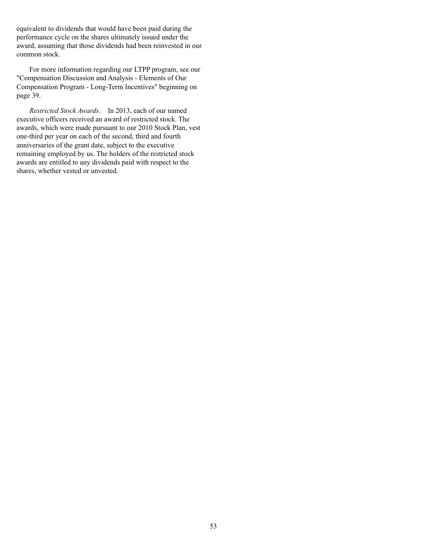equivalent to dividends that would have been paid during the performance cycle on the shares ultimately issued under the award, assuming that those dividends had been reinvested in our common stock.

For more information regarding our LTPP program, see our "Compensation Discussion and Analysis - Elements of Our Compensation Program - Long-Term Incentives" beginning on page 39.

*Restricted Stock Awards*. In 2013, each of our named executive officers received an award of restricted stock. The awards, which were made pursuant to our 2010 Stock Plan, vest one-third per year on each of the second, third and fourth anniversaries of the grant date, subject to the executive remaining employed by us. The holders of the restricted stock awards are entitled to any dividends paid with respect to the shares, whether vested or unvested.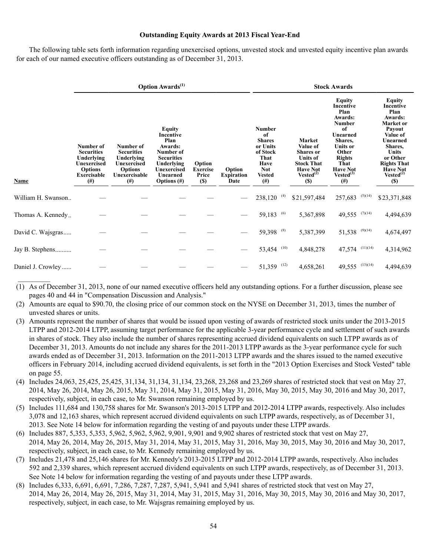## **Outstanding Equity Awards at 2013 Fiscal Year-End**

The following table sets forth information regarding unexercised options, unvested stock and unvested equity incentive plan awards for each of our named executive officers outstanding as of December 31, 2013.

|                    |                                                                                                                 |                                                                                                            | <b>Option Awards</b> <sup>(1)</sup>                                                                                                        |                                                   |                                     | <b>Stock Awards</b>                                                                                                     |                                                                                                                                          |                                                                                                                                                                                            |                                                                                                                                                                                                               |  |  |  |  |
|--------------------|-----------------------------------------------------------------------------------------------------------------|------------------------------------------------------------------------------------------------------------|--------------------------------------------------------------------------------------------------------------------------------------------|---------------------------------------------------|-------------------------------------|-------------------------------------------------------------------------------------------------------------------------|------------------------------------------------------------------------------------------------------------------------------------------|--------------------------------------------------------------------------------------------------------------------------------------------------------------------------------------------|---------------------------------------------------------------------------------------------------------------------------------------------------------------------------------------------------------------|--|--|--|--|
| <b>Name</b>        | Number of<br><b>Securities</b><br>Underlying<br>Unexercised<br><b>Options</b><br><b>Exercisable</b><br>$^{(#)}$ | Number of<br><b>Securities</b><br>Underlying<br>Unexercised<br><b>Options</b><br>Unexercisable<br>$^{(#)}$ | <b>Equity</b><br>Incentive<br>Plan<br>Awards:<br>Number of<br><b>Securities</b><br>Underlying<br>Unexercised<br>Unearned<br>Options $(\#)$ | Option<br><b>Exercise</b><br>Price<br><b>(\$)</b> | Option<br><b>Expiration</b><br>Date | <b>Number</b><br>of<br><b>Shares</b><br>or Units<br>of Stock<br>That<br>Have<br><b>Not</b><br><b>Vested</b><br>$^{(#)}$ | <b>Market</b><br>Value of<br><b>Shares</b> or<br>Units of<br><b>Stock That</b><br><b>Have Not</b><br>Vested <sup>(2)</sup><br><b>(S)</b> | Equity<br>Incentive<br>Plan<br>Awards:<br><b>Number</b><br>of<br>Unearned<br>Shares,<br><b>Units or</b><br>Other<br><b>Rights</b><br>That<br><b>Have Not</b><br>$Vested^{(3)}$<br>$^{(#)}$ | Equity<br>Incentive<br>Plan<br>Awards:<br>Market or<br>Payout<br>Value of<br>Unearned<br>Shares,<br><b>Units</b><br>or Other<br><b>Rights That</b><br><b>Have Not</b><br>Vested <sup>(2)</sup><br><b>(\$)</b> |  |  |  |  |
| William H. Swanson |                                                                                                                 |                                                                                                            |                                                                                                                                            |                                                   |                                     | $238,120^{(4)}$                                                                                                         | \$21,597,484                                                                                                                             | $257,683$ (5)(14)                                                                                                                                                                          | \$23,371,848                                                                                                                                                                                                  |  |  |  |  |
| Thomas A. Kennedy  |                                                                                                                 |                                                                                                            |                                                                                                                                            |                                                   |                                     | 59,183 $(6)$                                                                                                            | 5,367,898                                                                                                                                | 49,555 $(7)(14)$                                                                                                                                                                           | 4,494,639                                                                                                                                                                                                     |  |  |  |  |
| David C. Wajsgras  |                                                                                                                 |                                                                                                            |                                                                                                                                            |                                                   |                                     | 59,398 (8)                                                                                                              | 5,387,399                                                                                                                                | 51,538 $(9)(14)$                                                                                                                                                                           | 4,674,497                                                                                                                                                                                                     |  |  |  |  |
| Jay B. Stephens    |                                                                                                                 |                                                                                                            |                                                                                                                                            |                                                   |                                     | 53,454 (10)                                                                                                             | 4,848,278                                                                                                                                | 47,574 $(11)(14)$                                                                                                                                                                          | 4,314,962                                                                                                                                                                                                     |  |  |  |  |
| Daniel J. Crowley  |                                                                                                                 |                                                                                                            |                                                                                                                                            |                                                   |                                     | $51,359$ <sup>(12)</sup>                                                                                                | 4,658,261                                                                                                                                | 49,555 $(13)(14)$                                                                                                                                                                          | 4,494,639                                                                                                                                                                                                     |  |  |  |  |

(1) As of December 31, 2013, none of our named executive officers held any outstanding options. For a further discussion, please see pages 40 and 44 in "Compensation Discussion and Analysis."

(2) Amounts are equal to \$90.70, the closing price of our common stock on the NYSE on December 31, 2013, times the number of unvested shares or units.

- (3) Amounts represent the number of shares that would be issued upon vesting of awards of restricted stock units under the 2013-2015 LTPP and 2012-2014 LTPP, assuming target performance for the applicable 3-year performance cycle and settlement of such awards in shares of stock. They also include the number of shares representing accrued dividend equivalents on such LTPP awards as of December 31, 2013. Amounts do not include any shares for the 2011-2013 LTPP awards as the 3-year performance cycle for such awards ended as of December 31, 2013. Information on the 2011-2013 LTPP awards and the shares issued to the named executive officers in February 2014, including accrued dividend equivalents, is set forth in the "2013 Option Exercises and Stock Vested" table on page 55.
- (4) Includes 24,063, 25,425, 25,425, 31,134, 31,134, 31,134, 23,268, 23,268 and 23,269 shares of restricted stock that vest on May 27, 2014, May 26, 2014, May 26, 2015, May 31, 2014, May 31, 2015, May 31, 2016, May 30, 2015, May 30, 2016 and May 30, 2017, respectively, subject, in each case, to Mr. Swanson remaining employed by us.
- (5) Includes 111,684 and 130,758 shares for Mr. Swanson's 2013-2015 LTPP and 2012-2014 LTPP awards, respectively. Also includes 3,078 and 12,163 shares, which represent accrued dividend equivalents on such LTPP awards, respectively, as of December 31, 2013. See Note 14 below for information regarding the vesting of and payouts under these LTPP awards.
- (6) Includes 887, 5,353, 5,353, 5,962, 5,962, 5,962, 9,901, 9,901 and 9,902 shares of restricted stock that vest on May 27, 2014, May 26, 2014, May 26, 2015, May 31, 2014, May 31, 2015, May 31, 2016, May 30, 2015, May 30, 2016 and May 30, 2017, respectively, subject, in each case, to Mr. Kennedy remaining employed by us.
- (7) Includes 21,478 and 25,146 shares for Mr. Kennedy's 2013-2015 LTPP and 2012-2014 LTPP awards, respectively. Also includes 592 and 2,339 shares, which represent accrued dividend equivalents on such LTPP awards, respectively, as of December 31, 2013. See Note 14 below for information regarding the vesting of and payouts under these LTPP awards.
- (8) Includes 6,333, 6,691, 6,691, 7,286, 7,287, 7,287, 5,941, 5,941 and 5,941 shares of restricted stock that vest on May 27, 2014, May 26, 2014, May 26, 2015, May 31, 2014, May 31, 2015, May 31, 2016, May 30, 2015, May 30, 2016 and May 30, 2017, respectively, subject, in each case, to Mr. Wajsgras remaining employed by us.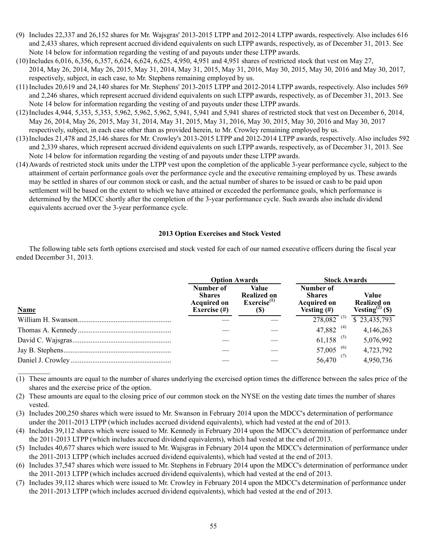- (9) Includes 22,337 and 26,152 shares for Mr. Wajsgras' 2013-2015 LTPP and 2012-2014 LTPP awards, respectively. Also includes 616 and 2,433 shares, which represent accrued dividend equivalents on such LTPP awards, respectively, as of December 31, 2013. See Note 14 below for information regarding the vesting of and payouts under these LTPP awards.
- (10) Includes 6,016, 6,356, 6,357, 6,624, 6,624, 6,625, 4,950, 4,951 and 4,951 shares of restricted stock that vest on May 27, 2014, May 26, 2014, May 26, 2015, May 31, 2014, May 31, 2015, May 31, 2016, May 30, 2015, May 30, 2016 and May 30, 2017, respectively, subject, in each case, to Mr. Stephens remaining employed by us.
- (11) Includes 20,619 and 24,140 shares for Mr. Stephens' 2013-2015 LTPP and 2012-2014 LTPP awards, respectively. Also includes 569 and 2,246 shares, which represent accrued dividend equivalents on such LTPP awards, respectively, as of December 31, 2013. See Note 14 below for information regarding the vesting of and payouts under these LTPP awards.
- (12) Includes 4,944, 5,353, 5,353, 5,962, 5,962, 5,962, 5,941, 5,941 and 5,941 shares of restricted stock that vest on December 6, 2014, May 26, 2014, May 26, 2015, May 31, 2014, May 31, 2015, May 31, 2016, May 30, 2015, May 30, 2016 and May 30, 2017 respectively, subject, in each case other than as provided herein, to Mr. Crowley remaining employed by us.
- (13) Includes 21,478 and 25,146 shares for Mr. Crowley's 2013-2015 LTPP and 2012-2014 LTPP awards, respectively. Also includes 592 and 2,339 shares, which represent accrued dividend equivalents on such LTPP awards, respectively, as of December 31, 2013. See Note 14 below for information regarding the vesting of and payouts under these LTPP awards.
- (14) Awards of restricted stock units under the LTPP vest upon the completion of the applicable 3-year performance cycle, subject to the attainment of certain performance goals over the performance cycle and the executive remaining employed by us. These awards may be settled in shares of our common stock or cash, and the actual number of shares to be issued or cash to be paid upon settlement will be based on the extent to which we have attained or exceeded the performance goals, which performance is determined by the MDCC shortly after the completion of the 3-year performance cycle. Such awards also include dividend equivalents accrued over the 3-year performance cycle.

## **2013 Option Exercises and Stock Vested**

The following table sets forth options exercised and stock vested for each of our named executive officers during the fiscal year ended December 31, 2013.

|             | <b>Option Awards</b>                                                |                                                               | <b>Stock Awards</b>                                                |                                                            |
|-------------|---------------------------------------------------------------------|---------------------------------------------------------------|--------------------------------------------------------------------|------------------------------------------------------------|
| <b>Name</b> | Number of<br><b>Shares</b><br><b>Acquired on</b><br>Exercise $(\#)$ | Value<br><b>Realized on</b><br>Exercise <sup>(1)</sup><br>(S) | Number of<br><b>Shares</b><br><b>Acquired on</b><br>Vesting $(\#)$ | Value<br><b>Realized on</b><br>Vesting <sup>(2)</sup> (\$) |
|             |                                                                     |                                                               | $\overline{278,082}$ <sup>(3)</sup>                                | $\overline{823,435,793}$                                   |
|             |                                                                     |                                                               | 47,882 <sup>(4)</sup>                                              | 4,146,263                                                  |
|             |                                                                     |                                                               | $61,158$ <sup>(5)</sup>                                            | 5,076,992                                                  |
|             |                                                                     |                                                               | $57,005$ <sup>(6)</sup>                                            | 4,723,792                                                  |
|             |                                                                     |                                                               | $56,470^{(7)}$                                                     | 4,950,736                                                  |

(1) These amounts are equal to the number of shares underlying the exercised option times the difference between the sales price of the shares and the exercise price of the option.

(2) These amounts are equal to the closing price of our common stock on the NYSE on the vesting date times the number of shares vested.

(3) Includes 200,250 shares which were issued to Mr. Swanson in February 2014 upon the MDCC's determination of performance under the 2011-2013 LTPP (which includes accrued dividend equivalents), which had vested at the end of 2013.

(4) Includes 39,112 shares which were issued to Mr. Kennedy in February 2014 upon the MDCC's determination of performance under the 2011-2013 LTPP (which includes accrued dividend equivalents), which had vested at the end of 2013.

(5) Includes 40,677 shares which were issued to Mr. Wajsgras in February 2014 upon the MDCC's determination of performance under the 2011-2013 LTPP (which includes accrued dividend equivalents), which had vested at the end of 2013.

- (6) Includes 37,547 shares which were issued to Mr. Stephens in February 2014 upon the MDCC's determination of performance under the 2011-2013 LTPP (which includes accrued dividend equivalents), which had vested at the end of 2013.
- (7) Includes 39,112 shares which were issued to Mr. Crowley in February 2014 upon the MDCC's determination of performance under the 2011-2013 LTPP (which includes accrued dividend equivalents), which had vested at the end of 2013.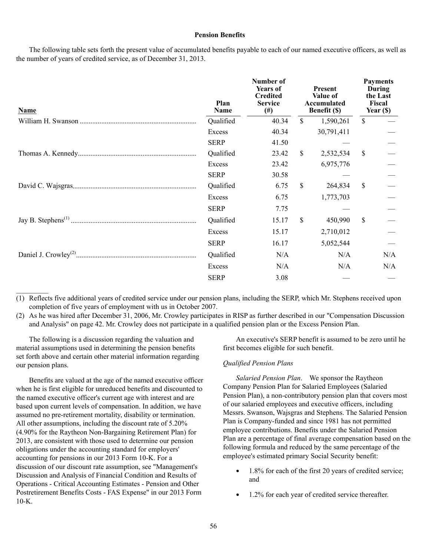#### **Pension Benefits**

The following table sets forth the present value of accumulated benefits payable to each of our named executive officers, as well as the number of years of credited service, as of December 31, 2013.

| <b>Name</b> | Plan<br>Name | Number of<br><b>Years of</b><br><b>Credited</b><br><b>Service</b><br>$^{(#)}$ |              | <b>Present</b><br>Value of<br>Accumulated<br><b>Benefit</b> (\$) |              | <b>Payments</b><br>During<br>the Last<br>Fiscal<br>Year $(S)$ |
|-------------|--------------|-------------------------------------------------------------------------------|--------------|------------------------------------------------------------------|--------------|---------------------------------------------------------------|
|             | Qualified    | 40.34                                                                         | \$           | 1,590,261                                                        | $\mathbb{S}$ |                                                               |
|             | Excess       | 40.34                                                                         |              | 30,791,411                                                       |              |                                                               |
|             | <b>SERP</b>  | 41.50                                                                         |              |                                                                  |              |                                                               |
|             | Qualified    | 23.42                                                                         | $\mathbb{S}$ | 2,532,534                                                        | \$           |                                                               |
|             | Excess       | 23.42                                                                         |              | 6,975,776                                                        |              |                                                               |
|             | <b>SERP</b>  | 30.58                                                                         |              |                                                                  |              |                                                               |
|             | Qualified    | 6.75                                                                          | $\mathbb{S}$ | 264,834                                                          | \$           |                                                               |
|             | Excess       | 6.75                                                                          |              | 1,773,703                                                        |              |                                                               |
|             | <b>SERP</b>  | 7.75                                                                          |              |                                                                  |              |                                                               |
|             | Qualified    | 15.17                                                                         | \$           | 450,990                                                          | \$           |                                                               |
|             | Excess       | 15.17                                                                         |              | 2,710,012                                                        |              |                                                               |
|             | <b>SERP</b>  | 16.17                                                                         |              | 5,052,544                                                        |              |                                                               |
|             | Qualified    | N/A                                                                           |              | N/A                                                              |              | N/A                                                           |
|             | Excess       | N/A                                                                           |              | N/A                                                              |              | N/A                                                           |
|             | <b>SERP</b>  | 3.08                                                                          |              |                                                                  |              |                                                               |

(1) Reflects five additional years of credited service under our pension plans, including the SERP, which Mr. Stephens received upon completion of five years of employment with us in October 2007.

(2) As he was hired after December 31, 2006, Mr. Crowley participates in RISP as further described in our "Compensation Discussion and Analysis" on page 42. Mr. Crowley does not participate in a qualified pension plan or the Excess Pension Plan.

The following is a discussion regarding the valuation and material assumptions used in determining the pension benefits set forth above and certain other material information regarding our pension plans.

 $\mathcal{L}$ 

Benefits are valued at the age of the named executive officer when he is first eligible for unreduced benefits and discounted to the named executive officer's current age with interest and are based upon current levels of compensation. In addition, we have assumed no pre-retirement mortality, disability or termination. All other assumptions, including the discount rate of 5.20% (4.90% for the Raytheon Non-Bargaining Retirement Plan) for 2013, are consistent with those used to determine our pension obligations under the accounting standard for employers' accounting for pensions in our 2013 Form 10-K. For a discussion of our discount rate assumption, see "Management's Discussion and Analysis of Financial Condition and Results of Operations - Critical Accounting Estimates - Pension and Other Postretirement Benefits Costs - FAS Expense" in our 2013 Form  $10-K$ .

An executive's SERP benefit is assumed to be zero until he first becomes eligible for such benefit.

#### *Qualified Pension Plans*

*Salaried Pension Plan*. We sponsor the Raytheon Company Pension Plan for Salaried Employees (Salaried Pension Plan), a non-contributory pension plan that covers most of our salaried employees and executive officers, including Messrs. Swanson, Wajsgras and Stephens. The Salaried Pension Plan is Company-funded and since 1981 has not permitted employee contributions. Benefits under the Salaried Pension Plan are a percentage of final average compensation based on the following formula and reduced by the same percentage of the employee's estimated primary Social Security benefit:

- $\bullet$ 1.8% for each of the first 20 years of credited service; and
- 1.2% for each year of credited service thereafter. $\bullet$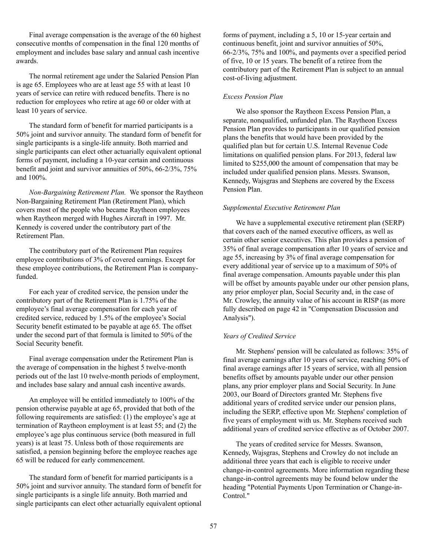Final average compensation is the average of the 60 highest consecutive months of compensation in the final 120 months of employment and includes base salary and annual cash incentive awards.

The normal retirement age under the Salaried Pension Plan is age 65. Employees who are at least age 55 with at least 10 years of service can retire with reduced benefits. There is no reduction for employees who retire at age 60 or older with at least 10 years of service.

The standard form of benefit for married participants is a 50% joint and survivor annuity. The standard form of benefit for single participants is a single-life annuity. Both married and single participants can elect other actuarially equivalent optional forms of payment, including a 10-year certain and continuous benefit and joint and survivor annuities of 50%, 66-2/3%, 75% and 100%.

*Non-Bargaining Retirement Plan.* We sponsor the Raytheon Non-Bargaining Retirement Plan (Retirement Plan), which covers most of the people who became Raytheon employees when Raytheon merged with Hughes Aircraft in 1997. Mr. Kennedy is covered under the contributory part of the Retirement Plan.

The contributory part of the Retirement Plan requires employee contributions of 3% of covered earnings. Except for these employee contributions, the Retirement Plan is companyfunded.

For each year of credited service, the pension under the contributory part of the Retirement Plan is 1.75% of the employee's final average compensation for each year of credited service, reduced by 1.5% of the employee's Social Security benefit estimated to be payable at age 65. The offset under the second part of that formula is limited to 50% of the Social Security benefit.

Final average compensation under the Retirement Plan is the average of compensation in the highest 5 twelve-month periods out of the last 10 twelve-month periods of employment, and includes base salary and annual cash incentive awards.

An employee will be entitled immediately to 100% of the pension otherwise payable at age 65, provided that both of the following requirements are satisfied: (1) the employee's age at termination of Raytheon employment is at least 55; and (2) the employee's age plus continuous service (both measured in full years) is at least 75. Unless both of those requirements are satisfied, a pension beginning before the employee reaches age 65 will be reduced for early commencement.

The standard form of benefit for married participants is a 50% joint and survivor annuity. The standard form of benefit for single participants is a single life annuity. Both married and single participants can elect other actuarially equivalent optional

forms of payment, including a 5, 10 or 15-year certain and continuous benefit, joint and survivor annuities of 50%, 66-2/3%, 75% and 100%, and payments over a specified period of five, 10 or 15 years. The benefit of a retiree from the contributory part of the Retirement Plan is subject to an annual cost-of-living adjustment.

# *Excess Pension Plan*

We also sponsor the Raytheon Excess Pension Plan, a separate, nonqualified, unfunded plan. The Raytheon Excess Pension Plan provides to participants in our qualified pension plans the benefits that would have been provided by the qualified plan but for certain U.S. Internal Revenue Code limitations on qualified pension plans. For 2013, federal law limited to \$255,000 the amount of compensation that may be included under qualified pension plans. Messrs. Swanson, Kennedy, Wajsgras and Stephens are covered by the Excess Pension Plan.

## *Supplemental Executive Retirement Plan*

We have a supplemental executive retirement plan (SERP) that covers each of the named executive officers, as well as certain other senior executives. This plan provides a pension of 35% of final average compensation after 10 years of service and age 55, increasing by 3% of final average compensation for every additional year of service up to a maximum of 50% of final average compensation. Amounts payable under this plan will be offset by amounts payable under our other pension plans, any prior employer plan, Social Security and, in the case of Mr. Crowley, the annuity value of his account in RISP (as more fully described on page 42 in "Compensation Discussion and Analysis").

# *Years of Credited Service*

Mr. Stephens' pension will be calculated as follows: 35% of final average earnings after 10 years of service, reaching 50% of final average earnings after 15 years of service, with all pension benefits offset by amounts payable under our other pension plans, any prior employer plans and Social Security. In June 2003, our Board of Directors granted Mr. Stephens five additional years of credited service under our pension plans, including the SERP, effective upon Mr. Stephens' completion of five years of employment with us. Mr. Stephens received such additional years of credited service effective as of October 2007.

The years of credited service for Messrs. Swanson, Kennedy, Wajsgras, Stephens and Crowley do not include an additional three years that each is eligible to receive under change-in-control agreements. More information regarding these change-in-control agreements may be found below under the heading "Potential Payments Upon Termination or Change-in-Control."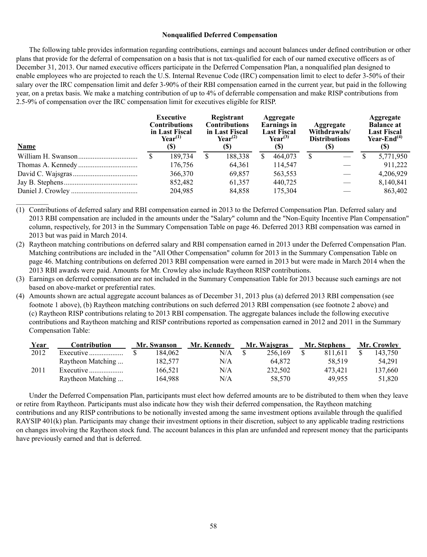### **Nonqualified Deferred Compensation**

The following table provides information regarding contributions, earnings and account balances under defined contribution or other plans that provide for the deferral of compensation on a basis that is not tax-qualified for each of our named executive officers as of December 31, 2013. Our named executive officers participate in the Deferred Compensation Plan, a nonqualified plan designed to enable employees who are projected to reach the U.S. Internal Revenue Code (IRC) compensation limit to elect to defer 3-50% of their salary over the IRC compensation limit and defer 3-90% of their RBI compensation earned in the current year, but paid in the following year, on a pretax basis. We make a matching contribution of up to 4% of deferrable compensation and make RISP contributions from 2.5-9% of compensation over the IRC compensation limit for executives eligible for RISP.

| <b>Name</b> | Executive<br><b>Contributions</b><br>in Last Fiscal<br>$Year^{(1)}$<br>(S) |         |   | Registrant<br><b>Contributions</b><br>in Last Fiscal<br>$\text{Year}^{(2)}$<br>(S) |  | Aggregate<br><b>Earnings</b> in<br><b>Last Fiscal</b><br>$Year^{(3)}$<br>(S) |  | <b>Aggregate</b><br>Withdrawals/<br><b>Distributions</b><br>(S) |  | Aggregate<br><b>Balance at</b><br><b>Last Fiscal</b><br>Year-End $(4)$<br>(S) |  |
|-------------|----------------------------------------------------------------------------|---------|---|------------------------------------------------------------------------------------|--|------------------------------------------------------------------------------|--|-----------------------------------------------------------------|--|-------------------------------------------------------------------------------|--|
|             |                                                                            | 189.734 | S | 188,338                                                                            |  | 464,073                                                                      |  |                                                                 |  | 5,771,950                                                                     |  |
|             |                                                                            | 176,756 |   | 64,361                                                                             |  | 114,547                                                                      |  |                                                                 |  | 911.222                                                                       |  |
|             |                                                                            | 366,370 |   | 69.857                                                                             |  | 563,553                                                                      |  |                                                                 |  | 4,206,929                                                                     |  |
|             |                                                                            | 852,482 |   | 61,357                                                                             |  | 440,725                                                                      |  |                                                                 |  | 8,140,841                                                                     |  |
|             |                                                                            | 204,985 |   | 84,858                                                                             |  | 175,304                                                                      |  |                                                                 |  | 863,402                                                                       |  |

(1) Contributions of deferred salary and RBI compensation earned in 2013 to the Deferred Compensation Plan. Deferred salary and 2013 RBI compensation are included in the amounts under the "Salary" column and the "Non-Equity Incentive Plan Compensation" column, respectively, for 2013 in the Summary Compensation Table on page 46. Deferred 2013 RBI compensation was earned in 2013 but was paid in March 2014.

 $\mathcal{L}$ 

- (2) Raytheon matching contributions on deferred salary and RBI compensation earned in 2013 under the Deferred Compensation Plan. Matching contributions are included in the "All Other Compensation" column for 2013 in the Summary Compensation Table on page 46. Matching contributions on deferred 2013 RBI compensation were earned in 2013 but were made in March 2014 when the 2013 RBI awards were paid. Amounts for Mr. Crowley also include Raytheon RISP contributions.
- (3) Earnings on deferred compensation are not included in the Summary Compensation Table for 2013 because such earnings are not based on above-market or preferential rates.
- (4) Amounts shown are actual aggregate account balances as of December 31, 2013 plus (a) deferred 2013 RBI compensation (see footnote 1 above), (b) Raytheon matching contributions on such deferred 2013 RBI compensation (see footnote 2 above) and (c) Raytheon RISP contributions relating to 2013 RBI compensation. The aggregate balances include the following executive contributions and Raytheon matching and RISP contributions reported as compensation earned in 2012 and 2011 in the Summary Compensation Table:

| Year | Contribution      | Mr. Swanson |         | Mr. Kennedy | Mr. Wajsgras |         | Mr. Stephens |         | Mr. Crowley |         |
|------|-------------------|-------------|---------|-------------|--------------|---------|--------------|---------|-------------|---------|
| 2012 |                   |             | 184.062 | N/A         |              | 256.169 |              | 811.611 |             | 143.750 |
|      | Raytheon Matching |             | 182.577 | N/A         |              | 64.872  |              | 58.519  |             | 54.291  |
| 2011 | Executive         |             | 166.521 | N/A         |              | 232.502 |              | 473.421 |             | 137,660 |
|      | Raytheon Matching |             | 164.988 | N/A         |              | 58,570  |              | 49.955  |             | 51,820  |

Under the Deferred Compensation Plan, participants must elect how deferred amounts are to be distributed to them when they leave or retire from Raytheon. Participants must also indicate how they wish their deferred compensation, the Raytheon matching contributions and any RISP contributions to be notionally invested among the same investment options available through the qualified RAYSIP 401(k) plan. Participants may change their investment options in their discretion, subject to any applicable trading restrictions on changes involving the Raytheon stock fund. The account balances in this plan are unfunded and represent money that the participants have previously earned and that is deferred.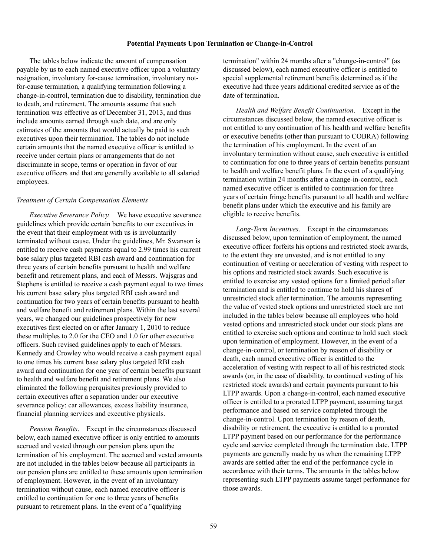## **Potential Payments Upon Termination or Change-in-Control**

The tables below indicate the amount of compensation payable by us to each named executive officer upon a voluntary resignation, involuntary for-cause termination, involuntary notfor-cause termination, a qualifying termination following a change-in-control, termination due to disability, termination due to death, and retirement. The amounts assume that such termination was effective as of December 31, 2013, and thus include amounts earned through such date, and are only estimates of the amounts that would actually be paid to such executives upon their termination. The tables do not include certain amounts that the named executive officer is entitled to receive under certain plans or arrangements that do not discriminate in scope, terms or operation in favor of our executive officers and that are generally available to all salaried employees.

#### *Treatment of Certain Compensation Elements*

*Executive Severance Policy.* We have executive severance guidelines which provide certain benefits to our executives in the event that their employment with us is involuntarily terminated without cause. Under the guidelines, Mr. Swanson is entitled to receive cash payments equal to 2.99 times his current base salary plus targeted RBI cash award and continuation for three years of certain benefits pursuant to health and welfare benefit and retirement plans, and each of Messrs. Wajsgras and Stephens is entitled to receive a cash payment equal to two times his current base salary plus targeted RBI cash award and continuation for two years of certain benefits pursuant to health and welfare benefit and retirement plans. Within the last several years, we changed our guidelines prospectively for new executives first elected on or after January 1, 2010 to reduce these multiples to 2.0 for the CEO and 1.0 for other executive officers. Such revised guidelines apply to each of Messrs. Kennedy and Crowley who would receive a cash payment equal to one times his current base salary plus targeted RBI cash award and continuation for one year of certain benefits pursuant to health and welfare benefit and retirement plans. We also eliminated the following perquisites previously provided to certain executives after a separation under our executive severance policy: car allowances, excess liability insurance, financial planning services and executive physicals.

*Pension Benefits*. Except in the circumstances discussed below, each named executive officer is only entitled to amounts accrued and vested through our pension plans upon the termination of his employment. The accrued and vested amounts are not included in the tables below because all participants in our pension plans are entitled to these amounts upon termination of employment. However, in the event of an involuntary termination without cause, each named executive officer is entitled to continuation for one to three years of benefits pursuant to retirement plans. In the event of a "qualifying

termination" within 24 months after a "change-in-control" (as discussed below), each named executive officer is entitled to special supplemental retirement benefits determined as if the executive had three years additional credited service as of the date of termination.

*Health and Welfare Benefit Continuation*. Except in the circumstances discussed below, the named executive officer is not entitled to any continuation of his health and welfare benefits or executive benefits (other than pursuant to COBRA) following the termination of his employment. In the event of an involuntary termination without cause, such executive is entitled to continuation for one to three years of certain benefits pursuant to health and welfare benefit plans. In the event of a qualifying termination within 24 months after a change-in-control, each named executive officer is entitled to continuation for three years of certain fringe benefits pursuant to all health and welfare benefit plans under which the executive and his family are eligible to receive benefits.

*Long-Term Incentives*. Except in the circumstances discussed below, upon termination of employment, the named executive officer forfeits his options and restricted stock awards, to the extent they are unvested, and is not entitled to any continuation of vesting or acceleration of vesting with respect to his options and restricted stock awards. Such executive is entitled to exercise any vested options for a limited period after termination and is entitled to continue to hold his shares of unrestricted stock after termination. The amounts representing the value of vested stock options and unrestricted stock are not included in the tables below because all employees who hold vested options and unrestricted stock under our stock plans are entitled to exercise such options and continue to hold such stock upon termination of employment. However, in the event of a change-in-control, or termination by reason of disability or death, each named executive officer is entitled to the acceleration of vesting with respect to all of his restricted stock awards (or, in the case of disability, to continued vesting of his restricted stock awards) and certain payments pursuant to his LTPP awards. Upon a change-in-control, each named executive officer is entitled to a prorated LTPP payment, assuming target performance and based on service completed through the change-in-control. Upon termination by reason of death, disability or retirement, the executive is entitled to a prorated LTPP payment based on our performance for the performance cycle and service completed through the termination date. LTPP payments are generally made by us when the remaining LTPP awards are settled after the end of the performance cycle in accordance with their terms. The amounts in the tables below representing such LTPP payments assume target performance for those awards.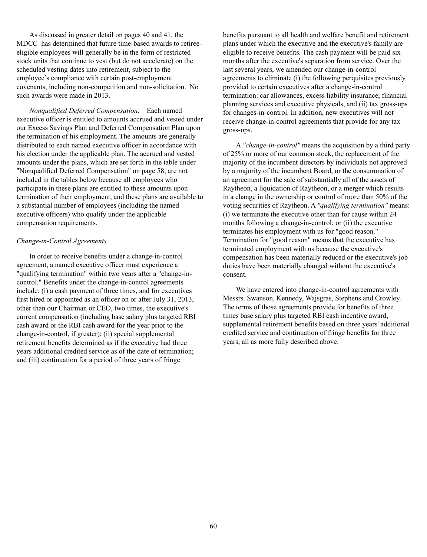As discussed in greater detail on pages 40 and 41, the MDCC has determined that future time-based awards to retireeeligible employees will generally be in the form of restricted stock units that continue to vest (but do not accelerate) on the scheduled vesting dates into retirement, subject to the employee's compliance with certain post-employment covenants, including non-competition and non-solicitation. No such awards were made in 2013.

*Nonqualified Deferred Compensation*. Each named executive officer is entitled to amounts accrued and vested under our Excess Savings Plan and Deferred Compensation Plan upon the termination of his employment. The amounts are generally distributed to each named executive officer in accordance with his election under the applicable plan. The accrued and vested amounts under the plans, which are set forth in the table under "Nonqualified Deferred Compensation" on page 58, are not included in the tables below because all employees who participate in these plans are entitled to these amounts upon termination of their employment, and these plans are available to a substantial number of employees (including the named executive officers) who qualify under the applicable compensation requirements.

## *Change-in-Control Agreements*

In order to receive benefits under a change-in-control agreement, a named executive officer must experience a "qualifying termination" within two years after a "change-incontrol." Benefits under the change-in-control agreements include: (i) a cash payment of three times, and for executives first hired or appointed as an officer on or after July 31, 2013, other than our Chairman or CEO, two times, the executive's current compensation (including base salary plus targeted RBI cash award or the RBI cash award for the year prior to the change-in-control, if greater); (ii) special supplemental retirement benefits determined as if the executive had three years additional credited service as of the date of termination; and (iii) continuation for a period of three years of fringe

benefits pursuant to all health and welfare benefit and retirement plans under which the executive and the executive's family are eligible to receive benefits. The cash payment will be paid six months after the executive's separation from service. Over the last several years, we amended our change-in-control agreements to eliminate (i) the following perquisites previously provided to certain executives after a change-in-control termination: car allowances, excess liability insurance, financial planning services and executive physicals, and (ii) tax gross-ups for changes-in-control. In addition, new executives will not receive change-in-control agreements that provide for any tax gross-ups.

A *"change-in-control"* means the acquisition by a third party of 25% or more of our common stock, the replacement of the majority of the incumbent directors by individuals not approved by a majority of the incumbent Board, or the consummation of an agreement for the sale of substantially all of the assets of Raytheon, a liquidation of Raytheon, or a merger which results in a change in the ownership or control of more than 50% of the voting securities of Raytheon. A *"qualifying termination"* means: (i) we terminate the executive other than for cause within 24 months following a change-in-control; or (ii) the executive terminates his employment with us for "good reason." Termination for "good reason" means that the executive has terminated employment with us because the executive's compensation has been materially reduced or the executive's job duties have been materially changed without the executive's consent.

We have entered into change-in-control agreements with Messrs. Swanson, Kennedy, Wajsgras, Stephens and Crowley. The terms of those agreements provide for benefits of three times base salary plus targeted RBI cash incentive award, supplemental retirement benefits based on three years' additional credited service and continuation of fringe benefits for three years, all as more fully described above.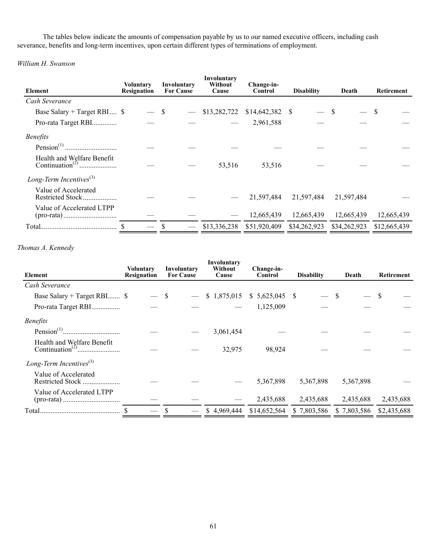The tables below indicate the amounts of compensation payable by us to our named executive officers, including cash severance, benefits and long-term incentives, upon certain different types of terminations of employment.

*William H. Swanson*

| Element                                  | Voluntary<br>Resignation | Involuntary<br><b>For Cause</b> | Involuntary<br>Without<br>Cause | Change-in-<br>Control | <b>Disability</b> | Death        | Retirement   |
|------------------------------------------|--------------------------|---------------------------------|---------------------------------|-----------------------|-------------------|--------------|--------------|
| Cash Severance                           |                          |                                 |                                 |                       |                   |              |              |
| Base Salary + Target RBI $\$             | — \$                     |                                 | \$13,282,722                    | \$14,642,382          | - S               |              | - \$         |
| Pro-rata Target RBI                      |                          |                                 |                                 | 2,961,588             |                   |              |              |
| <i>Benefits</i>                          |                          |                                 |                                 |                       |                   |              |              |
|                                          |                          |                                 |                                 |                       |                   |              |              |
| Health and Welfare Benefit               |                          |                                 | 53,516                          | 53,516                |                   |              |              |
| Long-Term Incentives $^{(3)}$            |                          |                                 |                                 |                       |                   |              |              |
| Value of Accelerated<br>Restricted Stock |                          |                                 |                                 | 21,597,484            | 21,597,484        | 21,597,484   |              |
| Value of Accelerated LTPP                |                          |                                 |                                 | 12,665,439            | 12,665,439        | 12,665,439   | 12,665,439   |
|                                          |                          |                                 | \$13,336,238                    | \$51,920,409          | \$34,262,923      | \$34,262,923 | \$12,665,439 |

# *Thomas A. Kennedy*

| Element                                   | Voluntary<br>Resignation | Involuntary<br><b>For Cause</b> | Involuntary<br>Without<br>Cause | Change-in-<br>Control | <b>Disability</b> | Death       | Retirement  |
|-------------------------------------------|--------------------------|---------------------------------|---------------------------------|-----------------------|-------------------|-------------|-------------|
| Cash Severance                            |                          |                                 |                                 |                       |                   |             |             |
| Base Salary + Target RBI \$               |                          | S                               | \$1,875,015                     | $$5,625,045$ \;       |                   |             | \$          |
| Pro-rata Target RBI                       |                          |                                 |                                 | 1,125,009             |                   |             |             |
| <b>Benefits</b>                           |                          |                                 |                                 |                       |                   |             |             |
|                                           |                          |                                 | 3,061,454                       |                       |                   |             |             |
| Health and Welfare Benefit                |                          |                                 | 32,975                          | 98,924                |                   |             |             |
| Long-Term Incentives $^{(3)}$             |                          |                                 |                                 |                       |                   |             |             |
| Value of Accelerated<br>Restricted Stock. |                          |                                 |                                 | 5,367,898             | 5,367,898         | 5,367,898   |             |
| Value of Accelerated LTPP                 |                          |                                 |                                 | 2,435,688             | 2,435,688         | 2,435,688   | 2,435,688   |
| Total                                     |                          |                                 | \$4,969,444                     | \$14,652,564          | \$7,803,586       | \$7,803,586 | \$2,435,688 |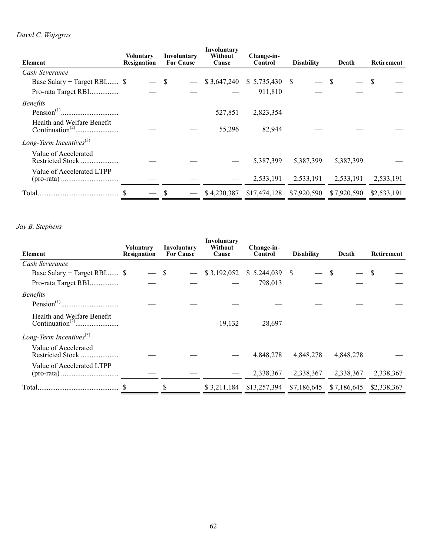# *David C. Wajsgras*

| <b>Element</b>                | <b>Voluntary</b><br><b>Resignation</b> | Involuntary<br><b>For Cause</b> | Involuntary<br>Without<br>Cause | Change-in-<br>Control | <b>Disability</b> | Death       | <b>Retirement</b> |
|-------------------------------|----------------------------------------|---------------------------------|---------------------------------|-----------------------|-------------------|-------------|-------------------|
| Cash Severance                |                                        |                                 |                                 |                       |                   |             |                   |
| Base Salary + Target RBI \$   | $-$ \$                                 |                                 | \$3,647,240                     | \$5,735,430           | - S               |             | S                 |
| Pro-rata Target RBI           |                                        |                                 |                                 | 911,810               |                   |             |                   |
| <i>Benefits</i>               |                                        |                                 |                                 |                       |                   |             |                   |
|                               |                                        |                                 | 527,851                         | 2,823,354             |                   |             |                   |
| Health and Welfare Benefit    |                                        |                                 | 55,296                          | 82,944                |                   |             |                   |
| Long-Term Incentives $^{(3)}$ |                                        |                                 |                                 |                       |                   |             |                   |
| Value of Accelerated          |                                        |                                 |                                 | 5,387,399             | 5,387,399         | 5,387,399   |                   |
| Value of Accelerated LTPP     |                                        |                                 |                                 | 2,533,191             | 2,533,191         | 2,533,191   | 2,533,191         |
|                               |                                        | \$                              | \$4,230,387                     | \$17,474,128          | \$7,920,590       | \$7,920,590 | \$2,533,191       |

# *Jay B. Stephens*

|                                          | <b>Voluntary</b> | Involuntary      | Involuntary<br>Without | Change-in-      |                   |             |              |
|------------------------------------------|------------------|------------------|------------------------|-----------------|-------------------|-------------|--------------|
| Element                                  | Resignation      | <b>For Cause</b> | Cause                  | Control         | <b>Disability</b> | Death       | Retirement   |
| Cash Severance                           |                  |                  |                        |                 |                   |             |              |
| Base Salary + Target RBI \$              | $-$ \$           |                  | \$3,192,052            | $$5,244,039$ \; |                   | - \$        | <sup>S</sup> |
| Pro-rata Target RBI                      |                  |                  |                        | 798,013         |                   |             |              |
| <b>Benefits</b>                          |                  |                  |                        |                 |                   |             |              |
| Health and Welfare Benefit               |                  |                  | 19,132                 | 28,697          |                   |             |              |
| Long-Term Incentives $^{(3)}$            |                  |                  |                        |                 |                   |             |              |
| Value of Accelerated<br>Restricted Stock |                  |                  |                        | 4,848,278       | 4,848,278         | 4,848,278   |              |
| Value of Accelerated LTPP                |                  |                  |                        | 2,338,367       | 2,338,367         | 2,338,367   | 2,338,367    |
| Total.                                   |                  |                  | \$3,211,184            | \$13,257,394    | \$7,186,645       | \$7,186,645 | \$2,338,367  |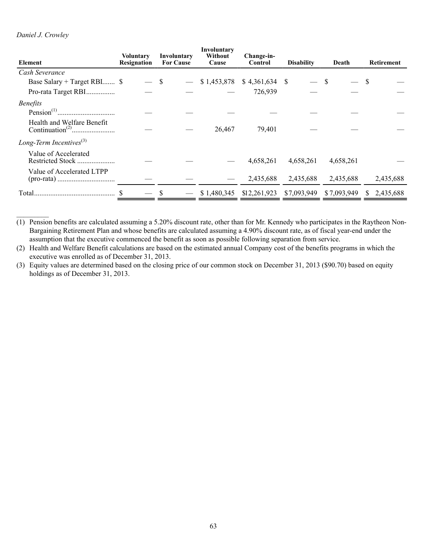# *Daniel J. Crowley*

| Element                       | Voluntary<br>Resignation | Involuntary<br><b>For Cause</b> | Involuntary<br>Without<br>Cause | Change-in-<br>Control | <b>Disability</b> | Death       | <b>Retirement</b> |
|-------------------------------|--------------------------|---------------------------------|---------------------------------|-----------------------|-------------------|-------------|-------------------|
| Cash Severance                |                          |                                 |                                 |                       |                   |             |                   |
| Base Salary + Target RBI \$   |                          | S                               | \$1,453,878                     | \$4,361,634           | -S                | S           | \$.               |
| Pro-rata Target RBI           |                          |                                 |                                 | 726,939               |                   |             |                   |
| <i>Benefits</i>               |                          |                                 |                                 |                       |                   |             |                   |
|                               |                          |                                 |                                 |                       |                   |             |                   |
| Health and Welfare Benefit    |                          |                                 | 26,467                          | 79,401                |                   |             |                   |
| Long-Term Incentives $^{(3)}$ |                          |                                 |                                 |                       |                   |             |                   |
| Value of Accelerated          |                          |                                 |                                 | 4,658,261             | 4,658,261         | 4,658,261   |                   |
| Value of Accelerated LTPP     |                          |                                 |                                 | 2,435,688             | 2,435,688         | 2,435,688   | 2,435,688         |
| Total.                        |                          |                                 | \$1,480,345                     | \$12,261,923          | \$7,093,949       | \$7,093,949 | 2,435,688<br>S.   |

(1) Pension benefits are calculated assuming a 5.20% discount rate, other than for Mr. Kennedy who participates in the Raytheon Non-Bargaining Retirement Plan and whose benefits are calculated assuming a 4.90% discount rate, as of fiscal year-end under the assumption that the executive commenced the benefit as soon as possible following separation from service.

(2) Health and Welfare Benefit calculations are based on the estimated annual Company cost of the benefits programs in which the executive was enrolled as of December 31, 2013.

(3) Equity values are determined based on the closing price of our common stock on December 31, 2013 (\$90.70) based on equity holdings as of December 31, 2013.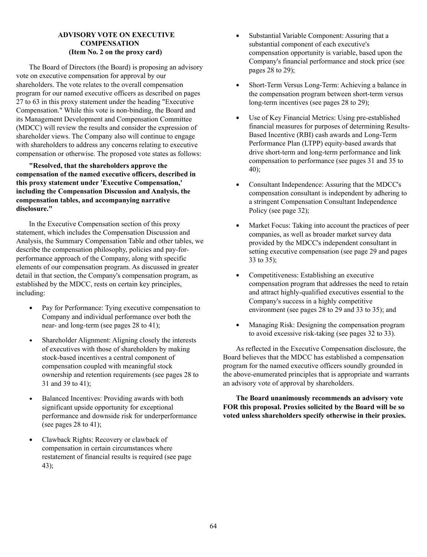# **ADVISORY VOTE ON EXECUTIVE COMPENSATION (Item No. 2 on the proxy card)**

The Board of Directors (the Board) is proposing an advisory vote on executive compensation for approval by our shareholders. The vote relates to the overall compensation program for our named executive officers as described on pages 27 to 63 in this proxy statement under the heading "Executive Compensation." While this vote is non-binding, the Board and its Management Development and Compensation Committee (MDCC) will review the results and consider the expression of shareholder views. The Company also will continue to engage with shareholders to address any concerns relating to executive compensation or otherwise. The proposed vote states as follows:

**"Resolved, that the shareholders approve the compensation of the named executive officers, described in this proxy statement under 'Executive Compensation,' including the Compensation Discussion and Analysis, the compensation tables, and accompanying narrative disclosure."**

In the Executive Compensation section of this proxy statement, which includes the Compensation Discussion and Analysis, the Summary Compensation Table and other tables, we describe the compensation philosophy, policies and pay-forperformance approach of the Company, along with specific elements of our compensation program. As discussed in greater detail in that section, the Company's compensation program, as established by the MDCC, rests on certain key principles, including:

- $\bullet$ Pay for Performance: Tying executive compensation to Company and individual performance over both the near- and long-term (see pages 28 to 41);
- $\bullet$ Shareholder Alignment: Aligning closely the interests of executives with those of shareholders by making stock-based incentives a central component of compensation coupled with meaningful stock ownership and retention requirements (see pages 28 to 31 and 39 to 41);
- Balanced Incentives: Providing awards with both  $\bullet$ significant upside opportunity for exceptional performance and downside risk for underperformance (see pages 28 to 41);
- Clawback Rights: Recovery or clawback of compensation in certain circumstances where restatement of financial results is required (see page 43);
- $\bullet$ Substantial Variable Component: Assuring that a substantial component of each executive's compensation opportunity is variable, based upon the Company's financial performance and stock price (see pages 28 to 29);
- $\bullet$ Short-Term Versus Long-Term: Achieving a balance in the compensation program between short-term versus long-term incentives (see pages 28 to 29);
- Use of Key Financial Metrics: Using pre-established  $\bullet$ financial measures for purposes of determining Results-Based Incentive (RBI) cash awards and Long-Term Performance Plan (LTPP) equity-based awards that drive short-term and long-term performance and link compensation to performance (see pages 31 and 35 to 40);
- Consultant Independence: Assuring that the MDCC's  $\bullet$ compensation consultant is independent by adhering to a stringent Compensation Consultant Independence Policy (see page 32);
- $\bullet$ Market Focus: Taking into account the practices of peer companies, as well as broader market survey data provided by the MDCC's independent consultant in setting executive compensation (see page 29 and pages 33 to 35);
- Competitiveness: Establishing an executive  $\bullet$ compensation program that addresses the need to retain and attract highly-qualified executives essential to the Company's success in a highly competitive environment (see pages 28 to 29 and 33 to 35); and
- $\bullet$ Managing Risk: Designing the compensation program to avoid excessive risk-taking (see pages 32 to 33).

As reflected in the Executive Compensation disclosure, the Board believes that the MDCC has established a compensation program for the named executive officers soundly grounded in the above-enumerated principles that is appropriate and warrants an advisory vote of approval by shareholders.

**The Board unanimously recommends an advisory vote FOR this proposal. Proxies solicited by the Board will be so voted unless shareholders specify otherwise in their proxies.**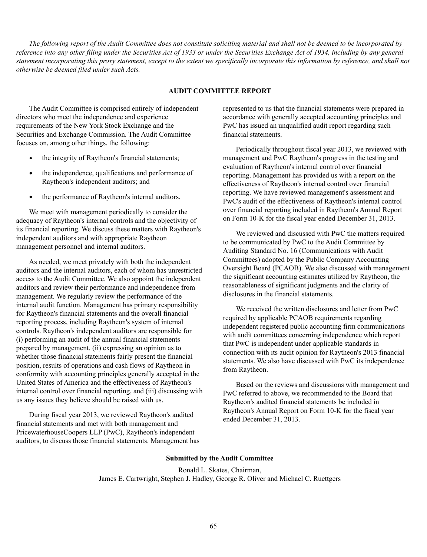*The following report of the Audit Committee does not constitute soliciting material and shall not be deemed to be incorporated by reference into any other filing under the Securities Act of 1933 or under the Securities Exchange Act of 1934, including by any general statement incorporating this proxy statement, except to the extent we specifically incorporate this information by reference, and shall not otherwise be deemed filed under such Acts.*

# **AUDIT COMMITTEE REPORT**

The Audit Committee is comprised entirely of independent directors who meet the independence and experience requirements of the New York Stock Exchange and the Securities and Exchange Commission. The Audit Committee focuses on, among other things, the following:

- the integrity of Raytheon's financial statements;
- the independence, qualifications and performance of Raytheon's independent auditors; and
- $\bullet$ the performance of Raytheon's internal auditors.

We meet with management periodically to consider the adequacy of Raytheon's internal controls and the objectivity of its financial reporting. We discuss these matters with Raytheon's independent auditors and with appropriate Raytheon management personnel and internal auditors.

As needed, we meet privately with both the independent auditors and the internal auditors, each of whom has unrestricted access to the Audit Committee. We also appoint the independent auditors and review their performance and independence from management. We regularly review the performance of the internal audit function. Management has primary responsibility for Raytheon's financial statements and the overall financial reporting process, including Raytheon's system of internal controls. Raytheon's independent auditors are responsible for (i) performing an audit of the annual financial statements prepared by management, (ii) expressing an opinion as to whether those financial statements fairly present the financial position, results of operations and cash flows of Raytheon in conformity with accounting principles generally accepted in the United States of America and the effectiveness of Raytheon's internal control over financial reporting, and (iii) discussing with us any issues they believe should be raised with us.

During fiscal year 2013, we reviewed Raytheon's audited financial statements and met with both management and PricewaterhouseCoopers LLP (PwC), Raytheon's independent auditors, to discuss those financial statements. Management has represented to us that the financial statements were prepared in accordance with generally accepted accounting principles and PwC has issued an unqualified audit report regarding such financial statements.

Periodically throughout fiscal year 2013, we reviewed with management and PwC Raytheon's progress in the testing and evaluation of Raytheon's internal control over financial reporting. Management has provided us with a report on the effectiveness of Raytheon's internal control over financial reporting. We have reviewed management's assessment and PwC's audit of the effectiveness of Raytheon's internal control over financial reporting included in Raytheon's Annual Report on Form 10-K for the fiscal year ended December 31, 2013.

We reviewed and discussed with PwC the matters required to be communicated by PwC to the Audit Committee by Auditing Standard No. 16 (Communications with Audit Committees) adopted by the Public Company Accounting Oversight Board (PCAOB). We also discussed with management the significant accounting estimates utilized by Raytheon, the reasonableness of significant judgments and the clarity of disclosures in the financial statements.

We received the written disclosures and letter from PwC required by applicable PCAOB requirements regarding independent registered public accounting firm communications with audit committees concerning independence which report that PwC is independent under applicable standards in connection with its audit opinion for Raytheon's 2013 financial statements. We also have discussed with PwC its independence from Raytheon.

Based on the reviews and discussions with management and PwC referred to above, we recommended to the Board that Raytheon's audited financial statements be included in Raytheon's Annual Report on Form 10-K for the fiscal year ended December 31, 2013.

#### **Submitted by the Audit Committee**

Ronald L. Skates, Chairman, James E. Cartwright, Stephen J. Hadley, George R. Oliver and Michael C. Ruettgers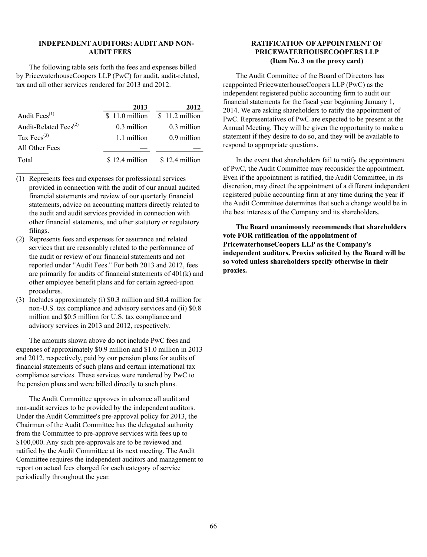## **INDEPENDENT AUDITORS: AUDIT AND NON-AUDIT FEES**

The following table sets forth the fees and expenses billed by PricewaterhouseCoopers LLP (PwC) for audit, audit-related, tax and all other services rendered for 2013 and 2012.

|                                   | 2013            | 2012            |
|-----------------------------------|-----------------|-----------------|
| Audit $Fees^{(1)}$                | $$11.0$ million | $$11.2$ million |
| Audit-Related Fees <sup>(2)</sup> | 0.3 million     | 0.3 million     |
| Tax Fees $^{(3)}$                 | 1.1 million     | 0.9 million     |
| All Other Fees                    |                 |                 |
| Total                             | $$12.4$ million | \$12.4 million  |

- (1) Represents fees and expenses for professional services provided in connection with the audit of our annual audited financial statements and review of our quarterly financial statements, advice on accounting matters directly related to the audit and audit services provided in connection with other financial statements, and other statutory or regulatory filings.
- (2) Represents fees and expenses for assurance and related services that are reasonably related to the performance of the audit or review of our financial statements and not reported under "Audit Fees." For both 2013 and 2012, fees are primarily for audits of financial statements of 401(k) and other employee benefit plans and for certain agreed-upon procedures.
- (3) Includes approximately (i) \$0.3 million and \$0.4 million for non-U.S. tax compliance and advisory services and (ii) \$0.8 million and \$0.5 million for U.S. tax compliance and advisory services in 2013 and 2012, respectively.

The amounts shown above do not include PwC fees and expenses of approximately \$0.9 million and \$1.0 million in 2013 and 2012, respectively, paid by our pension plans for audits of financial statements of such plans and certain international tax compliance services. These services were rendered by PwC to the pension plans and were billed directly to such plans.

The Audit Committee approves in advance all audit and non-audit services to be provided by the independent auditors. Under the Audit Committee's pre-approval policy for 2013, the Chairman of the Audit Committee has the delegated authority from the Committee to pre-approve services with fees up to \$100,000. Any such pre-approvals are to be reviewed and ratified by the Audit Committee at its next meeting. The Audit Committee requires the independent auditors and management to report on actual fees charged for each category of service periodically throughout the year.

## **RATIFICATION OF APPOINTMENT OF PRICEWATERHOUSECOOPERS LLP (Item No. 3 on the proxy card)**

The Audit Committee of the Board of Directors has reappointed PricewaterhouseCoopers LLP (PwC) as the independent registered public accounting firm to audit our financial statements for the fiscal year beginning January 1, 2014. We are asking shareholders to ratify the appointment of PwC. Representatives of PwC are expected to be present at the Annual Meeting. They will be given the opportunity to make a statement if they desire to do so, and they will be available to respond to appropriate questions.

In the event that shareholders fail to ratify the appointment of PwC, the Audit Committee may reconsider the appointment. Even if the appointment is ratified, the Audit Committee, in its discretion, may direct the appointment of a different independent registered public accounting firm at any time during the year if the Audit Committee determines that such a change would be in the best interests of the Company and its shareholders.

**The Board unanimously recommends that shareholders vote FOR ratification of the appointment of PricewaterhouseCoopers LLP as the Company's independent auditors. Proxies solicited by the Board will be so voted unless shareholders specify otherwise in their proxies.**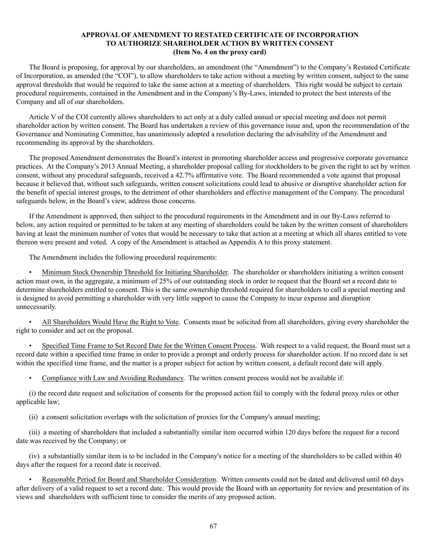# **APPROVAL OF AMENDMENT TO RESTATED CERTIFICATE OF INCORPORATION TO AUTHORIZE SHAREHOLDER ACTION BY WRITTEN CONSENT (Item No. 4 on the proxy card)**

The Board is proposing, for approval by our shareholders, an amendment (the "Amendment") to the Company's Restated Certificate of Incorporation, as amended (the "COI"), to allow shareholders to take action without a meeting by written consent, subject to the same approval thresholds that would be required to take the same action at a meeting of shareholders. This right would be subject to certain procedural requirements, contained in the Amendment and in the Company's By-Laws, intended to protect the best interests of the Company and all of our shareholders.

Article V of the COI currently allows shareholders to act only at a duly called annual or special meeting and does not permit shareholder action by written consent. The Board has undertaken a review of this governance issue and, upon the recommendation of the Governance and Nominating Committee, has unanimously adopted a resolution declaring the advisability of the Amendment and recommending its approval by the shareholders.

The proposed Amendment demonstrates the Board's interest in promoting shareholder access and progressive corporate governance practices. At the Company's 2013 Annual Meeting, a shareholder proposal calling for stockholders to be given the right to act by written consent, without any procedural safeguards, received a 42.7% affirmative vote. The Board recommended a vote against that proposal because it believed that, without such safeguards, written consent solicitations could lead to abusive or disruptive shareholder action for the benefit of special interest groups, to the detriment of other shareholders and effective management of the Company. The procedural safeguards below, in the Board's view, address those concerns.

If the Amendment is approved, then subject to the procedural requirements in the Amendment and in our By-Laws referred to below, any action required or permitted to be taken at any meeting of shareholders could be taken by the written consent of shareholders having at least the minimum number of votes that would be necessary to take that action at a meeting at which all shares entitled to vote thereon were present and voted. A copy of the Amendment is attached as Appendix A to this proxy statement.

The Amendment includes the following procedural requirements:

• Minimum Stock Ownership Threshold for Initiating Shareholder. The shareholder or shareholders initiating a written consent action must own, in the aggregate, a minimum of 25% of our outstanding stock in order to request that the Board set a record date to determine shareholders entitled to consent. This is the same ownership threshold required for shareholders to call a special meeting and is designed to avoid permitting a shareholder with very little support to cause the Company to incur expense and disruption unnecessarily.

• All Shareholders Would Have the Right to Vote. Consents must be solicited from all shareholders, giving every shareholder the right to consider and act on the proposal.

• Specified Time Frame to Set Record Date for the Written Consent Process. With respect to a valid request, the Board must set a record date within a specified time frame in order to provide a prompt and orderly process for shareholder action. If no record date is set within the specified time frame, and the matter is a proper subject for action by written consent, a default record date will apply.

• Compliance with Law and Avoiding Redundancy. The written consent process would not be available if:

(i) the record date request and solicitation of consents for the proposed action fail to comply with the federal proxy rules or other applicable law;

(ii) a consent solicitation overlaps with the solicitation of proxies for the Company's annual meeting;

(iii) a meeting of shareholders that included a substantially similar item occurred within 120 days before the request for a record date was received by the Company; or

(iv) a substantially similar item is to be included in the Company's notice for a meeting of the shareholders to be called within 40 days after the request for a record date is received.

• Reasonable Period for Board and Shareholder Consideration. Written consents could not be dated and delivered until 60 days after delivery of a valid request to set a record date. This would provide the Board with an opportunity for review and presentation of its views and shareholders with sufficient time to consider the merits of any proposed action.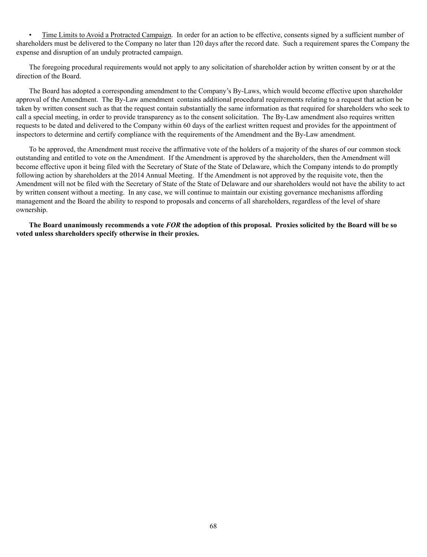• Time Limits to Avoid a Protracted Campaign. In order for an action to be effective, consents signed by a sufficient number of shareholders must be delivered to the Company no later than 120 days after the record date. Such a requirement spares the Company the expense and disruption of an unduly protracted campaign.

The foregoing procedural requirements would not apply to any solicitation of shareholder action by written consent by or at the direction of the Board.

The Board has adopted a corresponding amendment to the Company's By-Laws, which would become effective upon shareholder approval of the Amendment. The By-Law amendment contains additional procedural requirements relating to a request that action be taken by written consent such as that the request contain substantially the same information as that required for shareholders who seek to call a special meeting, in order to provide transparency as to the consent solicitation. The By-Law amendment also requires written requests to be dated and delivered to the Company within 60 days of the earliest written request and provides for the appointment of inspectors to determine and certify compliance with the requirements of the Amendment and the By-Law amendment.

To be approved, the Amendment must receive the affirmative vote of the holders of a majority of the shares of our common stock outstanding and entitled to vote on the Amendment. If the Amendment is approved by the shareholders, then the Amendment will become effective upon it being filed with the Secretary of State of the State of Delaware, which the Company intends to do promptly following action by shareholders at the 2014 Annual Meeting. If the Amendment is not approved by the requisite vote, then the Amendment will not be filed with the Secretary of State of the State of Delaware and our shareholders would not have the ability to act by written consent without a meeting. In any case, we will continue to maintain our existing governance mechanisms affording management and the Board the ability to respond to proposals and concerns of all shareholders, regardless of the level of share ownership.

**The Board unanimously recommends a vote** *FOR* **the adoption of this proposal. Proxies solicited by the Board will be so voted unless shareholders specify otherwise in their proxies.**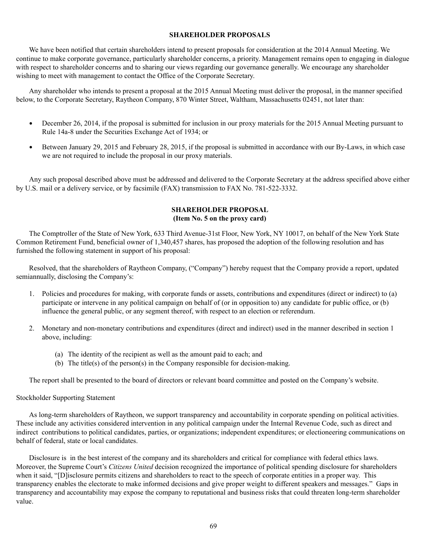#### **SHAREHOLDER PROPOSALS**

We have been notified that certain shareholders intend to present proposals for consideration at the 2014 Annual Meeting. We continue to make corporate governance, particularly shareholder concerns, a priority. Management remains open to engaging in dialogue with respect to shareholder concerns and to sharing our views regarding our governance generally. We encourage any shareholder wishing to meet with management to contact the Office of the Corporate Secretary.

Any shareholder who intends to present a proposal at the 2015 Annual Meeting must deliver the proposal, in the manner specified below, to the Corporate Secretary, Raytheon Company, 870 Winter Street, Waltham, Massachusetts 02451, not later than:

- December 26, 2014, if the proposal is submitted for inclusion in our proxy materials for the 2015 Annual Meeting pursuant to Rule 14a-8 under the Securities Exchange Act of 1934; or
- Between January 29, 2015 and February 28, 2015, if the proposal is submitted in accordance with our By-Laws, in which case  $\bullet$ we are not required to include the proposal in our proxy materials.

Any such proposal described above must be addressed and delivered to the Corporate Secretary at the address specified above either by U.S. mail or a delivery service, or by facsimile (FAX) transmission to FAX No. 781-522-3332.

# **SHAREHOLDER PROPOSAL (Item No. 5 on the proxy card)**

The Comptroller of the State of New York, 633 Third Avenue-31st Floor, New York, NY 10017, on behalf of the New York State Common Retirement Fund, beneficial owner of 1,340,457 shares, has proposed the adoption of the following resolution and has furnished the following statement in support of his proposal:

Resolved, that the shareholders of Raytheon Company, ("Company") hereby request that the Company provide a report, updated semiannually, disclosing the Company's:

- 1. Policies and procedures for making, with corporate funds or assets, contributions and expenditures (direct or indirect) to (a) participate or intervene in any political campaign on behalf of (or in opposition to) any candidate for public office, or (b) influence the general public, or any segment thereof, with respect to an election or referendum.
- 2. Monetary and non-monetary contributions and expenditures (direct and indirect) used in the manner described in section 1 above, including:
	- (a) The identity of the recipient as well as the amount paid to each; and
	- (b) The title(s) of the person(s) in the Company responsible for decision-making.

The report shall be presented to the board of directors or relevant board committee and posted on the Company's website.

### Stockholder Supporting Statement

As long-term shareholders of Raytheon, we support transparency and accountability in corporate spending on political activities. These include any activities considered intervention in any political campaign under the Internal Revenue Code, such as direct and indirect contributions to political candidates, parties, or organizations; independent expenditures; or electioneering communications on behalf of federal, state or local candidates.

Disclosure is in the best interest of the company and its shareholders and critical for compliance with federal ethics laws. Moreover, the Supreme Court's *Citizens United* decision recognized the importance of political spending disclosure for shareholders when it said, "[D]isclosure permits citizens and shareholders to react to the speech of corporate entities in a proper way. This transparency enables the electorate to make informed decisions and give proper weight to different speakers and messages." Gaps in transparency and accountability may expose the company to reputational and business risks that could threaten long-term shareholder value.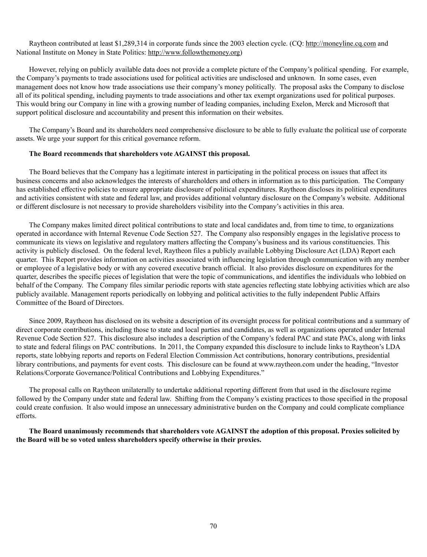Raytheon contributed at least \$1,289,314 in corporate funds since the 2003 election cycle. (CQ: http://moneyline.cq.com and National Institute on Money in State Politics: http://www.followthemoney.org)

However, relying on publicly available data does not provide a complete picture of the Company's political spending. For example, the Company's payments to trade associations used for political activities are undisclosed and unknown. In some cases, even management does not know how trade associations use their company's money politically. The proposal asks the Company to disclose all of its political spending, including payments to trade associations and other tax exempt organizations used for political purposes. This would bring our Company in line with a growing number of leading companies, including Exelon, Merck and Microsoft that support political disclosure and accountability and present this information on their websites.

The Company's Board and its shareholders need comprehensive disclosure to be able to fully evaluate the political use of corporate assets. We urge your support for this critical governance reform.

#### **The Board recommends that shareholders vote AGAINST this proposal.**

The Board believes that the Company has a legitimate interest in participating in the political process on issues that affect its business concerns and also acknowledges the interests of shareholders and others in information as to this participation. The Company has established effective policies to ensure appropriate disclosure of political expenditures. Raytheon discloses its political expenditures and activities consistent with state and federal law, and provides additional voluntary disclosure on the Company's website. Additional or different disclosure is not necessary to provide shareholders visibility into the Company's activities in this area.

The Company makes limited direct political contributions to state and local candidates and, from time to time, to organizations operated in accordance with Internal Revenue Code Section 527. The Company also responsibly engages in the legislative process to communicate its views on legislative and regulatory matters affecting the Company's business and its various constituencies. This activity is publicly disclosed. On the federal level, Raytheon files a publicly available Lobbying Disclosure Act (LDA) Report each quarter. This Report provides information on activities associated with influencing legislation through communication with any member or employee of a legislative body or with any covered executive branch official. It also provides disclosure on expenditures for the quarter, describes the specific pieces of legislation that were the topic of communications, and identifies the individuals who lobbied on behalf of the Company. The Company files similar periodic reports with state agencies reflecting state lobbying activities which are also publicly available. Management reports periodically on lobbying and political activities to the fully independent Public Affairs Committee of the Board of Directors.

Since 2009, Raytheon has disclosed on its website a description of its oversight process for political contributions and a summary of direct corporate contributions, including those to state and local parties and candidates, as well as organizations operated under Internal Revenue Code Section 527. This disclosure also includes a description of the Company's federal PAC and state PACs, along with links to state and federal filings on PAC contributions. In 2011, the Company expanded this disclosure to include links to Raytheon's LDA reports, state lobbying reports and reports on Federal Election Commission Act contributions, honorary contributions, presidential library contributions, and payments for event costs. This disclosure can be found at www.raytheon.com under the heading, "Investor Relations/Corporate Governance/Political Contributions and Lobbying Expenditures."

The proposal calls on Raytheon unilaterally to undertake additional reporting different from that used in the disclosure regime followed by the Company under state and federal law. Shifting from the Company's existing practices to those specified in the proposal could create confusion. It also would impose an unnecessary administrative burden on the Company and could complicate compliance efforts.

**The Board unanimously recommends that shareholders vote AGAINST the adoption of this proposal. Proxies solicited by the Board will be so voted unless shareholders specify otherwise in their proxies.**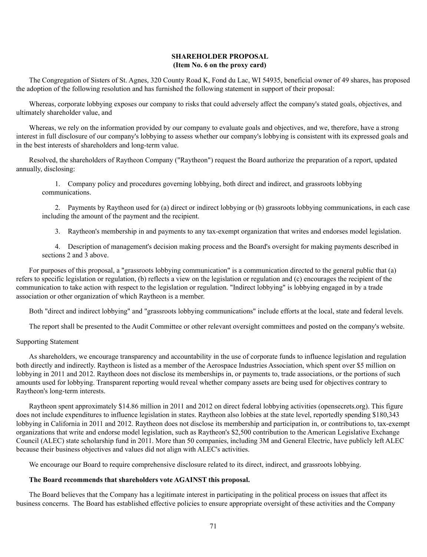## **SHAREHOLDER PROPOSAL (Item No. 6 on the proxy card)**

The Congregation of Sisters of St. Agnes, 320 County Road K, Fond du Lac, WI 54935, beneficial owner of 49 shares, has proposed the adoption of the following resolution and has furnished the following statement in support of their proposal:

Whereas, corporate lobbying exposes our company to risks that could adversely affect the company's stated goals, objectives, and ultimately shareholder value, and

Whereas, we rely on the information provided by our company to evaluate goals and objectives, and we, therefore, have a strong interest in full disclosure of our company's lobbying to assess whether our company's lobbying is consistent with its expressed goals and in the best interests of shareholders and long-term value.

Resolved, the shareholders of Raytheon Company ("Raytheon") request the Board authorize the preparation of a report, updated annually, disclosing:

1. Company policy and procedures governing lobbying, both direct and indirect, and grassroots lobbying communications.

2. Payments by Raytheon used for (a) direct or indirect lobbying or (b) grassroots lobbying communications, in each case including the amount of the payment and the recipient.

3. Raytheon's membership in and payments to any tax-exempt organization that writes and endorses model legislation.

4. Description of management's decision making process and the Board's oversight for making payments described in sections 2 and 3 above.

For purposes of this proposal, a "grassroots lobbying communication" is a communication directed to the general public that (a) refers to specific legislation or regulation, (b) reflects a view on the legislation or regulation and (c) encourages the recipient of the communication to take action with respect to the legislation or regulation. "Indirect lobbying" is lobbying engaged in by a trade association or other organization of which Raytheon is a member.

Both "direct and indirect lobbying" and "grassroots lobbying communications" include efforts at the local, state and federal levels.

The report shall be presented to the Audit Committee or other relevant oversight committees and posted on the company's website.

#### Supporting Statement

As shareholders, we encourage transparency and accountability in the use of corporate funds to influence legislation and regulation both directly and indirectly. Raytheon is listed as a member of the Aerospace Industries Association, which spent over \$5 million on lobbying in 2011 and 2012. Raytheon does not disclose its memberships in, or payments to, trade associations, or the portions of such amounts used for lobbying. Transparent reporting would reveal whether company assets are being used for objectives contrary to Raytheon's long-term interests.

Raytheon spent approximately \$14.86 million in 2011 and 2012 on direct federal lobbying activities (opensecrets.org). This figure does not include expenditures to influence legislation in states. Raytheon also lobbies at the state level, reportedly spending \$180,343 lobbying in California in 2011 and 2012. Raytheon does not disclose its membership and participation in, or contributions to, tax-exempt organizations that write and endorse model legislation, such as Raytheon's \$2,500 contribution to the American Legislative Exchange Council (ALEC) state scholarship fund in 2011. More than 50 companies, including 3M and General Electric, have publicly left ALEC because their business objectives and values did not align with ALEC's activities.

We encourage our Board to require comprehensive disclosure related to its direct, indirect, and grassroots lobbying.

### **The Board recommends that shareholders vote AGAINST this proposal.**

The Board believes that the Company has a legitimate interest in participating in the political process on issues that affect its business concerns. The Board has established effective policies to ensure appropriate oversight of these activities and the Company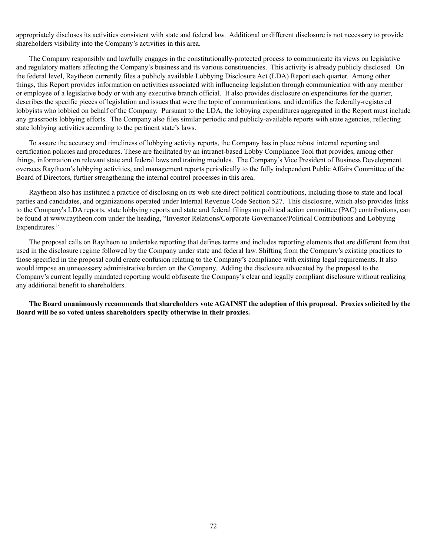appropriately discloses its activities consistent with state and federal law. Additional or different disclosure is not necessary to provide shareholders visibility into the Company's activities in this area.

The Company responsibly and lawfully engages in the constitutionally-protected process to communicate its views on legislative and regulatory matters affecting the Company's business and its various constituencies. This activity is already publicly disclosed. On the federal level, Raytheon currently files a publicly available Lobbying Disclosure Act (LDA) Report each quarter. Among other things, this Report provides information on activities associated with influencing legislation through communication with any member or employee of a legislative body or with any executive branch official. It also provides disclosure on expenditures for the quarter, describes the specific pieces of legislation and issues that were the topic of communications, and identifies the federally-registered lobbyists who lobbied on behalf of the Company. Pursuant to the LDA, the lobbying expenditures aggregated in the Report must include any grassroots lobbying efforts. The Company also files similar periodic and publicly-available reports with state agencies, reflecting state lobbying activities according to the pertinent state's laws.

To assure the accuracy and timeliness of lobbying activity reports, the Company has in place robust internal reporting and certification policies and procedures. These are facilitated by an intranet-based Lobby Compliance Tool that provides, among other things, information on relevant state and federal laws and training modules. The Company's Vice President of Business Development oversees Raytheon's lobbying activities, and management reports periodically to the fully independent Public Affairs Committee of the Board of Directors, further strengthening the internal control processes in this area.

Raytheon also has instituted a practice of disclosing on its web site direct political contributions, including those to state and local parties and candidates, and organizations operated under Internal Revenue Code Section 527. This disclosure, which also provides links to the Company's LDA reports, state lobbying reports and state and federal filings on political action committee (PAC) contributions, can be found at www.raytheon.com under the heading, "Investor Relations/Corporate Governance/Political Contributions and Lobbying Expenditures."

The proposal calls on Raytheon to undertake reporting that defines terms and includes reporting elements that are different from that used in the disclosure regime followed by the Company under state and federal law. Shifting from the Company's existing practices to those specified in the proposal could create confusion relating to the Company's compliance with existing legal requirements. It also would impose an unnecessary administrative burden on the Company. Adding the disclosure advocated by the proposal to the Company's current legally mandated reporting would obfuscate the Company's clear and legally compliant disclosure without realizing any additional benefit to shareholders.

**The Board unanimously recommends that shareholders vote AGAINST the adoption of this proposal. Proxies solicited by the Board will be so voted unless shareholders specify otherwise in their proxies.**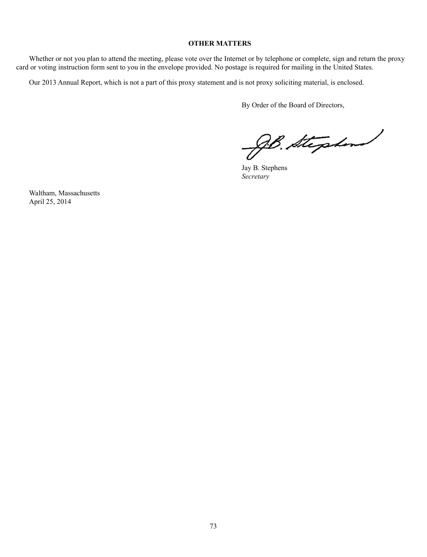## **OTHER MATTERS**

Whether or not you plan to attend the meeting, please vote over the Internet or by telephone or complete, sign and return the proxy card or voting instruction form sent to you in the envelope provided. No postage is required for mailing in the United States.

Our 2013 Annual Report, which is not a part of this proxy statement and is not proxy soliciting material, is enclosed.

By Order of the Board of Directors,

JB. Stephen

Jay B. Stephens *Secretary*

Waltham, Massachusetts April 25, 2014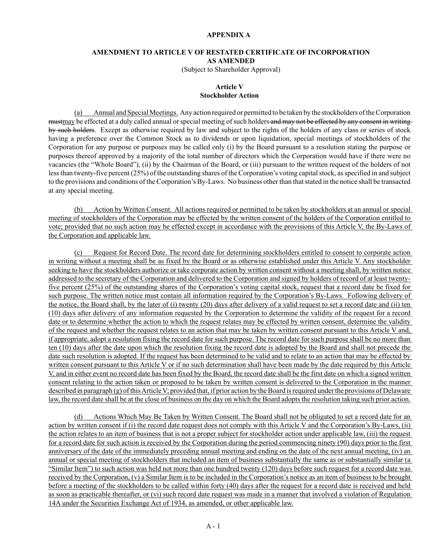### **APPENDIX A**

### **AMENDMENT TO ARTICLE V OF RESTATED CERTIFICATE OF INCORPORATION AS AMENDED**

(Subject to Shareholder Approval)

#### **Article V Stockholder Action**

(a) Annual and Special Meetings. Any action required or permitted to be taken by the stockholders of the Corporation mustmay be effected at a duly called annual or special meeting of such holders and may not be effected by any consent in writing by such holders. Except as otherwise required by law and subject to the rights of the holders of any class or series of stock having a preference over the Common Stock as to dividends or upon liquidation, special meetings of stockholders of the Corporation for any purpose or purposes may be called only (i) by the Board pursuant to a resolution stating the purpose or purposes thereof approved by a majority of the total number of directors which the Corporation would have if there were no vacancies (the "Whole Board"), (ii) by the Chairman of the Board, or (iii) pursuant to the written request of the holders of not less than twenty-five percent (25%) of the outstanding shares of the Corporation's voting capital stock, as specified in and subject to the provisions and conditions of the Corporation's By-Laws. No business other than that stated in the notice shall be transacted at any special meeting.

(b) Action by Written Consent. All actions required or permitted to be taken by stockholders at an annual or special meeting of stockholders of the Corporation may be effected by the written consent of the holders of the Corporation entitled to vote; provided that no such action may be effected except in accordance with the provisions of this Article V, the By-Laws of the Corporation and applicable law.

(c) Request for Record Date. The record date for determining stockholders entitled to consent to corporate action in writing without a meeting shall be as fixed by the Board or as otherwise established under this Article V. Any stockholder seeking to have the stockholders authorize or take corporate action by written consent without a meeting shall, by written notice addressed to the secretary of the Corporation and delivered to the Corporation and signed by holders of record of at least twentyfive percent (25%) of the outstanding shares of the Corporation's voting capital stock, request that a record date be fixed for such purpose. The written notice must contain all information required by the Corporation's By-Laws. Following delivery of the notice, the Board shall, by the later of (i) twenty (20) days after delivery of a valid request to set a record date and (ii) ten (10) days after delivery of any information requested by the Corporation to determine the validity of the request for a record date or to determine whether the action to which the request relates may be effected by written consent, determine the validity of the request and whether the request relates to an action that may be taken by written consent pursuant to this Article V and, if appropriate, adopt a resolution fixing the record date for such purpose. The record date for such purpose shall be no more than ten (10) days after the date upon which the resolution fixing the record date is adopted by the Board and shall not precede the date such resolution is adopted. If the request has been determined to be valid and to relate to an action that may be effected by written consent pursuant to this Article V or if no such determination shall have been made by the date required by this Article V, and in either event no record date has been fixed by the Board, the record date shall be the first date on which a signed written consent relating to the action taken or proposed to be taken by written consent is delivered to the Corporation in the manner described in paragraph (g) of this Article V; provided that, if prior action by the Board is required under the provisions of Delaware law, the record date shall be at the close of business on the day on which the Board adopts the resolution taking such prior action.

(d) Actions Which May Be Taken by Written Consent. The Board shall not be obligated to set a record date for an action by written consent if (i) the record date request does not comply with this Article V and the Corporation's By-Laws, (ii) the action relates to an item of business that is not a proper subject for stockholder action under applicable law, (iii) the request for a record date for such action is received by the Corporation during the period commencing ninety (90) days prior to the first anniversary of the date of the immediately preceding annual meeting and ending on the date of the next annual meeting, (iv) an annual or special meeting of stockholders that included an item of business substantially the same as or substantially similar (a "Similar Item") to such action was held not more than one hundred twenty (120) days before such request for a record date was received by the Corporation, (v) a Similar Item is to be included in the Corporation's notice as an item of business to be brought before a meeting of the stockholders to be called within forty (40) days after the request for a record date is received and held as soon as practicable thereafter, or (vi) such record date request was made in a manner that involved a violation of Regulation 14A under the Securities Exchange Act of 1934, as amended, or other applicable law.